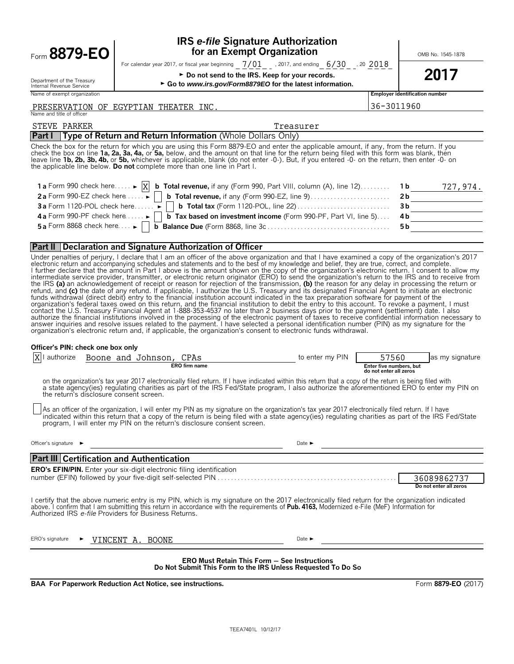|           | $\sim$   | $\Omega$<br>7 |  |
|-----------|----------|---------------|--|
| $= \norm$ | . . 87 L |               |  |

### **IRS** *e-file* **Signature Authorization for an Exempt Organization 1**  $\text{OMB No. } 1545-1878$

For calendar year 2017, or fiscal year beginning  $\_7/01\_$  , 2017, and ending  $\_6/30\_$  , 20  $\_2018$ 

► Do not send to the IRS. Keep for your records.  $2017$ 

► Go to *www.irs.gov/Form8879EO* for the latest information.

|  |  | Internal Revenue Service    |  |
|--|--|-----------------------------|--|
|  |  | Name of exempt organization |  |

Department of the Treasury

Name of exempt organization **Employer identification number**

#### and title of officer PRESERVATION OF EGYPTIAN THEATER INC.  $\vert$ 36-3011960

#### **Part I Type of Return and Return Information** (Whole Dollars Only) STEVE PARKER TREASURER TREASURER TREASURER TREASURER

Check the box for the return for which you are using this Form 8879-EO and enter the applicable amount, if any, from the return. If you check the box on line 1a, 2a, 3a, 4a, or 5a, below, and the amount on that line for the return being filed with this form was blank, then<br>leave line 1b, 2b, 3b, 4b, or 5b, whichever is applicable, blank (do not enter -0-). the applicable line below. **Do not** complete more than one line in Part I.

| 1a Form 990 check here $\blacktriangleright$ $\vert X \vert$ b Total revenue, if any (Form 990, Part VIII, column (A), line 12) 1b     | 727,974. |
|----------------------------------------------------------------------------------------------------------------------------------------|----------|
|                                                                                                                                        |          |
| 3a Form 1120-POL check here $\ldots$ $\Box$ <b>b</b> Total tax (Form 1120-POL, line 22) $\ldots$ $\ldots$ $\ldots$ $\ldots$ $\ldots$ . |          |
| 4b Form 990-PF check here  ► D b Tax based on investment income (Form 990-PF, Part VI, line 5) 4b                                      |          |
|                                                                                                                                        |          |

#### **Part II Declaration and Signature Authorization of Officer**

Under penalties of perjury, I declare that I am an officer of the above organization and that I have examined a copy of the organization's 2017<br>electronic return and accompanying schedules and statements and to the best of l further declare that the amount in Part I above is the amount shown on the copy of the organization's electronic return. I consent to allow my<br>intermediate service provider, transmitter, or electronic return originator ( the IRS **(a)** an acknowledgement of receipt or reason for rejection of the transmission, **(b)** the reason for any delay in processing the return or refund, and (c) the date of any refund. If applicable, I authorize the U.S. Treasury and its designated Financial Agent to initiate an electronic<br>funds withdrawal (direct debit) entry to the financial institution account i organization's federal taxes owed on this return, and the financial institution to debit the entry to this account. To revoke a payment, I must contact the U.S. Treasury Financial Agent at 1-888-353-4537 no later than 2 business days prior to the payment (settlement) date. I also<br>authorize the financial institutions involved in the processing of the electronic pay answer inquiries and resolve issues related to the payment. I have selected a personal identification number (PIN) as my signature for the organization's electronic return and, if applicable, the organization's consent to electronic funds withdrawal.

#### **Officer's PIN: check one box only**

| authorize                                             |                                                                                                                     |  | Boone and Johnson, CPAs |                                                                              |  | to enter my PIN                                                                                                                                                                                                                                                                               | 57560                                             | as my signature                                                                                                                                  |
|-------------------------------------------------------|---------------------------------------------------------------------------------------------------------------------|--|-------------------------|------------------------------------------------------------------------------|--|-----------------------------------------------------------------------------------------------------------------------------------------------------------------------------------------------------------------------------------------------------------------------------------------------|---------------------------------------------------|--------------------------------------------------------------------------------------------------------------------------------------------------|
|                                                       |                                                                                                                     |  |                         | <b>ERO</b> firm name                                                         |  |                                                                                                                                                                                                                                                                                               | Enter five numbers, but<br>do not enter all zeros |                                                                                                                                                  |
| the return's disclosure consent screen.               |                                                                                                                     |  |                         |                                                                              |  | on the organization's tax year 2017 electronically filed return. If I have indicated within this return that a copy of the return is being filed with                                                                                                                                         |                                                   | a state agency(ies) regulating charities as part of the IRS Fed/State program, I also authorize the aforementioned ERO to enter my PIN on        |
|                                                       |                                                                                                                     |  |                         | program, I will enter my PIN on the return's disclosure consent screen.      |  | As an officer of the organization, I will enter my PIN as my signature on the organization's tax year 2017 electronically filed return. If I have                                                                                                                                             |                                                   | indicated within this return that a copy of the return is being filed with a state agency(ies) regulating charities as part of the IRS Fed/State |
| Officer's signature $\blacktriangleright$             |                                                                                                                     |  |                         |                                                                              |  | Date $\blacktriangleright$                                                                                                                                                                                                                                                                    |                                                   |                                                                                                                                                  |
| <b>Part III Certification and Authentication</b>      |                                                                                                                     |  |                         |                                                                              |  |                                                                                                                                                                                                                                                                                               |                                                   |                                                                                                                                                  |
|                                                       |                                                                                                                     |  |                         | <b>ERO's EFIN/PIN.</b> Enter your six-digit electronic filing identification |  |                                                                                                                                                                                                                                                                                               |                                                   |                                                                                                                                                  |
|                                                       |                                                                                                                     |  |                         |                                                                              |  |                                                                                                                                                                                                                                                                                               |                                                   | 36089862737                                                                                                                                      |
|                                                       |                                                                                                                     |  |                         |                                                                              |  |                                                                                                                                                                                                                                                                                               |                                                   | Do not enter all zeros                                                                                                                           |
| Authorized IRS e-file Providers for Business Returns. |                                                                                                                     |  |                         |                                                                              |  | I certify that the above numeric entry is my PIN, which is my signature on the 2017 electronically filed return for the organization indicated<br>above. I confirm that I am submitting this return in accordance with the requirements of Pub. 4163, Modernized e-File (MeF) Information for |                                                   |                                                                                                                                                  |
| ERO's signature                                       |                                                                                                                     |  | VINCENT A. BOONE        |                                                                              |  | Date $\blacktriangleright$                                                                                                                                                                                                                                                                    |                                                   |                                                                                                                                                  |
|                                                       | <b>ERO Must Retain This Form - See Instructions</b><br>Do Not Submit This Form to the IRS Unless Requested To Do So |  |                         |                                                                              |  |                                                                                                                                                                                                                                                                                               |                                                   |                                                                                                                                                  |

**BAA For Paperwork Reduction Act Notice, see instructions.** Form **8879-EO** (2017)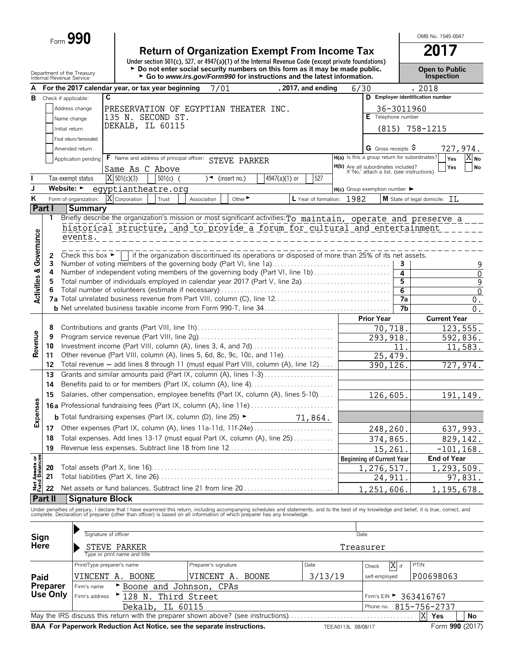Form **990**

| <b>Return of Organization Exempt From Income Tax</b>                                               | 2017 |
|----------------------------------------------------------------------------------------------------|------|
| Under section 501(c), 527, or 4947(a)(1) of the Internal Revenue Code (except private foundations) |      |
|                                                                                                    |      |

Department of the Treasury **and Price in Proper to Public**<br>Internal Revenue Service **Proper to Public Proper to Public**<br>Internal Revenue Service **Propertion > Go to www.irs.gov/Form990 for instructions and the latest in** 

OMB No. 1545-0047

|                         |                      | Internal Revenue Service             |                                                                                                                                                                                                                                   |                         |                         | ► Go to www.irs.gov/Form990 for instructions and the latest information.                        |                           |                    |                                                                                   |      | <b>Inspection</b>                |                               |
|-------------------------|----------------------|--------------------------------------|-----------------------------------------------------------------------------------------------------------------------------------------------------------------------------------------------------------------------------------|-------------------------|-------------------------|-------------------------------------------------------------------------------------------------|---------------------------|--------------------|-----------------------------------------------------------------------------------|------|----------------------------------|-------------------------------|
|                         |                      |                                      | For the 2017 calendar year, or tax year beginning                                                                                                                                                                                 |                         | 7/01                    |                                                                                                 | , 2017, and ending        | 6/30               |                                                                                   |      | , 2018                           |                               |
| в                       |                      | Check if applicable:                 | C                                                                                                                                                                                                                                 |                         |                         |                                                                                                 |                           |                    |                                                                                   |      | D Employer identification number |                               |
|                         |                      | Address change                       | PRESERVATION OF EGYPTIAN THEATER INC.                                                                                                                                                                                             |                         |                         |                                                                                                 |                           |                    | 36-3011960                                                                        |      |                                  |                               |
|                         |                      | Name change                          | 135 N. SECOND ST.                                                                                                                                                                                                                 |                         |                         |                                                                                                 |                           |                    | E Telephone number                                                                |      |                                  |                               |
|                         |                      | Initial return                       | DEKALB, IL 60115                                                                                                                                                                                                                  |                         |                         |                                                                                                 |                           |                    | (815)                                                                             |      | 758-1215                         |                               |
|                         |                      |                                      |                                                                                                                                                                                                                                   |                         |                         |                                                                                                 |                           |                    |                                                                                   |      |                                  |                               |
|                         |                      | Final return/terminated              |                                                                                                                                                                                                                                   |                         |                         |                                                                                                 |                           |                    |                                                                                   |      |                                  |                               |
|                         |                      | Amended return                       |                                                                                                                                                                                                                                   |                         |                         |                                                                                                 |                           |                    | G Gross receipts S                                                                |      |                                  | 727,974.                      |
|                         |                      | Application pending                  | F Name and address of principal officer: STEVE PARKER                                                                                                                                                                             |                         |                         |                                                                                                 |                           |                    | H(a) Is this a group return for subordinates?                                     |      | Yes                              | $\overline{X} _{\mathsf{No}}$ |
|                         |                      |                                      | Same As C Above                                                                                                                                                                                                                   |                         |                         |                                                                                                 |                           |                    | H(b) Are all subordinates included?<br>If 'No,' attach a list. (see instructions) |      | Yes                              | <b>No</b>                     |
|                         |                      | Tax-exempt status                    | $X$ 501(c)(3)                                                                                                                                                                                                                     | $501(c)$ (              | $\sqrt{ }$ (insert no.) | 4947(a)(1) or                                                                                   | 527                       |                    |                                                                                   |      |                                  |                               |
| J                       |                      | Website: $\blacktriangleright$       | eqyptiantheatre.org                                                                                                                                                                                                               |                         |                         |                                                                                                 |                           |                    | $H(c)$ Group exemption number $\blacktriangleright$                               |      |                                  |                               |
| ĸ                       |                      | Form of organization:                | X Corporation                                                                                                                                                                                                                     | Trust                   | Association             | Other                                                                                           | L Year of formation: 1982 |                    |                                                                                   |      | M State of legal domicile: TT,   |                               |
|                         | Part I               | <b>Summary</b>                       |                                                                                                                                                                                                                                   |                         |                         |                                                                                                 |                           |                    |                                                                                   |      |                                  |                               |
|                         | 1                    |                                      | Briefly describe the organization's mission or most significant activities: To maintain, operate and preserve a                                                                                                                   |                         |                         |                                                                                                 |                           |                    |                                                                                   |      |                                  |                               |
|                         |                      |                                      | historical structure, and to provide a forum for cultural and entertainment                                                                                                                                                       |                         |                         |                                                                                                 |                           |                    |                                                                                   |      |                                  |                               |
|                         |                      | events.                              |                                                                                                                                                                                                                                   |                         |                         |                                                                                                 |                           |                    |                                                                                   |      |                                  |                               |
| Governance              |                      |                                      |                                                                                                                                                                                                                                   |                         |                         |                                                                                                 |                           |                    |                                                                                   |      |                                  |                               |
|                         | 2                    | Check this box $\blacktriangleright$ |                                                                                                                                                                                                                                   |                         |                         | if the organization discontinued its operations or disposed of more than 25% of its net assets. |                           |                    |                                                                                   |      |                                  |                               |
|                         | 3                    |                                      | Number of voting members of the governing body (Part VI, line 1a)                                                                                                                                                                 |                         |                         |                                                                                                 |                           |                    |                                                                                   | 3    |                                  | 9                             |
|                         | 4                    |                                      | Number of independent voting members of the governing body (Part VI, line 1b)                                                                                                                                                     |                         |                         |                                                                                                 |                           |                    |                                                                                   | 4    |                                  | 0                             |
| <b>Activities &amp;</b> | 5                    |                                      | Total number of individuals employed in calendar year 2017 (Part V, line 2a)                                                                                                                                                      |                         |                         |                                                                                                 |                           |                    |                                                                                   | 5    |                                  | 9                             |
|                         |                      |                                      |                                                                                                                                                                                                                                   |                         |                         |                                                                                                 |                           |                    |                                                                                   | 6    |                                  | $\mathbf 0$                   |
|                         |                      |                                      |                                                                                                                                                                                                                                   |                         |                         |                                                                                                 |                           |                    |                                                                                   | 7a   |                                  | $\boldsymbol{0}$ .            |
|                         |                      |                                      |                                                                                                                                                                                                                                   |                         |                         |                                                                                                 |                           |                    |                                                                                   | 7b   |                                  | $0$ .                         |
|                         |                      |                                      |                                                                                                                                                                                                                                   |                         |                         |                                                                                                 |                           |                    | <b>Prior Year</b>                                                                 |      | <b>Current Year</b>              |                               |
|                         | 8                    |                                      |                                                                                                                                                                                                                                   |                         |                         |                                                                                                 |                           |                    | 70,718.                                                                           |      |                                  | 123,555.                      |
|                         | 9                    |                                      |                                                                                                                                                                                                                                   |                         |                         |                                                                                                 |                           |                    | 293, 918.                                                                         |      |                                  | 592,836.                      |
| Revenue                 | 10<br>11             |                                      | Investment income (Part VIII, column (A), lines 3, 4, and 7d)<br>Other revenue (Part VIII, column (A), lines 5, 6d, 8c, 9c, 10c, and 11e)                                                                                         |                         |                         |                                                                                                 |                           |                    |                                                                                   | 11   |                                  | 11,583.                       |
|                         | 12                   |                                      | Total revenue - add lines 8 through 11 (must equal Part VIII, column (A), line 12)                                                                                                                                                |                         |                         |                                                                                                 |                           |                    | 25,479.                                                                           |      |                                  |                               |
|                         | 13                   |                                      |                                                                                                                                                                                                                                   |                         |                         |                                                                                                 |                           |                    | 390,126.                                                                          |      |                                  | 727,974.                      |
|                         |                      |                                      |                                                                                                                                                                                                                                   |                         |                         |                                                                                                 |                           |                    |                                                                                   |      |                                  |                               |
|                         | 14                   |                                      | Benefits paid to or for members (Part IX, column (A), line 4)                                                                                                                                                                     |                         |                         |                                                                                                 |                           |                    |                                                                                   |      |                                  |                               |
|                         | 15                   |                                      | Salaries, other compensation, employee benefits (Part IX, column (A), lines 5-10)                                                                                                                                                 |                         |                         |                                                                                                 |                           |                    | 126,605.                                                                          |      |                                  | 191,149.                      |
| <b>Expenses</b>         |                      |                                      |                                                                                                                                                                                                                                   |                         |                         |                                                                                                 |                           |                    |                                                                                   |      |                                  |                               |
|                         |                      |                                      | <b>b</b> Total fundraising expenses (Part IX, column (D), line 25) ►                                                                                                                                                              |                         |                         |                                                                                                 | 71,864.                   |                    |                                                                                   |      |                                  |                               |
|                         | 17                   |                                      |                                                                                                                                                                                                                                   |                         |                         |                                                                                                 |                           |                    | 248,260.                                                                          |      |                                  | 637,993.                      |
|                         | 18                   |                                      | Total expenses. Add lines 13-17 (must equal Part IX, column (A), line 25)                                                                                                                                                         |                         |                         |                                                                                                 |                           |                    | 374,865.                                                                          |      |                                  | 829,142.                      |
|                         | 19                   |                                      | Revenue less expenses. Subtract line 18 from line 12                                                                                                                                                                              |                         |                         |                                                                                                 |                           |                    | 15,261.                                                                           |      | $-101, 168.$                     |                               |
|                         |                      |                                      |                                                                                                                                                                                                                                   |                         |                         |                                                                                                 |                           |                    | <b>Beginning of Current Year</b>                                                  |      | <b>End of Year</b>               |                               |
|                         | 20                   |                                      |                                                                                                                                                                                                                                   |                         |                         |                                                                                                 |                           |                    | 1,276,517.                                                                        |      | 1,293,509.                       |                               |
| Assets or<br>d Balances | 21                   |                                      | Total liabilities (Part X, line 26)                                                                                                                                                                                               |                         |                         |                                                                                                 |                           |                    | 24,911.                                                                           |      |                                  | 97,831.                       |
| <b>Jeep</b>             | 22                   |                                      |                                                                                                                                                                                                                                   |                         |                         |                                                                                                 |                           |                    |                                                                                   |      |                                  |                               |
|                         | Part II              | <b>Signature Block</b>               |                                                                                                                                                                                                                                   |                         |                         |                                                                                                 |                           |                    | 1,251,606                                                                         |      | 1,195,678.                       |                               |
|                         |                      |                                      |                                                                                                                                                                                                                                   |                         |                         |                                                                                                 |                           |                    |                                                                                   |      |                                  |                               |
|                         |                      |                                      | Under penalties of perjury, I declare that I have examined this return, including accompanying schedules and statements, and to the best of my knowledge and belief, it is true, correct, and<br>complete. Declaration of prepare |                         |                         |                                                                                                 |                           |                    |                                                                                   |      |                                  |                               |
|                         |                      |                                      |                                                                                                                                                                                                                                   |                         |                         |                                                                                                 |                           |                    |                                                                                   |      |                                  |                               |
|                         |                      |                                      | Signature of officer                                                                                                                                                                                                              |                         |                         |                                                                                                 |                           | Date               |                                                                                   |      |                                  |                               |
| Sign<br>Here            |                      |                                      |                                                                                                                                                                                                                                   |                         |                         |                                                                                                 |                           |                    |                                                                                   |      |                                  |                               |
|                         |                      |                                      | STEVE PARKER<br>Type or print name and title                                                                                                                                                                                      |                         |                         |                                                                                                 |                           | Treasurer          |                                                                                   |      |                                  |                               |
|                         |                      |                                      | Print/Type preparer's name                                                                                                                                                                                                        |                         | Preparer's signature    |                                                                                                 | Date                      |                    |                                                                                   | X if | PTIN                             |                               |
|                         |                      |                                      |                                                                                                                                                                                                                                   |                         |                         |                                                                                                 |                           |                    | Check                                                                             |      |                                  |                               |
| Paid                    |                      |                                      | VINCENT A. BOONE                                                                                                                                                                                                                  |                         | VINCENT A. BOONE        |                                                                                                 | 3/13/19                   |                    | self-employed                                                                     |      | P00698063                        |                               |
|                         | Preparer<br>Use Only | Firm's name                          |                                                                                                                                                                                                                                   | Boone and Johnson, CPAs |                         |                                                                                                 |                           |                    |                                                                                   |      |                                  |                               |
|                         |                      | Firm's address                       | 128 N.                                                                                                                                                                                                                            | Third Street            |                         |                                                                                                 |                           |                    |                                                                                   |      | Firm's EIN > 363416767           |                               |
|                         |                      |                                      | Dekalb,                                                                                                                                                                                                                           | IL 60115                |                         |                                                                                                 |                           |                    | Phone no.                                                                         |      | 815-756-2737                     |                               |
|                         |                      |                                      | May the IRS discuss this return with the preparer shown above? (see instructions)                                                                                                                                                 |                         |                         |                                                                                                 |                           |                    |                                                                                   |      | X<br>Yes                         | No                            |
|                         |                      |                                      | BAA For Paperwork Reduction Act Notice, see the separate instructions.                                                                                                                                                            |                         |                         |                                                                                                 |                           | TEEA0113L 08/08/17 |                                                                                   |      | Form 990 (2017)                  |                               |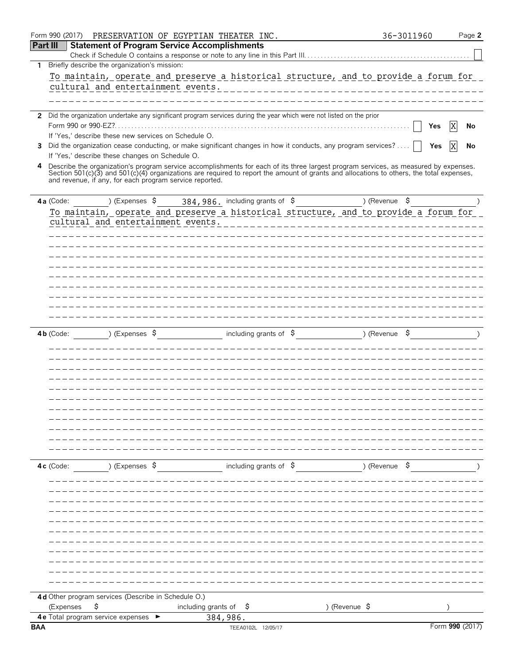|                 | Form 990 (2017)                                      |                | PRESERVATION OF EGYPTIAN THEATER INC.                   |                                   |                                                                                                                                          | 36-3011960    | Page 2          |  |
|-----------------|------------------------------------------------------|----------------|---------------------------------------------------------|-----------------------------------|------------------------------------------------------------------------------------------------------------------------------------------|---------------|-----------------|--|
| <b>Part III</b> |                                                      |                | <b>Statement of Program Service Accomplishments</b>     |                                   |                                                                                                                                          |               |                 |  |
|                 |                                                      |                |                                                         |                                   |                                                                                                                                          |               |                 |  |
| $\mathbf{1}$    | Briefly describe the organization's mission:         |                |                                                         |                                   |                                                                                                                                          |               |                 |  |
|                 |                                                      |                |                                                         |                                   | To maintain, operate and preserve a historical structure, and to provide a forum for                                                     |               |                 |  |
|                 |                                                      |                | cultural and entertainment events.                      |                                   |                                                                                                                                          |               |                 |  |
|                 |                                                      |                |                                                         |                                   |                                                                                                                                          |               |                 |  |
|                 |                                                      |                |                                                         |                                   | 2 Did the organization undertake any significant program services during the year which were not listed on the prior                     |               |                 |  |
|                 | Form 990 or 990-EZ?.                                 |                |                                                         |                                   |                                                                                                                                          |               | ΙX<br>Yes<br>No |  |
|                 | If 'Yes,' describe these new services on Schedule O. |                |                                                         |                                   |                                                                                                                                          |               |                 |  |
| 3               |                                                      |                |                                                         |                                   | Did the organization cease conducting, or make significant changes in how it conducts, any program services?                             |               | Yes<br>No       |  |
|                 | If 'Yes,' describe these changes on Schedule O.      |                |                                                         |                                   |                                                                                                                                          |               |                 |  |
| 4               |                                                      |                |                                                         |                                   | Describe the organization's program service accomplishments for each of its three largest program services, as measured by expenses.     |               |                 |  |
|                 |                                                      |                | and revenue, if any, for each program service reported. |                                   | Section 501(c)(3) and 501(c)(4) organizations are required to report the amount of grants and allocations to others, the total expenses, |               |                 |  |
|                 |                                                      |                |                                                         |                                   |                                                                                                                                          |               |                 |  |
|                 | 4a (Code:                                            | ) (Expenses \$ |                                                         |                                   | $384,986$ . including grants of $\beta$                                                                                                  | ) (Revenue \$ |                 |  |
|                 |                                                      |                |                                                         |                                   | To maintain, operate and preserve a historical structure, and to provide a forum for                                                     |               |                 |  |
|                 |                                                      |                | cultural and entertainment events.                      |                                   |                                                                                                                                          |               |                 |  |
|                 |                                                      |                |                                                         |                                   |                                                                                                                                          |               |                 |  |
|                 |                                                      |                |                                                         |                                   |                                                                                                                                          |               |                 |  |
|                 |                                                      |                |                                                         |                                   |                                                                                                                                          |               |                 |  |
|                 |                                                      |                |                                                         |                                   |                                                                                                                                          |               |                 |  |
|                 |                                                      |                |                                                         |                                   |                                                                                                                                          |               |                 |  |
|                 |                                                      |                |                                                         |                                   |                                                                                                                                          |               |                 |  |
|                 |                                                      |                |                                                         |                                   |                                                                                                                                          |               |                 |  |
|                 |                                                      |                |                                                         |                                   |                                                                                                                                          |               |                 |  |
|                 |                                                      |                |                                                         |                                   |                                                                                                                                          |               |                 |  |
|                 | $4b$ (Code:                                          | ) (Expenses \$ |                                                         | including grants of $\frac{1}{2}$ |                                                                                                                                          | )(Revenue \$  |                 |  |
|                 |                                                      |                |                                                         |                                   |                                                                                                                                          |               |                 |  |
|                 |                                                      |                |                                                         |                                   |                                                                                                                                          |               |                 |  |
|                 |                                                      |                |                                                         |                                   |                                                                                                                                          |               |                 |  |
|                 |                                                      |                |                                                         |                                   |                                                                                                                                          |               |                 |  |
|                 |                                                      |                |                                                         |                                   |                                                                                                                                          |               |                 |  |
|                 |                                                      |                |                                                         |                                   |                                                                                                                                          |               |                 |  |
|                 |                                                      |                |                                                         |                                   |                                                                                                                                          |               |                 |  |
|                 |                                                      |                |                                                         |                                   |                                                                                                                                          |               |                 |  |
|                 |                                                      |                |                                                         |                                   |                                                                                                                                          |               |                 |  |
|                 |                                                      |                |                                                         |                                   |                                                                                                                                          |               |                 |  |
|                 |                                                      |                |                                                         |                                   |                                                                                                                                          |               |                 |  |
|                 | $4c$ (Code:                                          | ) (Expenses \$ |                                                         | including grants of $\phi$        |                                                                                                                                          | ) (Revenue \$ |                 |  |
|                 |                                                      |                |                                                         |                                   |                                                                                                                                          |               |                 |  |
|                 |                                                      |                |                                                         |                                   |                                                                                                                                          |               |                 |  |
|                 |                                                      |                |                                                         |                                   |                                                                                                                                          |               |                 |  |
|                 |                                                      |                |                                                         |                                   |                                                                                                                                          |               |                 |  |
|                 |                                                      |                |                                                         |                                   |                                                                                                                                          |               |                 |  |
|                 |                                                      |                |                                                         |                                   |                                                                                                                                          |               |                 |  |
|                 |                                                      |                |                                                         |                                   |                                                                                                                                          |               |                 |  |
|                 |                                                      |                |                                                         |                                   |                                                                                                                                          |               |                 |  |
|                 |                                                      |                |                                                         |                                   |                                                                                                                                          |               |                 |  |
|                 |                                                      |                |                                                         |                                   |                                                                                                                                          |               |                 |  |
|                 |                                                      |                |                                                         |                                   |                                                                                                                                          |               |                 |  |
|                 | 4d Other program services (Describe in Schedule O.)  |                |                                                         |                                   |                                                                                                                                          |               |                 |  |
|                 | \$<br>(Expenses                                      |                | including grants of $\frac{1}{2}$                       |                                   | ) (Revenue \$                                                                                                                            |               |                 |  |
|                 | <b>4e</b> Total program service expenses             |                |                                                         | 384,986.                          |                                                                                                                                          |               |                 |  |
| <b>BAA</b>      |                                                      |                |                                                         | TEEA0102L 12/05/17                |                                                                                                                                          |               | Form 990 (2017) |  |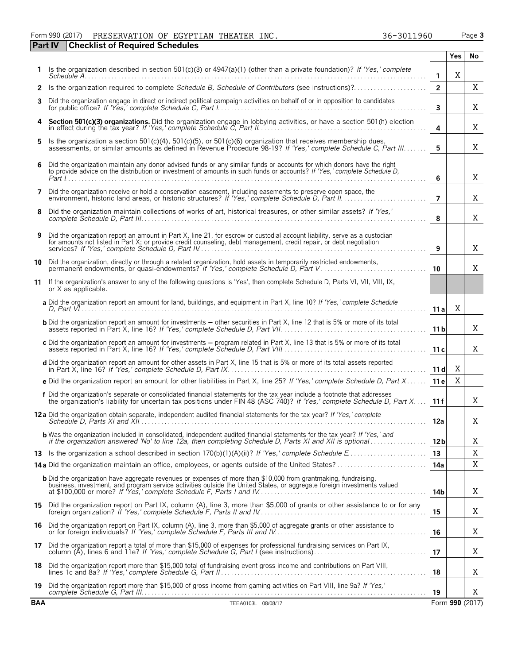### Form 990 (2017) Page **3** PRESERVATION OF EGYPTIAN THEATER INC. 36-3011960

|            | <b>Checklist of Required Schedules</b><br><b>Part IV</b>                                                                                                                                                                                          |                 |            |                 |
|------------|---------------------------------------------------------------------------------------------------------------------------------------------------------------------------------------------------------------------------------------------------|-----------------|------------|-----------------|
|            |                                                                                                                                                                                                                                                   |                 | <b>Yes</b> | No              |
|            | Is the organization described in section 501(c)(3) or 4947(a)(1) (other than a private foundation)? If 'Yes,' complete                                                                                                                            | 1               | X          |                 |
| 2          |                                                                                                                                                                                                                                                   | $\overline{2}$  |            | X               |
| 3          | Did the organization engage in direct or indirect political campaign activities on behalf of or in opposition to candidates                                                                                                                       | 3               |            | X               |
| 4          | Section 501(c)(3) organizations. Did the organization engage in lobbying activities, or have a section 501(h) election<br>in effect during the tax year? If 'Yes,' complete Schedule $\tilde{C}$ , Part $\tilde{R}$ .                             | 4               |            | X               |
| 5          | Is the organization a section 501(c)(4), 501(c)(5), or 501(c)(6) organization that receives membership dues,<br>assessments, or similar amounts as defined in Revenue Procedure 98-19? If 'Yes,' complete Schedule C, Part III                    | 5               |            | X               |
| 6          | Did the organization maintain any donor advised funds or any similar funds or accounts for which donors have the right to provide advice on the distribution or investment of amounts in such funds or accounts? If 'Yes,' com                    | 6               |            | X               |
| 7          | Did the organization receive or hold a conservation easement, including easements to preserve open space, the                                                                                                                                     | $\overline{7}$  |            | X               |
| 8          | Did the organization maintain collections of works of art, historical treasures, or other similar assets? If 'Yes,'                                                                                                                               | 8               |            | X               |
| 9          | Did the organization report an amount in Part X, line 21, for escrow or custodial account liability, serve as a custodian<br>for amounts not listed in Part X; or provide credit counseling, debt management, credit repair, or debt negotiation  | 9               |            | X               |
|            | 10 Did the organization, directly or through a related organization, hold assets in temporarily restricted endowments,<br>permanent endowments, or quasi-endowments? If 'Yes,' complete Schedule D, Part V                                        | 10              |            | X               |
|            | 11 If the organization's answer to any of the following questions is 'Yes', then complete Schedule D, Parts VI, VII, VIII, IX,<br>or X as applicable.                                                                                             |                 |            |                 |
|            | a Did the organization report an amount for land, buildings, and equipment in Part X, line 10? If 'Yes,' complete Schedule                                                                                                                        | 11a             | Χ          |                 |
|            | <b>b</b> Did the organization report an amount for investments - other securities in Part X, line 12 that is 5% or more of its total                                                                                                              | 11 <sub>b</sub> |            | X               |
|            | c Did the organization report an amount for investments - program related in Part X, line 13 that is 5% or more of its total                                                                                                                      | 11c             |            | X               |
|            | d Did the organization report an amount for other assets in Part X, line 15 that is 5% or more of its total assets reported                                                                                                                       | 11d             | X          |                 |
|            | e Did the organization report an amount for other liabilities in Part X, line 25? If 'Yes,' complete Schedule D, Part X                                                                                                                           | 11 e            | X          |                 |
|            | f Did the organization's separate or consolidated financial statements for the tax year include a footnote that addresses<br>the organization's liability for uncertain tax positions under FIN 48 (ASC 740)? If 'Yes,' complete                  | 11f             |            | X               |
|            |                                                                                                                                                                                                                                                   | 12a             |            | X               |
|            | <b>b</b> Was the organization included in consolidated, independent audited financial statements for the tax year? If 'Yes,' and<br>if the organization answered 'No' to line 12a, then completing Schedule D, Parts XI and XII is optional       | 12 <sub>b</sub> |            | Χ               |
|            |                                                                                                                                                                                                                                                   | 13              |            | X               |
|            |                                                                                                                                                                                                                                                   | 14a             |            | X               |
|            | <b>b</b> Did the organization have aggregate revenues or expenses of more than \$10,000 from grantmaking, fundraising,<br>business, investment, and program service activities outside the United States, or aggregate foreign investments valued | 14b             |            | Χ               |
| 15         | Did the organization report on Part IX, column (A), line 3, more than \$5,000 of grants or other assistance to or for any                                                                                                                         | 15              |            | Χ               |
| 16         | Did the organization report on Part IX, column (A), line 3, more than \$5,000 of aggregate grants or other assistance to<br>or for foreign individuals? If 'Yes,' complete Schedule F, Parts III and IV.                                          | 16              |            | Χ               |
| 17         | Did the organization report a total of more than \$15,000 of expenses for professional fundraising services on Part IX,                                                                                                                           | 17              |            | Χ               |
| 18         | Did the organization report more than \$15,000 total of fundraising event gross income and contributions on Part VIII,                                                                                                                            | 18              |            | Χ               |
| 19         | Did the organization report more than \$15,000 of gross income from gaming activities on Part VIII, line 9a? If 'Yes,'                                                                                                                            | 19              |            | X               |
| <b>BAA</b> | TEEA0103L 08/08/17                                                                                                                                                                                                                                |                 |            | Form 990 (2017) |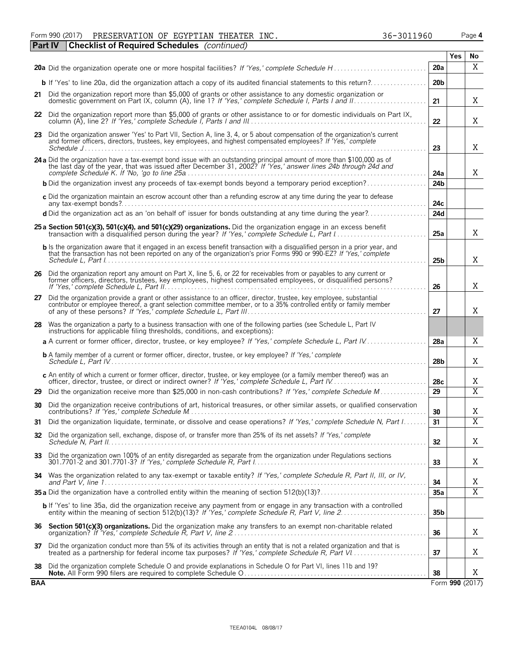Form 990 (2017) Page **4** PRESERVATION OF EGYPTIAN THEATER INC. 36-3011960 **Part IV Checklist of Required Schedules** *(continued)*

|            | <b>GILIV</b><br>Checking of Required Schedules (Continued)                                                                                                                                                                                            |                 |            |                         |
|------------|-------------------------------------------------------------------------------------------------------------------------------------------------------------------------------------------------------------------------------------------------------|-----------------|------------|-------------------------|
|            |                                                                                                                                                                                                                                                       | 20a             | <b>Yes</b> | No<br>X                 |
|            | <b>b</b> If 'Yes' to line 20a, did the organization attach a copy of its audited financial statements to this return?                                                                                                                                 | 20 <sub>b</sub> |            |                         |
|            | 21 Did the organization report more than \$5,000 of grants or other assistance to any domestic organization or                                                                                                                                        | 21              |            | X                       |
| 22         | Did the organization report more than \$5,000 of grants or other assistance to or for domestic individuals on Part IX,                                                                                                                                | 22              |            | Χ                       |
| 23         | Did the organization answer 'Yes' to Part VII. Section A, line 3, 4, or 5 about compensation of the organization's current<br>and former officers, directors, trustees, key employees, and highest compensated employees? If 'Yes,' complete          | 23              |            | Χ                       |
|            | 24 a Did the organization have a tax-exempt bond issue with an outstanding principal amount of more than \$100,000 as of<br>the last day of the year, that was issued after December 31, 2002? If 'Yes,' answer lines 24b through 24d and             | 24a             |            | Χ                       |
|            | <b>b</b> Did the organization invest any proceeds of tax-exempt bonds beyond a temporary period exception?                                                                                                                                            | 24 <sub>b</sub> |            |                         |
|            | c Did the organization maintain an escrow account other than a refunding escrow at any time during the year to defease                                                                                                                                | 24c             |            |                         |
|            | d Did the organization act as an 'on behalf of' issuer for bonds outstanding at any time during the year?                                                                                                                                             | 24d             |            |                         |
|            | 25 a Section 501(c)(3), 501(c)(4), and 501(c)(29) organizations. Did the organization engage in an excess benefit<br>transaction with a disqualified person during the year? If 'Yes,' complete Schedule L, Part I                                    | 25a             |            | X                       |
|            | b Is the organization aware that it engaged in an excess benefit transaction with a disqualified person in a prior year, and<br>that the transaction has not been reported on any of the organization's prior Forms 990 or 990-EZ? If 'Yes,' complete | 25 <sub>b</sub> |            | X                       |
|            | 26 Did the organization report any amount on Part X, line 5, 6, or 22 for receivables from or payables to any current or<br>former officers, directors, trustees, key employees, highest compensated employees, or disqualified persons?              | 26              |            | X                       |
| 27         | Did the organization provide a grant or other assistance to an officer, director, trustee, key employee, substantial<br>contributor or employee thereof, a grant selection committee member, or to a 35% controlled entity or family member           | 27              |            | X                       |
| 28         | Was the organization a party to a business transaction with one of the following parties (see Schedule L, Part IV<br>instructions for applicable filing thresholds, conditions, and exceptions):                                                      |                 |            |                         |
|            | a A current or former officer, director, trustee, or key employee? If 'Yes,' complete Schedule L, Part IV                                                                                                                                             | 28a             |            | X                       |
|            | <b>b</b> A family member of a current or former officer, director, trustee, or key employee? If 'Yes,' complete                                                                                                                                       | 28 <sub>b</sub> |            | X                       |
|            | c An entity of which a current or former officer, director, trustee, or key employee (or a family member thereof) was an<br>officer, director, trustee, or direct or indirect owner? If 'Yes,' complete Schedule L, Part IV.                          | 28c             |            | X                       |
| 29         | Did the organization receive more than \$25,000 in non-cash contributions? If 'Yes,' complete Schedule M                                                                                                                                              | 29              |            | $\overline{X}$          |
| 30         | Did the organization receive contributions of art, historical treasures, or other similar assets, or qualified conservation                                                                                                                           | 30              |            | X                       |
| 31         | Did the organization liquidate, terminate, or dissolve and cease operations? If 'Yes,' complete Schedule N, Part I                                                                                                                                    | 31              |            | $\overline{\mathbf{x}}$ |
|            | 32 Did the organization sell, exchange, dispose of, or transfer more than 25% of its net assets? If 'Yes,' complete                                                                                                                                   | 32 <sub>2</sub> |            | Χ                       |
|            | 33 Did the organization own 100% of an entity disregarded as separate from the organization under Regulations sections                                                                                                                                | 33              |            | X                       |
|            | 34 Was the organization related to any tax-exempt or taxable entity? If 'Yes,' complete Schedule R, Part II, III, or IV,                                                                                                                              | 34              |            | Χ                       |
|            |                                                                                                                                                                                                                                                       | 35a             |            | $\overline{X}$          |
|            | <b>b</b> If 'Yes' to line 35a, did the organization receive any payment from or engage in any transaction with a controlled entity within the meaning of section 512(b)(13)? If 'Yes,' complete Schedule R, Part V, line 2                            | 35 <sub>b</sub> |            |                         |
| 36         | Section 501(c)(3) organizations. Did the organization make any transfers to an exempt non-charitable related                                                                                                                                          | 36              |            | X                       |
| 37         | Did the organization conduct more than 5% of its activities through an entity that is not a related organization and that is                                                                                                                          | 37              |            | X                       |
| 38         | Did the organization complete Schedule O and provide explanations in Schedule O for Part VI, lines 11b and 19?                                                                                                                                        | 38              |            | X                       |
| <b>BAA</b> |                                                                                                                                                                                                                                                       |                 |            | Form 990 (2017)         |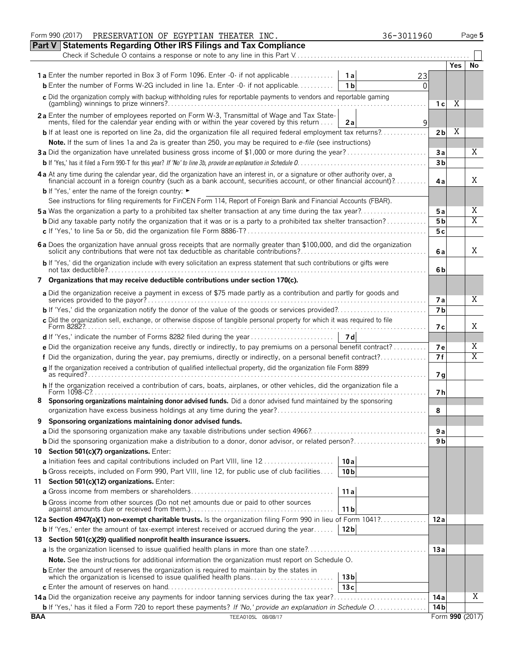|            | Form 990 (2017)<br>PRESERVATION OF EGYPTIAN THEATER INC.                                                                                                                                                                       |                 | 36-3011960 |                |      | Page 5          |
|------------|--------------------------------------------------------------------------------------------------------------------------------------------------------------------------------------------------------------------------------|-----------------|------------|----------------|------|-----------------|
|            | <b>Part V Statements Regarding Other IRS Filings and Tax Compliance</b>                                                                                                                                                        |                 |            |                |      |                 |
|            |                                                                                                                                                                                                                                |                 |            |                |      |                 |
|            |                                                                                                                                                                                                                                |                 |            |                | Yes. | No              |
|            | <b>1a</b> Enter the number reported in Box 3 of Form 1096. Enter -0- if not applicable                                                                                                                                         | 1a              | 23         |                |      |                 |
|            | <b>b</b> Enter the number of Forms W-2G included in line 1a, Enter $-0$ - if not applicable                                                                                                                                    | 1 <sub>b</sub>  | $\Omega$   |                |      |                 |
|            | c Did the organization comply with backup withholding rules for reportable payments to vendors and reportable gaming                                                                                                           |                 |            |                |      |                 |
|            |                                                                                                                                                                                                                                |                 |            | 1 с            | Χ    |                 |
|            | 2a Enter the number of employees reported on Form W-3, Transmittal of Wage and Tax State-                                                                                                                                      |                 |            |                |      |                 |
|            | ments, filed for the calendar year ending with or within the year covered by this return                                                                                                                                       | 2a              | 9          |                |      |                 |
|            | <b>b</b> If at least one is reported on line 2a, did the organization file all required federal employment tax returns?                                                                                                        |                 |            | 2 <sub>b</sub> | Χ    |                 |
|            | Note. If the sum of lines 1a and 2a is greater than 250, you may be required to e-file (see instructions)                                                                                                                      |                 |            |                |      |                 |
|            | 3a Did the organization have unrelated business gross income of \$1,000 or more during the year?                                                                                                                               |                 |            | Зa             |      | Χ               |
|            |                                                                                                                                                                                                                                |                 |            | 3 <sub>b</sub> |      |                 |
|            |                                                                                                                                                                                                                                |                 |            |                |      |                 |
|            | 4 a At any time during the calendar year, did the organization have an interest in, or a signature or other authority over, a financial account in a foreign country (such as a bank account, securities account, or other fin |                 |            | 4a             |      | X               |
|            | <b>b</b> If 'Yes,' enter the name of the foreign country: ►                                                                                                                                                                    |                 |            |                |      |                 |
|            | See instructions for filing requirements for FinCEN Form 114, Report of Foreign Bank and Financial Accounts (FBAR).                                                                                                            |                 |            |                |      |                 |
|            |                                                                                                                                                                                                                                |                 |            |                |      |                 |
|            |                                                                                                                                                                                                                                |                 |            | 5 a            |      | Χ               |
|            | <b>b</b> Did any taxable party notify the organization that it was or is a party to a prohibited tax shelter transaction?                                                                                                      |                 |            | 5 <sub>b</sub> |      | $\overline{X}$  |
|            |                                                                                                                                                                                                                                |                 |            | 5с             |      |                 |
|            | 6 a Does the organization have annual gross receipts that are normally greater than \$100,000, and did the organization                                                                                                        |                 |            |                |      |                 |
|            | solicit any contributions that were not tax deductible as charitable contributions?                                                                                                                                            |                 |            | 6 a            |      | Χ               |
|            | b If 'Yes,' did the organization include with every solicitation an express statement that such contributions or gifts were                                                                                                    |                 |            |                |      |                 |
|            |                                                                                                                                                                                                                                |                 |            | 6b             |      |                 |
|            | 7 Organizations that may receive deductible contributions under section 170(c).                                                                                                                                                |                 |            |                |      |                 |
|            | a Did the organization receive a payment in excess of \$75 made partly as a contribution and partly for goods and                                                                                                              |                 |            |                |      |                 |
|            |                                                                                                                                                                                                                                |                 |            | 7а             |      | Χ               |
|            |                                                                                                                                                                                                                                |                 |            | 7 <sub>b</sub> |      |                 |
|            | c Did the organization sell, exchange, or otherwise dispose of tangible personal property for which it was required to file                                                                                                    |                 |            |                |      |                 |
|            | Form 82827.                                                                                                                                                                                                                    |                 |            | 7 с            |      | Χ               |
|            |                                                                                                                                                                                                                                | - 7 d           |            |                |      |                 |
|            | e Did the organization receive any funds, directly or indirectly, to pay premiums on a personal benefit contract?                                                                                                              |                 |            | 7е             |      | Χ               |
|            | f Did the organization, during the year, pay premiums, directly or indirectly, on a personal benefit contract?                                                                                                                 |                 |            | 7f             |      | Χ               |
|            | q If the organization received a contribution of qualified intellectual property, did the organization file Form 8899                                                                                                          |                 |            |                |      |                 |
|            |                                                                                                                                                                                                                                |                 |            | 7 <sub>g</sub> |      |                 |
|            | h If the organization received a contribution of cars, boats, airplanes, or other vehicles, did the organization file a                                                                                                        |                 |            |                |      |                 |
|            | Form 1098-C?.                                                                                                                                                                                                                  |                 |            | 7 h            |      |                 |
|            | Sponsoring organizations maintaining donor advised funds. Did a donor advised fund maintained by the sponsoring                                                                                                                |                 |            |                |      |                 |
|            |                                                                                                                                                                                                                                |                 |            | 8              |      |                 |
|            | Sponsoring organizations maintaining donor advised funds.                                                                                                                                                                      |                 |            |                |      |                 |
|            |                                                                                                                                                                                                                                |                 |            | 9 a            |      |                 |
|            | b Did the sponsoring organization make a distribution to a donor, donor advisor, or related person?                                                                                                                            |                 |            | 9 b            |      |                 |
|            | 10 Section 501(c)(7) organizations. Enter:                                                                                                                                                                                     |                 |            |                |      |                 |
|            |                                                                                                                                                                                                                                | 10a             |            |                |      |                 |
|            | <b>b</b> Gross receipts, included on Form 990, Part VIII, line 12, for public use of club facilities                                                                                                                           | 10 <sub>b</sub> |            |                |      |                 |
|            | 11 Section 501(c)(12) organizations. Enter:                                                                                                                                                                                    |                 |            |                |      |                 |
|            |                                                                                                                                                                                                                                | 11a             |            |                |      |                 |
|            | <b>b</b> Gross income from other sources (Do not net amounts due or paid to other sources                                                                                                                                      |                 |            |                |      |                 |
|            |                                                                                                                                                                                                                                | 11 <sub>b</sub> |            |                |      |                 |
|            | 12a Section 4947(a)(1) non-exempt charitable trusts. Is the organization filing Form 990 in lieu of Form 1041?                                                                                                                 |                 |            | 12a            |      |                 |
|            | <b>b</b> If 'Yes,' enter the amount of tax-exempt interest received or accrued during the year                                                                                                                                 | 12 <sub>b</sub> |            |                |      |                 |
|            | 13 Section 501(c)(29) qualified nonprofit health insurance issuers.                                                                                                                                                            |                 |            |                |      |                 |
|            |                                                                                                                                                                                                                                |                 |            | 13a            |      |                 |
|            |                                                                                                                                                                                                                                |                 |            |                |      |                 |
|            | Note. See the instructions for additional information the organization must report on Schedule O.                                                                                                                              |                 |            |                |      |                 |
|            | <b>b</b> Enter the amount of reserves the organization is required to maintain by the states in<br>which the organization is licensed to issue qualified health plans                                                          | 13 <sub>b</sub> |            |                |      |                 |
|            |                                                                                                                                                                                                                                | 13c             |            |                |      |                 |
|            |                                                                                                                                                                                                                                |                 |            |                |      | Χ               |
|            |                                                                                                                                                                                                                                |                 |            | 14 a           |      |                 |
|            | <b>b</b> If 'Yes,' has it filed a Form 720 to report these payments? If 'No,' provide an explanation in Schedule O.                                                                                                            |                 |            | 14 b           |      |                 |
| <b>BAA</b> | TEEA0105L 08/08/17                                                                                                                                                                                                             |                 |            |                |      | Form 990 (2017) |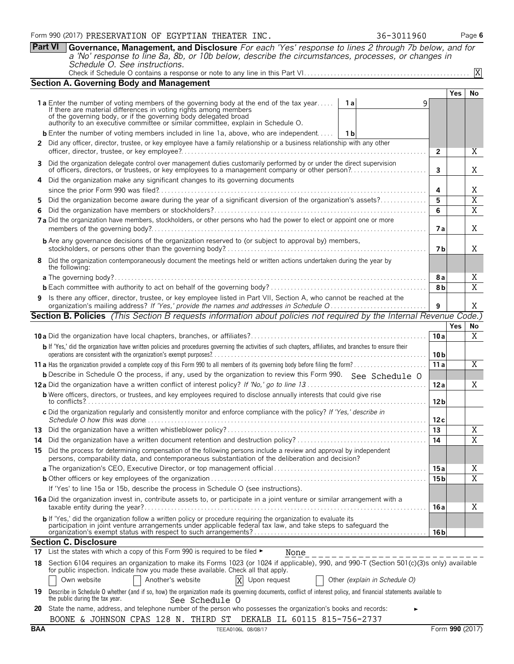**Part VI Governance, Management, and Disclosure** *For each 'Yes' response to lines 2 through 7b below, and for a 'No' response to line 8a, 8b, or 10b below, describe the circumstances, processes, or changes in Schedule O. See instructions.* X

|  |  | $\sim$ $\sim$ |  |  |  |
|--|--|---------------|--|--|--|
|--|--|---------------|--|--|--|

| <b>Section A. Governing Body and Management</b>                                                                                                                                                                           |                 |            |                                  |
|---------------------------------------------------------------------------------------------------------------------------------------------------------------------------------------------------------------------------|-----------------|------------|----------------------------------|
|                                                                                                                                                                                                                           |                 | <b>Yes</b> | No                               |
| 1 a Enter the number of voting members of the governing body at the end of the tax year<br>1 a<br>9                                                                                                                       |                 |            |                                  |
| If there are material differences in voting rights among members<br>of the governing body, or if the governing body delegated broad<br>authority to an executive committee or similar committee, explain in Schedule O.   |                 |            |                                  |
|                                                                                                                                                                                                                           |                 |            |                                  |
| <b>b</b> Enter the number of voting members included in line 1a, above, who are independent   1b                                                                                                                          |                 |            |                                  |
| 2 Did any officer, director, trustee, or key employee have a family relationship or a business relationship with any other                                                                                                | 2               |            | Χ                                |
| 3 Did the organization delegate control over management duties customarily performed by or under the direct supervision                                                                                                   |                 |            |                                  |
|                                                                                                                                                                                                                           | 3               |            | Χ                                |
| 4 Did the organization make any significant changes to its governing documents                                                                                                                                            |                 |            |                                  |
|                                                                                                                                                                                                                           | 4               |            | Χ                                |
| Did the organization become aware during the year of a significant diversion of the organization's assets?<br>5.                                                                                                          | 5<br>6          |            | $\overline{X}$<br>$\overline{X}$ |
| 6.<br>7 a Did the organization have members, stockholders, or other persons who had the power to elect or appoint one or more                                                                                             |                 |            |                                  |
|                                                                                                                                                                                                                           | 7 a             |            | X                                |
| <b>b</b> Are any governance decisions of the organization reserved to (or subject to approval by) members,                                                                                                                |                 |            |                                  |
|                                                                                                                                                                                                                           | 7 b             |            | X                                |
| 8 Did the organization contemporaneously document the meetings held or written actions undertaken during the year by<br>the following:                                                                                    |                 |            |                                  |
|                                                                                                                                                                                                                           | 8 a             |            | Χ                                |
|                                                                                                                                                                                                                           | 8b              |            | $\overline{X}$                   |
| 9 Is there any officer, director, trustee, or key employee listed in Part VII, Section A, who cannot be reached at the                                                                                                    |                 |            |                                  |
| organization's mailing address? If 'Yes,' provide the names and addresses in Schedule O                                                                                                                                   | 9               |            | Χ                                |
| <b>Section B. Policies</b> (This Section B requests information about policies not required by the Internal Revenue Code.)                                                                                                |                 |            |                                  |
|                                                                                                                                                                                                                           |                 | <b>Yes</b> | No                               |
|                                                                                                                                                                                                                           | 10a             |            | X                                |
| b If 'Yes,' did the organization have written policies and procedures governing the activities of such chapters, affiliates, and branches to ensure their                                                                 | 10 <sub>b</sub> |            |                                  |
|                                                                                                                                                                                                                           | 11a             |            | Χ                                |
| <b>b</b> Describe in Schedule O the process, if any, used by the organization to review this Form 990. See Schedule O                                                                                                     |                 |            |                                  |
|                                                                                                                                                                                                                           | 12a             |            | X                                |
| <b>b</b> Were officers, directors, or trustees, and key employees required to disclose annually interests that could give rise                                                                                            | 12 <sub>b</sub> |            |                                  |
| c Did the organization regularly and consistently monitor and enforce compliance with the policy? If 'Yes,' describe in                                                                                                   | 12c             |            |                                  |
|                                                                                                                                                                                                                           | 13              |            | X                                |
| 14                                                                                                                                                                                                                        | 14              |            | X                                |
| 15 Did the process for determining compensation of the following persons include a review and approval by independent                                                                                                     |                 |            |                                  |
| persons, comparability data, and contemporaneous substantiation of the deliberation and decision?                                                                                                                         |                 |            |                                  |
|                                                                                                                                                                                                                           | 15 a            |            | Χ                                |
|                                                                                                                                                                                                                           | 15 b            |            | $\overline{X}$                   |
| If 'Yes' to line 15a or 15b, describe the process in Schedule O (see instructions).                                                                                                                                       |                 |            |                                  |
| 16 a Did the organization invest in, contribute assets to, or participate in a joint venture or similar arrangement with a                                                                                                | 16 a            |            | Χ                                |
| b If 'Yes,' did the organization follow a written policy or procedure requiring the organization to evaluate its                                                                                                          |                 |            |                                  |
| participation in joint venture arrangements under applicable federal tax law, and take steps to safeguard the                                                                                                             | 16 <sub>b</sub> |            |                                  |
| <b>Section C. Disclosure</b>                                                                                                                                                                                              |                 |            |                                  |
| 17 List the states with which a copy of this Form 990 is required to be filed $\blacktriangleright$<br>None                                                                                                               |                 |            |                                  |
| 18 Section 6104 requires an organization to make its Forms 1023 (or 1024 if applicable), 990, and 990-T (Section 501(c)(3)s only) available                                                                               |                 |            |                                  |
| for public inspection. Indicate how you made these available. Check all that apply.                                                                                                                                       |                 |            |                                  |
| Other (explain in Schedule O)<br>Own website<br>Another's website<br>Upon request                                                                                                                                         |                 |            |                                  |
| 19 Describe in Schedule O whether (and if so, how) the organization made its governing documents, conflict of interest policy, and financial statements available to<br>the public during the tax year.<br>See Schedule O |                 |            |                                  |
| 20 State the name address and telephone number of the person who possesses the organization's books and records                                                                                                           |                 |            |                                  |

|  |  | 20 State the name, address, and telephone number of the person who possesses the organization's books and records: |  |
|--|--|--------------------------------------------------------------------------------------------------------------------|--|
|  |  | BOONE & JOHNSON CPAS 128 N. THIRD ST DEKALB IL 60115 815-756-2737                                                  |  |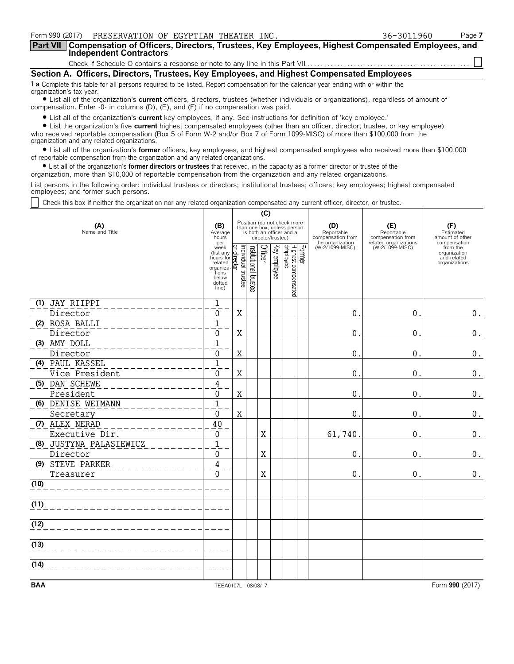| Form 990 (2017)<br>PRESERVATION OF EGYPTIAN THEATER INC.                                                                                                                                                                                                                                                                                                                                                                                | 36-3011960 | Page 7 |
|-----------------------------------------------------------------------------------------------------------------------------------------------------------------------------------------------------------------------------------------------------------------------------------------------------------------------------------------------------------------------------------------------------------------------------------------|------------|--------|
| Compensation of Officers, Directors, Trustees, Key Employees, Highest Compensated Employees, and<br><b>Part VII</b><br><b>Independent Contractors</b>                                                                                                                                                                                                                                                                                   |            |        |
|                                                                                                                                                                                                                                                                                                                                                                                                                                         |            |        |
| Section A. Officers, Directors, Trustees, Key Employees, and Highest Compensated Employees                                                                                                                                                                                                                                                                                                                                              |            |        |
| 1 a Complete this table for all persons required to be listed. Report compensation for the calendar year ending with or within the<br>organization's tax year.<br>• List all of the organization's <b>current</b> officers, directors, trustees (whether individuals or organizations), regardless of amount of<br>compensation. Enter -0- in columns (D), (E), and (F) if no compensation was paid.                                    |            |        |
| • List all of the organization's <b>current</b> key employees, if any. See instructions for definition of 'key employee.'<br>• List the organization's five current highest compensated employees (other than an officer, director, trustee, or key employee)<br>who received reportable compensation (Box 5 of Form W-2 and/or Box 7 of Form 1099-MISC) of more than \$100,000 from the<br>organization and any related organizations. |            |        |

? List all of the organization's **former** officers, key employees, and highest compensated employees who received more than \$100,000 of reportable compensation from the organization and any related organizations.

? List all of the organization's **former directors or trustees** that received, in the capacity as a former director or trustee of the

organization, more than \$10,000 of reportable compensation from the organization and any related organizations.

List persons in the following order: individual trustees or directors; institutional trustees; officers; key employees; highest compensated employees; and former such persons.

Check this box if neither the organization nor any related organization compensated any current officer, director, or trustee.

|                         |                                                                                             | (C)                                                                                                         |                       |         |              |                                            |                                                            |                                          |                                                          |  |
|-------------------------|---------------------------------------------------------------------------------------------|-------------------------------------------------------------------------------------------------------------|-----------------------|---------|--------------|--------------------------------------------|------------------------------------------------------------|------------------------------------------|----------------------------------------------------------|--|
| (A)<br>Name and Title   | (B)<br>Average<br>hours<br>per                                                              | Position (do not check more<br>than one box, unless person<br>is both an officer and a<br>director/trustee) |                       |         |              |                                            | (D)<br>Reportable<br>compensation from<br>the organization | (E)<br>Reportable<br>compensation from   | (F)<br>Estimated<br>amount of other<br>compensation      |  |
|                         | week<br>(list any<br>hours for<br>related<br>organiza-<br>tions<br>below<br>dotted<br>line) | Individual trustee<br>direct<br>భ                                                                           | Institutional trustee | Officer | Key employee | Former<br>Highest compensated<br> employee | (W-2/1099-MISC)                                            | related organizations<br>(W-2/1099-MISC) | from the<br>organization<br>and related<br>organizations |  |
| (1) JAY RIIPPI          | $\mathbf 1$                                                                                 |                                                                                                             |                       |         |              |                                            |                                                            |                                          |                                                          |  |
| Director                | 0                                                                                           | X                                                                                                           |                       |         |              |                                            | 0                                                          | $\mathbf 0$                              | $\boldsymbol{0}$ .                                       |  |
| (2) ROSA BALLI          | $\mathbf{1}$                                                                                |                                                                                                             |                       |         |              |                                            |                                                            |                                          |                                                          |  |
| Director                | $\mathbf{0}$                                                                                | $\mathbf X$                                                                                                 |                       |         |              |                                            | $\mathbf{0}$                                               | $\mathbf 0$                              | 0.                                                       |  |
| (3) AMY DOLL            | $\mathbf{1}$                                                                                |                                                                                                             |                       |         |              |                                            |                                                            |                                          |                                                          |  |
| Director                | $\Omega$                                                                                    | $\mathbf X$                                                                                                 |                       |         |              |                                            | 0                                                          | $\mathbf 0$                              | 0.                                                       |  |
| (4) PAUL KASSEL         | $\mathbf{1}$                                                                                |                                                                                                             |                       |         |              |                                            |                                                            |                                          |                                                          |  |
| Vice President          | $\mathbf{0}$                                                                                | X                                                                                                           |                       |         |              |                                            | 0                                                          | $\pmb{0}$                                | 0.                                                       |  |
| (5) DAN SCHEWE          | $\overline{4}$                                                                              |                                                                                                             |                       |         |              |                                            |                                                            |                                          |                                                          |  |
| President               | 0                                                                                           | X                                                                                                           |                       |         |              |                                            | 0                                                          | 0                                        | 0.                                                       |  |
| (6) DENISE WEIMANN      | $\mathbf{1}$                                                                                |                                                                                                             |                       |         |              |                                            |                                                            |                                          |                                                          |  |
| Secretary               | $\Omega$                                                                                    | $\mathbf X$                                                                                                 |                       |         |              |                                            | 0                                                          | 0                                        | 0.                                                       |  |
| (7) ALEX NERAD          | 40                                                                                          |                                                                                                             |                       |         |              |                                            |                                                            |                                          |                                                          |  |
| Executive Dir.          | $\mathbf{0}$                                                                                |                                                                                                             |                       | X       |              |                                            | 61,740                                                     | $\mathbf 0$                              | $\boldsymbol{0}$ .                                       |  |
| (8) JUSTYNA PALASIEWICZ | $\mathbf{1}$                                                                                |                                                                                                             |                       |         |              |                                            |                                                            |                                          |                                                          |  |
| Director                | 0                                                                                           |                                                                                                             |                       | X       |              |                                            | 0                                                          | $\mathbf{0}$                             | 0.                                                       |  |
| (9) STEVE PARKER        | 4                                                                                           |                                                                                                             |                       |         |              |                                            |                                                            |                                          |                                                          |  |
| Treasurer               | $\Omega$                                                                                    |                                                                                                             |                       | X       |              |                                            | $\mathbf 0$                                                | $\mathbf{0}$                             | $0$ .                                                    |  |
| (10)                    |                                                                                             |                                                                                                             |                       |         |              |                                            |                                                            |                                          |                                                          |  |
| (11)                    |                                                                                             |                                                                                                             |                       |         |              |                                            |                                                            |                                          |                                                          |  |
| (12)                    |                                                                                             |                                                                                                             |                       |         |              |                                            |                                                            |                                          |                                                          |  |
| (13)                    |                                                                                             |                                                                                                             |                       |         |              |                                            |                                                            |                                          |                                                          |  |
|                         |                                                                                             |                                                                                                             |                       |         |              |                                            |                                                            |                                          |                                                          |  |
| (14)                    |                                                                                             |                                                                                                             |                       |         |              |                                            |                                                            |                                          |                                                          |  |
| <b>BAA</b>              | TEEA0107L 08/08/17                                                                          |                                                                                                             |                       |         |              |                                            |                                                            |                                          | Form 990 (2017)                                          |  |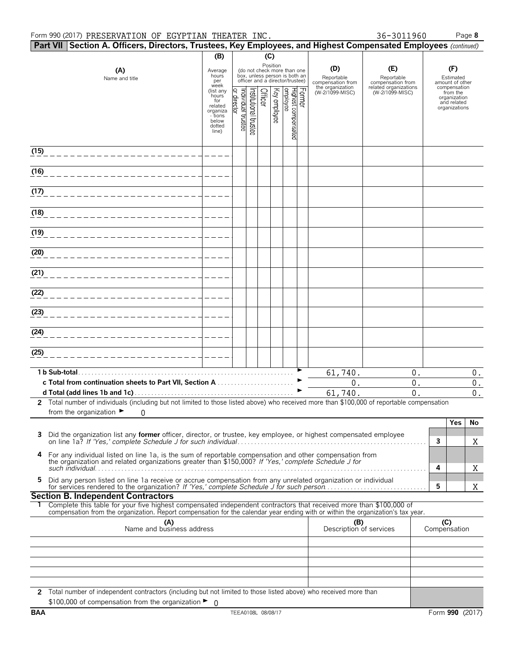#### Form 990 (2017) PRESERVATION OF EGYPTIAN THEATER INC.  $36-3011960$  Page 8

|  | Par |
|--|-----|
|  |     |

|      | Part VII Section A. Officers, Directors, Trustees, Key Employees, and Highest Compensated Employees (continued)                                                                                              |                                                                                         |                                          |                      |         |              |                                                                                                             |                                                                               |                                                                                    |                     |                                                                 |                                          |
|------|--------------------------------------------------------------------------------------------------------------------------------------------------------------------------------------------------------------|-----------------------------------------------------------------------------------------|------------------------------------------|----------------------|---------|--------------|-------------------------------------------------------------------------------------------------------------|-------------------------------------------------------------------------------|------------------------------------------------------------------------------------|---------------------|-----------------------------------------------------------------|------------------------------------------|
|      |                                                                                                                                                                                                              | (B)                                                                                     |                                          |                      | (C)     |              |                                                                                                             |                                                                               |                                                                                    |                     |                                                                 |                                          |
|      | (A)<br>Name and title                                                                                                                                                                                        | Average<br>hours<br>per<br>week<br>(list any                                            |                                          |                      |         |              | Position<br>(do not check more than one<br>box, unless person is both an<br>officer and a director/trustee) | (D)<br>Reportable<br>compensation from<br>the organization<br>(W-2/1099-MISC) | (E)<br>Reportable<br>compensation from<br>related organizations<br>(W-2/1099-MISC) |                     | (F)<br>Estimated<br>amount of other<br>compensation<br>from the |                                          |
|      |                                                                                                                                                                                                              | hours <sup>7</sup><br>for<br>related<br>organiza<br>- tions<br>below<br>dotted<br>line) | <u>or director</u><br>Individual trustee | nstitutional trustee | Officer | Key employee | Former<br> Highest compensated<br> employee                                                                 |                                                                               |                                                                                    |                     | organization<br>and related<br>organizations                    |                                          |
| (15) |                                                                                                                                                                                                              |                                                                                         |                                          |                      |         |              |                                                                                                             |                                                                               |                                                                                    |                     |                                                                 |                                          |
| (16) |                                                                                                                                                                                                              |                                                                                         |                                          |                      |         |              |                                                                                                             |                                                                               |                                                                                    |                     |                                                                 |                                          |
| (17) |                                                                                                                                                                                                              |                                                                                         |                                          |                      |         |              |                                                                                                             |                                                                               |                                                                                    |                     |                                                                 |                                          |
| (18) |                                                                                                                                                                                                              |                                                                                         |                                          |                      |         |              |                                                                                                             |                                                                               |                                                                                    |                     |                                                                 |                                          |
| (19) |                                                                                                                                                                                                              |                                                                                         |                                          |                      |         |              |                                                                                                             |                                                                               |                                                                                    |                     |                                                                 |                                          |
| (20) |                                                                                                                                                                                                              |                                                                                         |                                          |                      |         |              |                                                                                                             |                                                                               |                                                                                    |                     |                                                                 |                                          |
| (21) |                                                                                                                                                                                                              |                                                                                         |                                          |                      |         |              |                                                                                                             |                                                                               |                                                                                    |                     |                                                                 |                                          |
| (22) |                                                                                                                                                                                                              |                                                                                         |                                          |                      |         |              |                                                                                                             |                                                                               |                                                                                    |                     |                                                                 |                                          |
| (23) |                                                                                                                                                                                                              |                                                                                         |                                          |                      |         |              |                                                                                                             |                                                                               |                                                                                    |                     |                                                                 |                                          |
| (24) |                                                                                                                                                                                                              |                                                                                         |                                          |                      |         |              |                                                                                                             |                                                                               |                                                                                    |                     |                                                                 |                                          |
| (25) |                                                                                                                                                                                                              |                                                                                         |                                          |                      |         |              |                                                                                                             |                                                                               |                                                                                    |                     |                                                                 |                                          |
|      | 1 b Sub-total.                                                                                                                                                                                               |                                                                                         |                                          |                      |         |              |                                                                                                             | 61,740.                                                                       | 0.                                                                                 |                     |                                                                 | 0.                                       |
|      | c Total from continuation sheets to Part VII, Section A                                                                                                                                                      |                                                                                         |                                          |                      |         |              |                                                                                                             | 0.<br>61,740.                                                                 | 0.<br>0.                                                                           |                     |                                                                 | $\boldsymbol{0}$ .<br>$\boldsymbol{0}$ . |
|      | 2 Total number of individuals (including but not limited to those listed above) who received more than \$100,000 of reportable compensation<br>from the organization $\blacktriangleright$<br>0              |                                                                                         |                                          |                      |         |              |                                                                                                             |                                                                               |                                                                                    |                     |                                                                 |                                          |
|      |                                                                                                                                                                                                              |                                                                                         |                                          |                      |         |              |                                                                                                             |                                                                               |                                                                                    |                     | <b>Yes</b>                                                      | No                                       |
| 3    | Did the organization list any former officer, director, or trustee, key employee, or highest compensated employee                                                                                            |                                                                                         |                                          |                      |         |              |                                                                                                             |                                                                               |                                                                                    | 3                   |                                                                 | Χ                                        |
| 4    | For any individual listed on line 1a, is the sum of reportable compensation and other compensation from the organization and related organizations greater than \$150,000? If 'Yes,' complete Schedule J for |                                                                                         |                                          |                      |         |              |                                                                                                             |                                                                               |                                                                                    | 4                   |                                                                 | Χ                                        |
| 5    | Did any person listed on line 1a receive or accrue compensation from any unrelated organization or individual                                                                                                |                                                                                         |                                          |                      |         |              |                                                                                                             |                                                                               |                                                                                    | 5                   |                                                                 | Χ                                        |
|      | <b>Section B. Independent Contractors</b><br>Complete this table for your five highest compensated independent contractors that received more than \$100,000 of                                              |                                                                                         |                                          |                      |         |              |                                                                                                             |                                                                               |                                                                                    |                     |                                                                 |                                          |
|      | compensation from the organization. Report compensation for the calendar year ending with or within the organization's tax year.                                                                             |                                                                                         |                                          |                      |         |              |                                                                                                             |                                                                               |                                                                                    |                     |                                                                 |                                          |
|      | (A)<br>Name and business address                                                                                                                                                                             |                                                                                         |                                          |                      |         |              |                                                                                                             | (B)<br>Description of services                                                |                                                                                    | (C)<br>Compensation |                                                                 |                                          |
|      |                                                                                                                                                                                                              |                                                                                         |                                          |                      |         |              |                                                                                                             |                                                                               |                                                                                    |                     |                                                                 |                                          |
|      |                                                                                                                                                                                                              |                                                                                         |                                          |                      |         |              |                                                                                                             |                                                                               |                                                                                    |                     |                                                                 |                                          |
|      | 2 Total number of independent contractors (including but not limited to those listed above) who received more than                                                                                           |                                                                                         |                                          |                      |         |              |                                                                                                             |                                                                               |                                                                                    |                     |                                                                 |                                          |
|      | \$100,000 of compensation from the organization ▶ 0                                                                                                                                                          |                                                                                         |                                          |                      |         |              |                                                                                                             |                                                                               |                                                                                    |                     |                                                                 |                                          |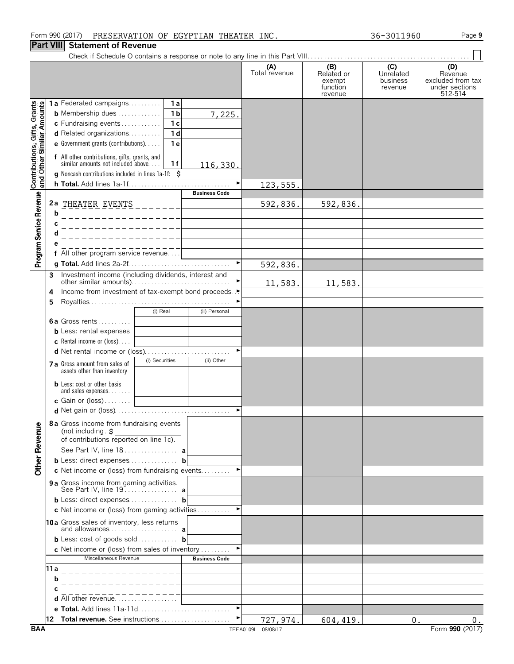### **Part VIII Statement of Revenue**

Check if Schedule O contains a response or note to any line in this P

|                      | ine in this Part VIII                              |                                         |                                                                  |
|----------------------|----------------------------------------------------|-----------------------------------------|------------------------------------------------------------------|
| (A)<br>Total revenue | (B)<br>Related or<br>exempt<br>function<br>revenue | (C)<br>Unrelated<br>business<br>revenue | (D)<br>Revenue<br>excluded from tax<br>under sections<br>512-514 |
|                      |                                                    |                                         |                                                                  |
|                      |                                                    |                                         |                                                                  |
|                      |                                                    |                                         |                                                                  |
|                      |                                                    |                                         |                                                                  |

|                                                           | 1a Federated campaigns<br>1 a                                                              |                      |           |           |    |       |
|-----------------------------------------------------------|--------------------------------------------------------------------------------------------|----------------------|-----------|-----------|----|-------|
|                                                           | <b>b</b> Membership dues $\ldots$<br>1 <sub>b</sub>                                        | 7,225.               |           |           |    |       |
|                                                           | c Fundraising events<br>1 <sub>c</sub>                                                     |                      |           |           |    |       |
|                                                           | d Related organizations<br>1 <sub>d</sub>                                                  |                      |           |           |    |       |
|                                                           | <b>e</b> Government grants (contributions). $\ldots$<br>1 e                                |                      |           |           |    |       |
|                                                           |                                                                                            |                      |           |           |    |       |
|                                                           | f All other contributions, gifts, grants, and<br>similar amounts not included above<br>1 f | 116,330.             |           |           |    |       |
| Contributions, Gifts, Grants<br>and Other Similar Amounts | g Noncash contributions included in lines 1a-1f: \$                                        |                      |           |           |    |       |
|                                                           |                                                                                            |                      | 123, 555. |           |    |       |
|                                                           |                                                                                            | <b>Business Code</b> |           |           |    |       |
|                                                           | 2a THEATER EVENTS<br>$- - - - - - -$                                                       |                      | 592,836.  | 592,836.  |    |       |
|                                                           | b<br>______________                                                                        |                      |           |           |    |       |
|                                                           | c<br>_______________                                                                       |                      |           |           |    |       |
|                                                           | d<br>_______________                                                                       |                      |           |           |    |       |
|                                                           | е                                                                                          |                      |           |           |    |       |
|                                                           | All other program service revenue                                                          |                      |           |           |    |       |
| Program Service Revenue                                   |                                                                                            |                      | 592,836.  |           |    |       |
|                                                           | Investment income (including dividends, interest and<br>3                                  |                      |           |           |    |       |
|                                                           |                                                                                            |                      | 11,583.   | 11,583.   |    |       |
|                                                           | Income from investment of tax-exempt bond proceeds. .•<br>4                                |                      |           |           |    |       |
|                                                           | 5                                                                                          |                      |           |           |    |       |
|                                                           | (i) Real                                                                                   | (ii) Personal        |           |           |    |       |
|                                                           | 6a Gross rents                                                                             |                      |           |           |    |       |
|                                                           | <b>b</b> Less: rental expenses                                                             |                      |           |           |    |       |
|                                                           | <b>c</b> Rental income or (loss)                                                           |                      |           |           |    |       |
|                                                           | d Net rental income or (loss)                                                              |                      |           |           |    |       |
|                                                           | (i) Securities<br>7 a Gross amount from sales of                                           | (ii) Other           |           |           |    |       |
|                                                           | assets other than inventory                                                                |                      |           |           |    |       |
|                                                           | <b>b</b> Less: cost or other basis                                                         |                      |           |           |    |       |
|                                                           | and sales expenses.                                                                        |                      |           |           |    |       |
|                                                           | c Gain or (loss)                                                                           |                      |           |           |    |       |
|                                                           |                                                                                            |                      |           |           |    |       |
|                                                           | 8a Gross income from fundraising events                                                    |                      |           |           |    |       |
|                                                           | (not including $s$<br>of contributions reported on line 1c).                               |                      |           |           |    |       |
|                                                           |                                                                                            |                      |           |           |    |       |
|                                                           | See Part IV, line 18  a                                                                    |                      |           |           |    |       |
| <b>Other Revenue</b>                                      | <b>b</b> Less: direct expenses <b>b</b>                                                    |                      |           |           |    |       |
|                                                           | c Net income or (loss) from fundraising events                                             |                      |           |           |    |       |
|                                                           | 9 a Gross income from gaming activities.                                                   |                      |           |           |    |       |
|                                                           | <b>b</b> Less: direct expenses <b>b</b>                                                    |                      |           |           |    |       |
|                                                           | c Net income or (loss) from gaming activities                                              |                      |           |           |    |       |
|                                                           |                                                                                            |                      |           |           |    |       |
|                                                           | 10a Gross sales of inventory, less returns<br>and allowances a                             |                      |           |           |    |       |
|                                                           | <b>b</b> Less: cost of goods sold <b>b</b>                                                 |                      |           |           |    |       |
|                                                           | c Net income or (loss) from sales of inventory $\dots\dots\dots$                           |                      |           |           |    |       |
|                                                           | Miscellaneous Revenue                                                                      | <b>Business Code</b> |           |           |    |       |
|                                                           | 11 a                                                                                       |                      |           |           |    |       |
|                                                           | b                                                                                          |                      |           |           |    |       |
|                                                           |                                                                                            |                      |           |           |    |       |
|                                                           | d All other revenue                                                                        |                      |           |           |    |       |
|                                                           | <b>e Total.</b> Add lines 11a-11d                                                          |                      |           |           |    |       |
|                                                           | 12 Total revenue. See instructions                                                         |                      | 727,974.  | 604, 419. | 0. | $0$ . |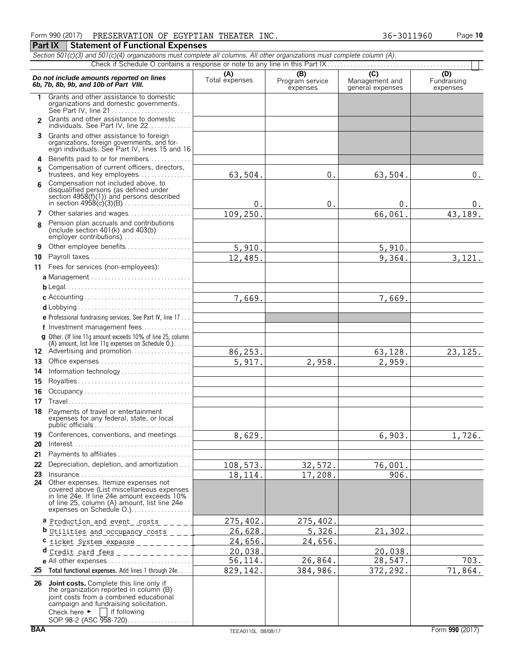| 1.             | Grants and other assistance to domestic<br>organizations and domestic governments.<br>See Part IV, line 21                                                                                                                                            |          |          |               |          |
|----------------|-------------------------------------------------------------------------------------------------------------------------------------------------------------------------------------------------------------------------------------------------------|----------|----------|---------------|----------|
| $\overline{2}$ | Grants and other assistance to domestic<br>individuals. See Part IV, line 22.                                                                                                                                                                         |          |          |               |          |
|                | 3 Grants and other assistance to foreign<br>organizations, foreign governments, and for-<br>eign individuals. See Part IV, lines 15 and 16                                                                                                            |          |          |               |          |
| 4              | Benefits paid to or for members                                                                                                                                                                                                                       |          |          |               |          |
| 5              | Compensation of current officers, directors,                                                                                                                                                                                                          |          |          |               |          |
| 6              | trustees, and key employees<br>Compensation not included above, to<br>disqualified persons (as defined under<br>section $4958(f)(1)$ and persons described                                                                                            | 63,504.  | 0.       | 63,504.       | $0$ .    |
|                |                                                                                                                                                                                                                                                       | $\Omega$ | 0.       | $\mathbf 0$ . | 0.       |
|                | 7 Other salaries and wages                                                                                                                                                                                                                            | 109,250. |          | 66,061        | 43,189.  |
| 8              | Pension plan accruals and contributions<br>(include section $401(k)$ and $403(b)$                                                                                                                                                                     |          |          |               |          |
| 9              | Other employee benefits                                                                                                                                                                                                                               | 5,910.   |          | 5,910         |          |
| 10             | Payroll taxes                                                                                                                                                                                                                                         | 12,485.  |          | 9,364.        | 3,121.   |
|                | 11 Fees for services (non-employees):                                                                                                                                                                                                                 |          |          |               |          |
|                |                                                                                                                                                                                                                                                       |          |          |               |          |
|                |                                                                                                                                                                                                                                                       |          |          |               |          |
|                |                                                                                                                                                                                                                                                       | 7,669.   |          | 7,669.        |          |
|                |                                                                                                                                                                                                                                                       |          |          |               |          |
|                | e Professional fundraising services. See Part IV, line 17                                                                                                                                                                                             |          |          |               |          |
|                | f Investment management fees                                                                                                                                                                                                                          |          |          |               |          |
|                | <b>g</b> Other. (If line 11g amount exceeds 10% of line 25, column<br>(A) amount, list line 11g expenses on Schedule $0.$ )                                                                                                                           |          |          |               |          |
|                | 12 Advertising and promotion                                                                                                                                                                                                                          | 86,253.  |          | 63,128.       | 23, 125. |
|                | 13 Office expenses                                                                                                                                                                                                                                    | 5,917.   | 2,958.   | 2,959.        |          |
|                | 14 Information technology                                                                                                                                                                                                                             |          |          |               |          |
| 15             |                                                                                                                                                                                                                                                       |          |          |               |          |
| 16             | Occupancy                                                                                                                                                                                                                                             |          |          |               |          |
| 17             |                                                                                                                                                                                                                                                       |          |          |               |          |
| 18             | Payments of travel or entertainment<br>expenses for any federal, state, or local                                                                                                                                                                      |          |          |               |          |
| 19.            | Conferences, conventions, and meetings                                                                                                                                                                                                                | 8,629.   |          | 6,903.        | 1,726.   |
| 20             | $Interest \dots \dots \dots \dots \dots \dots \dots \dots \dots \dots \dots \dots \dots \dots$                                                                                                                                                        |          |          |               |          |
| 21             | Payments to affiliates                                                                                                                                                                                                                                |          |          |               |          |
|                | 22 Depreciation, depletion, and amortization                                                                                                                                                                                                          | 108,573. | 32,572.  | 76,001        |          |
| 23             | $Insurance \ldots \ldots \ldots \ldots \ldots \ldots \ldots \ldots$                                                                                                                                                                                   | 18,114.  | 17,208.  | 906.          |          |
|                | 24 Other expenses. Itemize expenses not<br>covered above (List miscellaneous expenses<br>in line 24e. If line 24e amount exceeds 10%<br>of line 25, column (A) amount, list line 24e<br>expenses on Schedule O.)                                      |          |          |               |          |
|                | a Production and event costs                                                                                                                                                                                                                          | 275,402  | 275,402. |               |          |
|                | <b>b</b> Utilities and occupancy costs _ _ _ .                                                                                                                                                                                                        | 26,628.  | 5,326.   | 21,302        |          |
| с              | $ticket System-exparse _$                                                                                                                                                                                                                             | 24,656.  | 24,656.  |               |          |
|                | Credit card fees<br>.                                                                                                                                                                                                                                 | 20,038.  |          | 20,038.       |          |
|                | e All other expenses                                                                                                                                                                                                                                  | 56,114.  | 26,864.  | 28,547.       | 703.     |
| 25             | Total functional expenses. Add lines 1 through 24e                                                                                                                                                                                                    | 829,142. | 384,986. | 372,292.      | 71,864.  |
| 26             | Joint costs. Complete this line only if<br>the organization reported in column (B)<br>joint costs from a combined educational<br>campaign and fundraising solicitation.<br>if following<br>Check here $\blacktriangleright$<br>SOP 98-2 (ASC 958-720) |          |          |               |          |

#### Form 990 (2017) Page **10** PRESERVATION OF EGYPTIAN THEATER INC. 36-3011960 **Part IX Statement of Functional Expenses**

**Do not include amounts reported on lines** (A) (A) (B) (C) (C) and the amounts reported on lines (A) Total expenses Program service Management and expenses expenses expenses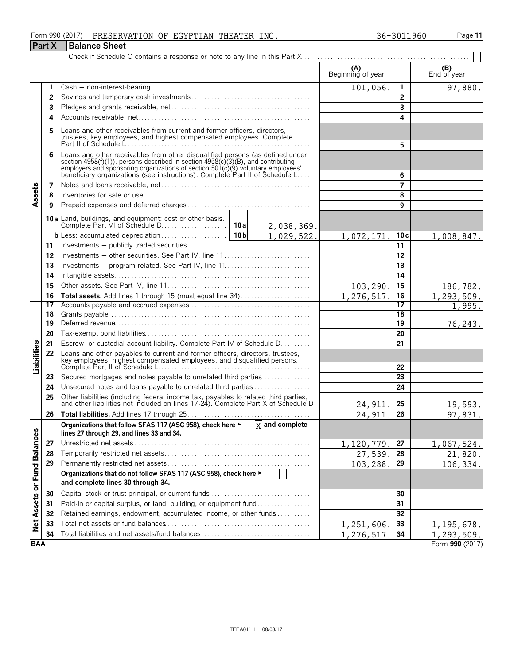#### Form 990 (2017) Page **11** PRESERVATION OF EGYPTIAN THEATER INC. 36-3011960

|                             | <b>Part X</b> | <b>Balance Sheet</b>                                                                                                                                                                                                                                                                                                  |         |                             |                          |                 |                    |
|-----------------------------|---------------|-----------------------------------------------------------------------------------------------------------------------------------------------------------------------------------------------------------------------------------------------------------------------------------------------------------------------|---------|-----------------------------|--------------------------|-----------------|--------------------|
|                             |               |                                                                                                                                                                                                                                                                                                                       |         |                             |                          |                 |                    |
|                             |               |                                                                                                                                                                                                                                                                                                                       |         |                             | (A)<br>Beginning of year |                 | (B)<br>End of year |
|                             | 1             |                                                                                                                                                                                                                                                                                                                       |         |                             | 101,056.                 | 1               | 97,880.            |
|                             | 2             |                                                                                                                                                                                                                                                                                                                       |         | $\overline{2}$              |                          |                 |                    |
|                             | 3             |                                                                                                                                                                                                                                                                                                                       |         | 3                           |                          |                 |                    |
|                             | 4             |                                                                                                                                                                                                                                                                                                                       |         |                             |                          | 4               |                    |
|                             | 5             | Loans and other receivables from current and former officers, directors,<br>trustees, key employees, and highest compensated employees. Complete                                                                                                                                                                      |         |                             | 5                        |                 |                    |
|                             | 6             | Loans and other receivables from other disqualified persons (as defined under<br>section 4958(f)(1)), persons described in section 4958(c)(3)(B), and contributing<br>employers and sponsoring organizations of section 501(c)(9) voluntary employees'<br>beneficiary organizations (see instructions). Complete Part |         |                             |                          | 6               |                    |
|                             | 7             |                                                                                                                                                                                                                                                                                                                       |         |                             |                          | $\overline{7}$  |                    |
| Assets                      | 8             |                                                                                                                                                                                                                                                                                                                       |         |                             |                          | 8               |                    |
|                             | 9             |                                                                                                                                                                                                                                                                                                                       |         |                             |                          | 9               |                    |
|                             |               |                                                                                                                                                                                                                                                                                                                       |         |                             |                          |                 |                    |
|                             |               |                                                                                                                                                                                                                                                                                                                       |         | 1,029,522.                  | 1,072,171.               | 10c             | 1,008,847.         |
|                             | 11            |                                                                                                                                                                                                                                                                                                                       |         |                             |                          | 11              |                    |
|                             | 12            | Investments - other securities. See Part IV, line 11                                                                                                                                                                                                                                                                  |         |                             |                          | 12              |                    |
|                             | 13            |                                                                                                                                                                                                                                                                                                                       |         |                             |                          | 13              |                    |
|                             | 14            |                                                                                                                                                                                                                                                                                                                       |         | 14                          |                          |                 |                    |
|                             | 15            |                                                                                                                                                                                                                                                                                                                       | 103,290 | 15                          | 186,782.                 |                 |                    |
|                             | 16            | Total assets. Add lines 1 through 15 (must equal line 34)                                                                                                                                                                                                                                                             |         |                             | 1,276,517.               | 16              | 1,293,509.         |
|                             | 17            |                                                                                                                                                                                                                                                                                                                       |         | 17                          | 1,995.                   |                 |                    |
|                             | 18            |                                                                                                                                                                                                                                                                                                                       |         |                             |                          | 18              |                    |
|                             | 19            |                                                                                                                                                                                                                                                                                                                       |         |                             |                          | $\overline{19}$ | 76,243.            |
|                             | 20            |                                                                                                                                                                                                                                                                                                                       |         |                             |                          | 20              |                    |
|                             | 21            | Escrow or custodial account liability. Complete Part IV of Schedule D.                                                                                                                                                                                                                                                |         |                             |                          | 21              |                    |
| Liabilities                 | 22            | Loans and other payables to current and former officers, directors, trustees,<br>key employees, highest compensated employees, and disqualified persons.                                                                                                                                                              |         |                             |                          | 22              |                    |
|                             | 23            | Secured mortgages and notes payable to unrelated third parties                                                                                                                                                                                                                                                        |         |                             |                          | 23              |                    |
|                             | 24            | Unsecured notes and loans payable to unrelated third parties                                                                                                                                                                                                                                                          |         |                             |                          | 24              |                    |
|                             | 25            |                                                                                                                                                                                                                                                                                                                       |         |                             |                          |                 |                    |
|                             |               | Other liabilities (including federal income tax, payables to related third parties, and other liabilities not included on lines 17-24). Complete Part X of Schedule D.                                                                                                                                                |         |                             | 24,911.                  | 25              | 19,593.            |
|                             | 26            |                                                                                                                                                                                                                                                                                                                       |         |                             | 24,911                   | 26              | 97,831.            |
|                             |               | Organizations that follow SFAS 117 (ASC 958), check here ►<br>lines 27 through 29, and lines 33 and 34.                                                                                                                                                                                                               |         | $\overline{X}$ and complete |                          |                 |                    |
|                             | 27            |                                                                                                                                                                                                                                                                                                                       |         |                             | 1,120,779.               | 27              | 1,067,524.         |
|                             | 28            |                                                                                                                                                                                                                                                                                                                       |         |                             | 27,539.                  | 28              | 21,820.            |
|                             | 29            |                                                                                                                                                                                                                                                                                                                       |         |                             | 103,288.                 | 29              | 106,334.           |
| Net Assets or Fund Balances |               | Organizations that do not follow SFAS 117 (ASC 958), check here ►<br>and complete lines 30 through 34.                                                                                                                                                                                                                |         |                             |                          |                 |                    |
|                             | 30            |                                                                                                                                                                                                                                                                                                                       |         |                             |                          | 30              |                    |
|                             | 31            | Paid-in or capital surplus, or land, building, or equipment fund                                                                                                                                                                                                                                                      |         |                             |                          | 31              |                    |
|                             | 32            | Retained earnings, endowment, accumulated income, or other funds                                                                                                                                                                                                                                                      |         |                             |                          | 32              |                    |
|                             | 33            |                                                                                                                                                                                                                                                                                                                       |         |                             | 1,251,606                | 33              | 1, 195, 678.       |
|                             | 34            | Total liabilities and net assets/fund balances                                                                                                                                                                                                                                                                        |         |                             | 1,276,517.               | 34              | 1, 293, 509.       |
| <b>BAA</b>                  |               |                                                                                                                                                                                                                                                                                                                       |         |                             |                          |                 | Form 990 (2017)    |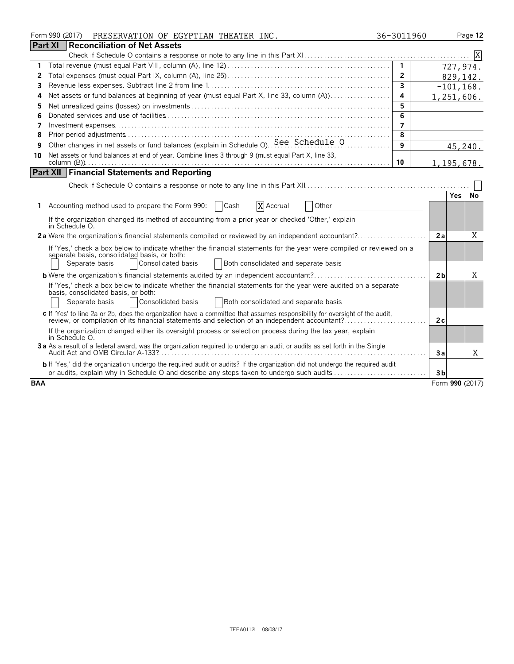|            | Form 990 (2017)<br>PRESERVATION OF EGYPTIAN THEATER INC.                                                                                                                                                                                             | 36-3011960     |                | Page 12         |
|------------|------------------------------------------------------------------------------------------------------------------------------------------------------------------------------------------------------------------------------------------------------|----------------|----------------|-----------------|
|            | <b>Part XI</b><br>Reconciliation of Net Assets                                                                                                                                                                                                       |                |                |                 |
|            |                                                                                                                                                                                                                                                      |                |                |                 |
| 1          |                                                                                                                                                                                                                                                      | $\mathbf{1}$   |                | 727,974.        |
| 2          |                                                                                                                                                                                                                                                      | $\overline{2}$ |                | 829,142.        |
| 3          |                                                                                                                                                                                                                                                      | $\overline{3}$ |                | $-101, 168.$    |
| 4          | Net assets or fund balances at beginning of year (must equal Part X, line 33, column (A))                                                                                                                                                            | 4              |                | 1,251,606.      |
| 5          |                                                                                                                                                                                                                                                      | 5              |                |                 |
| 6          |                                                                                                                                                                                                                                                      | 6              |                |                 |
| 7          |                                                                                                                                                                                                                                                      | 7              |                |                 |
| 8          |                                                                                                                                                                                                                                                      | 8              |                |                 |
| 9          | Other changes in net assets or fund balances (explain in Schedule O). See Schedule O                                                                                                                                                                 | 9              |                | 45,240.         |
| 10         | Net assets or fund balances at end of year. Combine lines 3 through 9 (must equal Part X, line 33,                                                                                                                                                   | 10             |                | 1,195,678.      |
|            | <b>Part XII</b> Financial Statements and Reporting                                                                                                                                                                                                   |                |                |                 |
|            |                                                                                                                                                                                                                                                      |                |                |                 |
|            |                                                                                                                                                                                                                                                      |                |                | No<br>Yes.      |
|            | 1 Accounting method used to prepare the Form 990:   Cash<br>X Accrual<br>Other                                                                                                                                                                       |                |                |                 |
|            | If the organization changed its method of accounting from a prior year or checked 'Other,' explain<br>in Schedule O.                                                                                                                                 |                |                |                 |
|            |                                                                                                                                                                                                                                                      |                | 2a             | X               |
|            | If 'Yes,' check a box below to indicate whether the financial statements for the year were compiled or reviewed on a<br>separate basis, consolidated basis, or both:<br>Separate basis<br>Consolidated basis<br>Both consolidated and separate basis |                |                |                 |
|            |                                                                                                                                                                                                                                                      |                |                | Χ               |
|            | <b>b</b> Were the organization's financial statements audited by an independent accountant?                                                                                                                                                          |                | 2 <sub>b</sub> |                 |
|            | If 'Yes,' check a box below to indicate whether the financial statements for the year were audited on a separate<br>basis, consolidated basis, or both:<br>Consolidated basis<br>Both consolidated and separate basis<br>Separate basis              |                |                |                 |
|            | c If 'Yes' to line 2a or 2b, does the organization have a committee that assumes responsibility for oversight of the audit,<br>review, or compilation of its financial statements and selection of an independent accountant?                        |                | 2c             |                 |
|            | If the organization changed either its oversight process or selection process during the tax year, explain<br>in Schedule O.                                                                                                                         |                |                |                 |
|            | 3a As a result of a federal award, was the organization required to undergo an audit or audits as set forth in the Single<br>Audit Act and OMB Circular A-133?                                                                                       |                | 3a             | X               |
|            | b If 'Yes,' did the organization undergo the required audit or audits? If the organization did not undergo the required audit<br>or audits, explain why in Schedule O and describe any steps taken to undergo such audits                            |                | 3 <sub>b</sub> |                 |
| <b>BAA</b> |                                                                                                                                                                                                                                                      |                |                | Form 990 (2017) |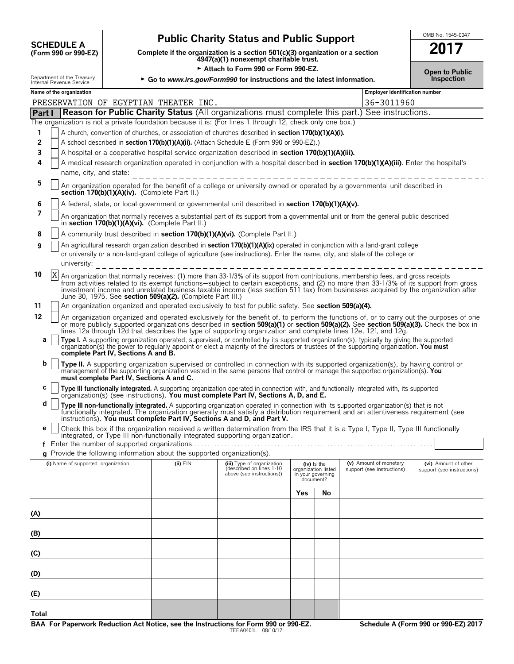| <b>SCHEDULE A</b>                                     |  |
|-------------------------------------------------------|--|
| $(T_{\alpha\mu m}$ QQN $_{\alpha\nu}$ QQN $_{\rm E7}$ |  |

# **Public Charity Status and Public Support**<br>Lete if the organization is a section 501(c)(3) organization or a section **2017**

**COMPOUTE A**<br>(Form 990 or 990-EZ) Complete if the organization is a section 501(c)(3) organization or a section<br>4947(a)(1) nonexempt charitable trust.

Attach to Form 990 or Form 990-EZ.

| OMB No. 1545-0047 |
|-------------------|
|                   |

|  | <b>Open to Public</b> |
|--|-----------------------|
|  | <b>Inspection</b>     |

|              | Open to Public<br>Department of the Treasury<br>Internal Revenue Service<br>Inspection<br>► Go to www.irs.gov/Form990 for instructions and the latest information.         |                                          |                                                                          |                                                                                                                                                                                                                                                                                                                                                                                                                    |                                                       |               |                                                      |                                                    |
|--------------|----------------------------------------------------------------------------------------------------------------------------------------------------------------------------|------------------------------------------|--------------------------------------------------------------------------|--------------------------------------------------------------------------------------------------------------------------------------------------------------------------------------------------------------------------------------------------------------------------------------------------------------------------------------------------------------------------------------------------------------------|-------------------------------------------------------|---------------|------------------------------------------------------|----------------------------------------------------|
|              | Name of the organization                                                                                                                                                   |                                          |                                                                          |                                                                                                                                                                                                                                                                                                                                                                                                                    |                                                       |               | Employer identification number                       |                                                    |
|              |                                                                                                                                                                            |                                          | PRESERVATION OF EGYPTIAN THEATER INC.                                    |                                                                                                                                                                                                                                                                                                                                                                                                                    |                                                       |               | 36-3011960                                           |                                                    |
| Part I       |                                                                                                                                                                            |                                          |                                                                          | <b>Reason for Public Charity Status (All organizations must complete this part.) See instructions.</b>                                                                                                                                                                                                                                                                                                             |                                                       |               |                                                      |                                                    |
|              |                                                                                                                                                                            |                                          |                                                                          | The organization is not a private foundation because it is: (For lines 1 through 12, check only one box.)                                                                                                                                                                                                                                                                                                          |                                                       |               |                                                      |                                                    |
| 1            | A church, convention of churches, or association of churches described in section 170(b)(1)(A)(i).                                                                         |                                          |                                                                          |                                                                                                                                                                                                                                                                                                                                                                                                                    |                                                       |               |                                                      |                                                    |
| 2            | A school described in section 170(b)(1)(A)(ii). (Attach Schedule E (Form 990 or 990-EZ).)                                                                                  |                                          |                                                                          |                                                                                                                                                                                                                                                                                                                                                                                                                    |                                                       |               |                                                      |                                                    |
| 3            |                                                                                                                                                                            |                                          |                                                                          | A hospital or a cooperative hospital service organization described in section 170(b)(1)(A)(iii).                                                                                                                                                                                                                                                                                                                  |                                                       |               |                                                      |                                                    |
| 4            |                                                                                                                                                                            |                                          |                                                                          | A medical research organization operated in conjunction with a hospital described in section 170(b)(1)(A)(iii). Enter the hospital's                                                                                                                                                                                                                                                                               |                                                       |               |                                                      |                                                    |
|              | name, city, and state:<br>__________________                                                                                                                               |                                          |                                                                          |                                                                                                                                                                                                                                                                                                                                                                                                                    |                                                       |               |                                                      |                                                    |
| 5            | An organization operated for the benefit of a college or university owned or operated by a governmental unit described in<br>section 170(b)(1)(A)(iv). (Complete Part II.) |                                          |                                                                          |                                                                                                                                                                                                                                                                                                                                                                                                                    |                                                       |               |                                                      |                                                    |
| 6            |                                                                                                                                                                            |                                          |                                                                          | A federal, state, or local government or governmental unit described in section 170(b)(1)(A)(v).                                                                                                                                                                                                                                                                                                                   |                                                       |               |                                                      |                                                    |
| 7            |                                                                                                                                                                            |                                          | in section 170(b)(1)(A)(vi). (Complete Part II.)                         | An organization that normally receives a substantial part of its support from a governmental unit or from the general public described                                                                                                                                                                                                                                                                             |                                                       |               |                                                      |                                                    |
| 8            |                                                                                                                                                                            |                                          |                                                                          | A community trust described in section 170(b)(1)(A)(vi). (Complete Part II.)                                                                                                                                                                                                                                                                                                                                       |                                                       |               |                                                      |                                                    |
| 9            |                                                                                                                                                                            |                                          |                                                                          | An agricultural research organization described in <b>section 170(b)(1)(A)(ix)</b> operated in conjunction with a land-grant college                                                                                                                                                                                                                                                                               |                                                       |               |                                                      |                                                    |
|              | university:                                                                                                                                                                |                                          |                                                                          | or university or a non-land-grant college of agriculture (see instructions). Enter the name, city, and state of the college or                                                                                                                                                                                                                                                                                     |                                                       |               |                                                      |                                                    |
| X<br>10      |                                                                                                                                                                            |                                          | June 30, 1975. See section 509(a)(2). (Complete Part III.)               | An organization that normally receives: (1) more than 33-1/3% of its support from contributions, membership fees, and gross receipts<br>from activities related to its exempt functions—subject to certain exceptions, and (2) no more than 33-1/3% of its support from gross<br>investment income and unrelated business taxable income (less section 511 tax) from businesses acquired by the organization after |                                                       |               |                                                      |                                                    |
| 11           |                                                                                                                                                                            |                                          |                                                                          | An organization organized and operated exclusively to test for public safety. See section 509(a)(4).                                                                                                                                                                                                                                                                                                               |                                                       |               |                                                      |                                                    |
| 12           |                                                                                                                                                                            |                                          |                                                                          | An organization organized and operated exclusively for the benefit of, to perform the functions of, or to carry out the purposes of one<br>or more publicly supported organizations described in section 509(a)(1) or section 509(a)(2). See section 509(a)(3). Check the box in<br>lines 12a through 12d that describes the type of supporting organization and complete lines 12e, 12f, and 12g.                 |                                                       |               |                                                      |                                                    |
| a            |                                                                                                                                                                            | complete Part IV, Sections A and B.      |                                                                          | Type I. A supporting organization operated, supervised, or controlled by its supported organization(s), typically by giving the supported<br>organization(s) the power to regularly appoint or elect a majority of the directors or trustees of the supporting organization. You must                                                                                                                              |                                                       |               |                                                      |                                                    |
| b            |                                                                                                                                                                            | must complete Part IV, Sections A and C. |                                                                          | Type II. A supporting organization supervised or controlled in connection with its supported organization(s), by having control or<br>management of the supporting organization vested in the same persons that control or manage the supported organization(s). You                                                                                                                                               |                                                       |               |                                                      |                                                    |
| с            |                                                                                                                                                                            |                                          |                                                                          | Type III functionally integrated. A supporting organization operated in connection with, and functionally integrated with, its supported organization(s) (see instructions). You must complete Part IV, Sections A, D, and E.                                                                                                                                                                                      |                                                       |               |                                                      |                                                    |
| d            |                                                                                                                                                                            |                                          |                                                                          | Type III non-functionally integrated. A supporting organization operated in connection with its supported organization(s) that is not<br>functionally integrated. The organization generally must satisfy a distribution requirement and an attentiveness requirement (see<br>instructions). You must complete Part IV, Sections A and D, and Part V.                                                              |                                                       |               |                                                      |                                                    |
| е            |                                                                                                                                                                            |                                          |                                                                          | Check this box if the organization received a written determination from the IRS that it is a Type I, Type II, Type III functionally<br>integrated, or Type III non-functionally integrated supporting organization.                                                                                                                                                                                               |                                                       |               |                                                      |                                                    |
|              |                                                                                                                                                                            |                                          |                                                                          |                                                                                                                                                                                                                                                                                                                                                                                                                    |                                                       |               |                                                      |                                                    |
|              |                                                                                                                                                                            |                                          | g Provide the following information about the supported organization(s). |                                                                                                                                                                                                                                                                                                                                                                                                                    |                                                       |               |                                                      |                                                    |
|              | (i) Name of supported organization                                                                                                                                         |                                          | (ii) EIN                                                                 | (iii) Type of organization<br>(described on lines 1-10<br>above (see instructions))                                                                                                                                                                                                                                                                                                                                | organization listed<br>in your governing<br>document? | $(iv)$ is the | (v) Amount of monetary<br>support (see instructions) | (vi) Amount of other<br>support (see instructions) |
|              |                                                                                                                                                                            |                                          |                                                                          |                                                                                                                                                                                                                                                                                                                                                                                                                    | Yes                                                   | No            |                                                      |                                                    |
|              |                                                                                                                                                                            |                                          |                                                                          |                                                                                                                                                                                                                                                                                                                                                                                                                    |                                                       |               |                                                      |                                                    |
| (A)          |                                                                                                                                                                            |                                          |                                                                          |                                                                                                                                                                                                                                                                                                                                                                                                                    |                                                       |               |                                                      |                                                    |
| (B)          |                                                                                                                                                                            |                                          |                                                                          |                                                                                                                                                                                                                                                                                                                                                                                                                    |                                                       |               |                                                      |                                                    |
| (C)          |                                                                                                                                                                            |                                          |                                                                          |                                                                                                                                                                                                                                                                                                                                                                                                                    |                                                       |               |                                                      |                                                    |
| (D)          |                                                                                                                                                                            |                                          |                                                                          |                                                                                                                                                                                                                                                                                                                                                                                                                    |                                                       |               |                                                      |                                                    |
| (E)          |                                                                                                                                                                            |                                          |                                                                          |                                                                                                                                                                                                                                                                                                                                                                                                                    |                                                       |               |                                                      |                                                    |
| <b>Total</b> |                                                                                                                                                                            |                                          |                                                                          |                                                                                                                                                                                                                                                                                                                                                                                                                    |                                                       |               |                                                      |                                                    |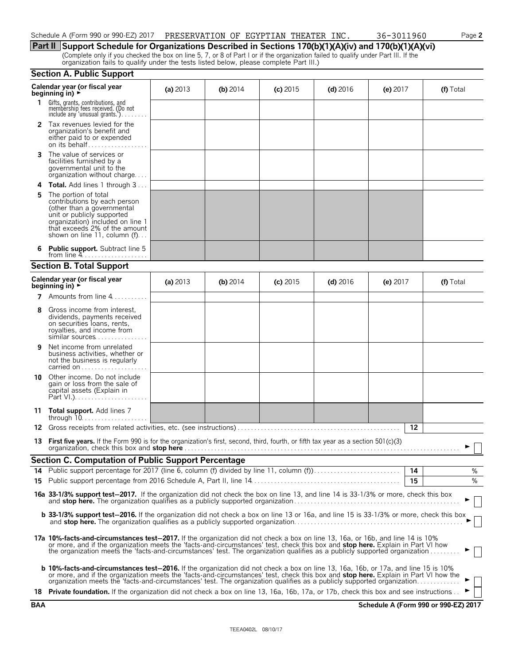| Schedule A (Form 990 or 990-EZ) 2017 | PRESERVATION OF EGYPTIAN THEATER |  | INC. | 36-3011960 | Page 2 |
|--------------------------------------|----------------------------------|--|------|------------|--------|
|                                      |                                  |  |      |            |        |

**Part II Support Schedule for Organizations Described in Sections 170(b)(1)(A)(iv) and 170(b)(1)(A)(vi)** (Complete only if you checked the box on line 5, 7, or 8 of Part I or if the organization failed to qualify under Part III. If the organization fails to qualify under the tests listed below, please complete Part III.)

#### **Section A. Public Support**

|    | Calendar year (or fiscal year<br>beginning in) ►                                                                                                                                                                                                                                                                                                                                                          | (a) $2013$ | (b) $2014$ | $(c)$ 2015 | $(d)$ 2016 | (e) $2017$ |    | (f) Total |
|----|-----------------------------------------------------------------------------------------------------------------------------------------------------------------------------------------------------------------------------------------------------------------------------------------------------------------------------------------------------------------------------------------------------------|------------|------------|------------|------------|------------|----|-----------|
| 1. | Gifts, grants, contributions, and<br>membership fees received. (Do not<br>include any 'unusual grants.')                                                                                                                                                                                                                                                                                                  |            |            |            |            |            |    |           |
|    | <b>2</b> Tax revenues levied for the<br>organization's benefit and<br>either paid to or expended<br>on its behalf                                                                                                                                                                                                                                                                                         |            |            |            |            |            |    |           |
| 3. | The value of services or<br>facilities furnished by a<br>governmental unit to the<br>organization without charge                                                                                                                                                                                                                                                                                          |            |            |            |            |            |    |           |
|    | Total. Add lines 1 through 3                                                                                                                                                                                                                                                                                                                                                                              |            |            |            |            |            |    |           |
|    | The portion of total<br>contributions by each person<br>(other than a governmental<br>unit or publicly supported<br>organization) included on line 1<br>that exceeds 2% of the amount<br>shown on line 11, column $(f)$                                                                                                                                                                                   |            |            |            |            |            |    |           |
|    | 6 Public support. Subtract line 5                                                                                                                                                                                                                                                                                                                                                                         |            |            |            |            |            |    |           |
|    | <b>Section B. Total Support</b>                                                                                                                                                                                                                                                                                                                                                                           |            |            |            |            |            |    |           |
|    | Calendar year (or fiscal year<br>beginning in) $\rightarrow$                                                                                                                                                                                                                                                                                                                                              | (a) $2013$ | (b) $2014$ | $(c)$ 2015 | $(d)$ 2016 | (e) $2017$ |    | (f) Total |
|    | <b>7</b> Amounts from line $4$                                                                                                                                                                                                                                                                                                                                                                            |            |            |            |            |            |    |           |
| 8  | Gross income from interest,<br>dividends, payments received<br>on securities loans, rents,<br>royalties, and income from<br>similar sources                                                                                                                                                                                                                                                               |            |            |            |            |            |    |           |
| 9  | Net income from unrelated<br>business activities, whether or<br>not the business is regularly                                                                                                                                                                                                                                                                                                             |            |            |            |            |            |    |           |
| 10 | Other income. Do not include<br>gain or loss from the sale of<br>capital assets (Explain in                                                                                                                                                                                                                                                                                                               |            |            |            |            |            |    |           |
|    | 11 Total support. Add lines 7<br>through $10. \ldots \ldots \ldots \ldots \ldots$                                                                                                                                                                                                                                                                                                                         |            |            |            |            |            |    |           |
| 12 |                                                                                                                                                                                                                                                                                                                                                                                                           |            |            |            |            |            | 12 |           |
|    | 13 First five years. If the Form 990 is for the organization's first, second, third, fourth, or fifth tax year as a section 501(c)(3)                                                                                                                                                                                                                                                                     |            |            |            |            |            |    |           |
|    | <b>Section C. Computation of Public Support Percentage</b>                                                                                                                                                                                                                                                                                                                                                |            |            |            |            |            |    |           |
|    |                                                                                                                                                                                                                                                                                                                                                                                                           |            |            |            |            | 14         | 15 | %<br>%    |
|    | 16a 33-1/3% support test-2017. If the organization did not check the box on line 13, and line 14 is 33-1/3% or more, check this box                                                                                                                                                                                                                                                                       |            |            |            |            |            |    |           |
|    | <b>b 33-1/3% support test-2016.</b> If the organization did not check a box on line 13 or 16a, and line 15 is 33-1/3% or more, check this box                                                                                                                                                                                                                                                             |            |            |            |            |            |    |           |
|    | 17a 10%-facts-and-circumstances test-2017. If the organization did not check a box on line 13, 16a, or 16b, and line 14 is 10%<br>or more, and if the organization meets the 'facts-and-circumstances' test, check this box and stop here. Explain in Part VI how<br>the organization meets the 'facts-and-circumstances' test. The organization qualifies as a publicly supported organization           |            |            |            |            |            |    |           |
|    | <b>b 10%-facts-and-circumstances test-2016.</b> If the organization did not check a box on line 13, 16a, 16b, or 17a, and line 15 is 10%<br>or more, and if the organization meets the 'facts-and-circumstances' test, check this box and stop here. Explain in Part VI how the<br>organization meets the 'facts-and-circumstances' test. The organization qualifies as a publicly supported organization |            |            |            |            |            |    |           |
|    | 18 Private foundation. If the organization did not check a box on line 13, 16a, 16b, 17a, or 17b, check this box and see instructions                                                                                                                                                                                                                                                                     |            |            |            |            |            |    |           |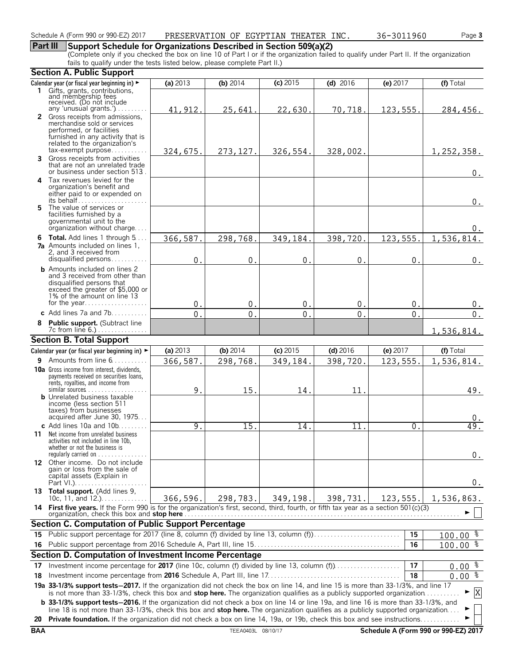#### Schedule A (Form 990 or 990-EZ) 2017 Page **3** PRESERVATION OF EGYPTIAN THEATER INC. 36-3011960

### **Part III Support Schedule for Organizations Described in Section 509(a)(2)**

(Complete only if you checked the box on line 10 of Part I or if the organization failed to qualify under Part II. If the organization fails to qualify under the tests listed below, please complete Part II.)

|     | <b>Section A. Public Support</b>                                                                                                                                                                                                                                      |               |                 |                |             |           |                      |  |  |  |
|-----|-----------------------------------------------------------------------------------------------------------------------------------------------------------------------------------------------------------------------------------------------------------------------|---------------|-----------------|----------------|-------------|-----------|----------------------|--|--|--|
|     | Calendar year (or fiscal year beginning in) ►                                                                                                                                                                                                                         | (a) 2013      | (b) $2014$      | $(c)$ 2015     | (d) $2016$  | (e) 2017  | (f) Total            |  |  |  |
|     | 1 Gifts, grants, contributions,                                                                                                                                                                                                                                       |               |                 |                |             |           |                      |  |  |  |
|     | and membership fees<br>received. (Do not include                                                                                                                                                                                                                      |               |                 |                |             |           |                      |  |  |  |
|     | any 'unusual grants.') $\ldots \ldots$<br>2 Gross receipts from admissions,                                                                                                                                                                                           | 41, 912.      | 25,641.         | 22,630.        | 70,718.     | 123,555.  | 284,456.             |  |  |  |
|     | merchandise sold or services                                                                                                                                                                                                                                          |               |                 |                |             |           |                      |  |  |  |
|     | performed, or facilities                                                                                                                                                                                                                                              |               |                 |                |             |           |                      |  |  |  |
|     | furnished in any activity that is<br>related to the organization's                                                                                                                                                                                                    |               |                 |                |             |           |                      |  |  |  |
|     | $tax\text{-}exempt$ purpose                                                                                                                                                                                                                                           | 324,675.      | 273, 127.       | 326,554.       | 328,002.    |           | 1, 252, 358.         |  |  |  |
| 3   | Gross receipts from activities<br>that are not an unrelated trade                                                                                                                                                                                                     |               |                 |                |             |           |                      |  |  |  |
|     | or business under section 513.                                                                                                                                                                                                                                        |               |                 |                |             |           | $0_{.}$              |  |  |  |
|     | 4 Tax revenues levied for the                                                                                                                                                                                                                                         |               |                 |                |             |           |                      |  |  |  |
|     | organization's benefit and<br>either paid to or expended on                                                                                                                                                                                                           |               |                 |                |             |           |                      |  |  |  |
|     |                                                                                                                                                                                                                                                                       |               |                 |                |             |           | 0.                   |  |  |  |
|     | 5 The value of services or                                                                                                                                                                                                                                            |               |                 |                |             |           |                      |  |  |  |
|     | facilities furnished by a<br>governmental unit to the                                                                                                                                                                                                                 |               |                 |                |             |           |                      |  |  |  |
|     | organization without charge                                                                                                                                                                                                                                           |               |                 |                |             |           | $0$ .                |  |  |  |
|     | 6 Total. Add lines 1 through 5                                                                                                                                                                                                                                        | 366,587.      | 298,768.        | 349,184.       | 398,720.    | 123, 555. | 1,536,814.           |  |  |  |
|     | <b>7a</b> Amounts included on lines 1,<br>2, and 3 received from                                                                                                                                                                                                      |               |                 |                |             |           |                      |  |  |  |
|     | disqualified persons                                                                                                                                                                                                                                                  | 0.            | $\mathbf 0$ .   | $\mathbf 0$ .  | $\mathbf 0$ | 0.        | $0$ .                |  |  |  |
|     | <b>b</b> Amounts included on lines 2                                                                                                                                                                                                                                  |               |                 |                |             |           |                      |  |  |  |
|     | and 3 received from other than<br>disqualified persons that                                                                                                                                                                                                           |               |                 |                |             |           |                      |  |  |  |
|     | exceed the greater of \$5,000 or                                                                                                                                                                                                                                      |               |                 |                |             |           |                      |  |  |  |
|     | 1% of the amount on line 13<br>for the year                                                                                                                                                                                                                           |               |                 |                |             |           |                      |  |  |  |
|     | c Add lines $7a$ and $7b$                                                                                                                                                                                                                                             | 0.            | 0.              | 0.             | 0.          | 0.        | 0.                   |  |  |  |
| 8   | Public support. (Subtract line                                                                                                                                                                                                                                        | $\mathbf 0$ . | $\mathbf{0}$ .  | $\mathbf{0}$ . | 0           | 0.        | 0.                   |  |  |  |
|     | 7c from line 6.)                                                                                                                                                                                                                                                      |               |                 |                |             |           | 1,536,814.           |  |  |  |
|     | <b>Section B. Total Support</b>                                                                                                                                                                                                                                       |               |                 |                |             |           |                      |  |  |  |
|     | Calendar year (or fiscal year beginning in) ►                                                                                                                                                                                                                         | (a) 2013      | (b) 2014        | $(c)$ 2015     | (d) $2016$  | (e) 2017  | (f) Total            |  |  |  |
|     | <b>9</b> Amounts from line $6, \ldots, \ldots$                                                                                                                                                                                                                        | 366,587.      | 298,768.        | 349,184.       | 398,720.    | 123,555.  | 1,536,814.           |  |  |  |
|     | <b>10a</b> Gross income from interest, dividends,                                                                                                                                                                                                                     |               |                 |                |             |           |                      |  |  |  |
|     | payments received on securities loans,<br>rents, royalties, and income from                                                                                                                                                                                           |               |                 |                |             |           |                      |  |  |  |
|     |                                                                                                                                                                                                                                                                       | 9.            | 15.             | 14.            | 11.         |           | 49.                  |  |  |  |
|     | <b>b</b> Unrelated business taxable<br>income (less section 511)                                                                                                                                                                                                      |               |                 |                |             |           |                      |  |  |  |
|     | taxes) from businesses                                                                                                                                                                                                                                                |               |                 |                |             |           |                      |  |  |  |
|     | acquired after June 30, 1975                                                                                                                                                                                                                                          |               |                 |                |             |           | 0.                   |  |  |  |
|     | c Add lines $10a$ and $10b$<br><b>11</b> Net income from unrelated business                                                                                                                                                                                           | 9.            | $\overline{15}$ | 14.            | 11          | 0.        | 49.                  |  |  |  |
|     | activities not included in line 10b,                                                                                                                                                                                                                                  |               |                 |                |             |           |                      |  |  |  |
|     | whether or not the business is<br>regularly carried on $\dots\dots\dots\dots$                                                                                                                                                                                         |               |                 |                |             |           |                      |  |  |  |
|     | 12 Other income. Do not include                                                                                                                                                                                                                                       |               |                 |                |             |           | $0$ .                |  |  |  |
|     | gain or loss from the sale of                                                                                                                                                                                                                                         |               |                 |                |             |           |                      |  |  |  |
|     | capital assets (Explain in                                                                                                                                                                                                                                            |               |                 |                |             |           | $0$ .                |  |  |  |
|     | 13 Total support. (Add lines 9,                                                                                                                                                                                                                                       |               |                 |                |             |           |                      |  |  |  |
|     | 10c, 11, and $12.$ )                                                                                                                                                                                                                                                  | 366,596.      | 298,783.        | 349,198.       | 398,731.    | 123,555.  | 1,536,863.           |  |  |  |
|     | 14 First five years. If the Form 990 is for the organization's first, second, third, fourth, or fifth tax year as a section 501(c)(3)<br>organization, check this box and stop here                                                                                   |               |                 |                |             |           |                      |  |  |  |
|     | <b>Section C. Computation of Public Support Percentage</b>                                                                                                                                                                                                            |               |                 |                |             |           |                      |  |  |  |
| 15  | Public support percentage for 2017 (line 8, column (f) divided by line 13, column (f)                                                                                                                                                                                 |               |                 |                |             | 15        | $100.00$ %           |  |  |  |
| 16. |                                                                                                                                                                                                                                                                       |               |                 |                |             | 16        | $100.00$ %           |  |  |  |
|     | Section D. Computation of Investment Income Percentage                                                                                                                                                                                                                |               |                 |                |             |           |                      |  |  |  |
| 17  | Investment income percentage for 2017 (line 10c, column (f) divided by line 13, column (f)                                                                                                                                                                            |               |                 |                |             | 17        | $0.00$ $\frac{8}{3}$ |  |  |  |
| 18  |                                                                                                                                                                                                                                                                       |               |                 |                |             | 18        | $0.00\frac{2}{3}$    |  |  |  |
|     | 19a 33-1/3% support tests-2017. If the organization did not check the box on line 14, and line 15 is more than 33-1/3%, and line 17                                                                                                                                   |               |                 |                |             |           |                      |  |  |  |
|     | is not more than 33-1/3%, check this box and stop here. The organization qualifies as a publicly supported organization<br><b>b</b> 33-1/3% support tests-2016. If the organization did not check a box on line 14 or line 19a, and line 16 is more than 33-1/3%, and |               |                 |                |             |           | X                    |  |  |  |
|     |                                                                                                                                                                                                                                                                       |               |                 |                |             |           |                      |  |  |  |
|     | line 18 is not more than 33-1/3%, check this box and stop here. The organization qualifies as a publicly supported organization<br>20 Private foundation. If the organization did not check a box on line 14, 19a, or 19b, check this box and see instructions        |               |                 |                |             |           |                      |  |  |  |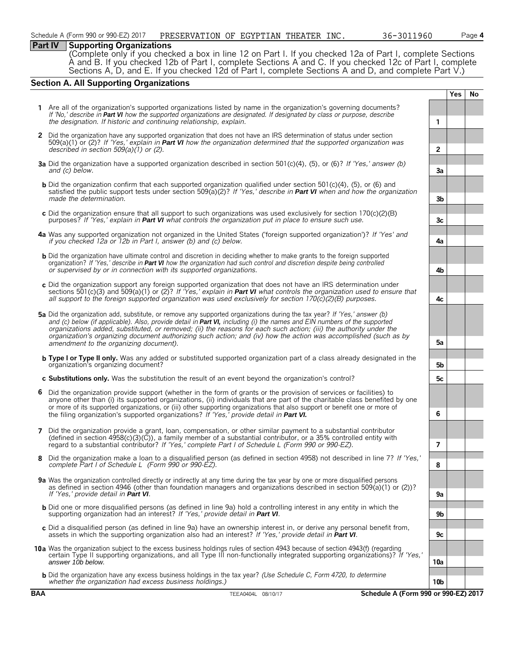#### **Part IV Supporting Organizations**

(Complete only if you checked a box in line 12 on Part I. If you checked 12a of Part I, complete Sections A and B. If you checked 12b of Part I, complete Sections A and C. If you checked 12c of Part I, complete Sections A, D, and E. If you checked 12d of Part I, complete Sections A and D, and complete Part V.)

### **Section A. All Supporting Organizations**

**Yes No 1** Are all of the organization's supported organizations listed by name in the organization's governing documents? *If 'No,' describe in Part VI how the supported organizations are designated. If designated by class or purpose, describe the designation. If historic and continuing relationship, explain.* **1 2** Did the organization have any supported organization that does not have an IRS determination of status under section 509(a)(1) or (2)? *If 'Yes,' explain in Part VI how the organization determined that the supported organization was described in section 509(a)(1) or (2).* **2 3a** Did the organization have a supported organization described in section 501(c)(4), (5), or (6)? *If 'Yes,' answer (b) and (c) below.* **3a b** Did the organization confirm that each supported organization qualified under section 501(c)(4), (5), or (6) and satisfied the public support tests under section 509(a)(2)? *If 'Yes,' describe in Part VI when and how the organization made the determination.* **3b c** Did the organization ensure that all support to such organizations was used exclusively for section 170(c)(2)(B) purposes? *If 'Yes,' explain in Part VI what controls the organization put in place to ensure such use.*  $\begin{bmatrix} 1 & 3c \\ 2c & 3c \end{bmatrix}$  *3c* **4a** Was any supported organization not organized in the United States ('foreign supported organization')? *If 'Yes' and if you checked 12a or 12b in Part I, answer (b) and (c) below.* **4a b** Did the organization have ultimate control and discretion in deciding whether to make grants to the foreign supported organization? *If 'Yes,' describe in Part VI how the organization had such control and discretion despite being controlled or supervised by or in connection with its supported organizations.* **4b c** Did the organization support any foreign supported organization that does not have an IRS determination under sections 501(c)(3) and 509(a)(1) or (2)? *If 'Yes,' explain in Part VI what controls the organization used to ensure that all support to the foreign supported organization was used exclusively for section 170(c)(2)(B) purposes.* **4c 5a** Did the organization add, substitute, or remove any supported organizations during the tax year? *If 'Yes,' answer (b) and (c) below (if applicable). Also, provide detail in Part VI, including (i) the names and EIN numbers of the supported organizations added, substituted, or removed; (ii) the reasons for each such action; (iii) the authority under the organization's organizing document authorizing such action; and (iv) how the action was accomplished (such as by amendment to the organizing document).* **5a b Type I or Type II only.** Was any added or substituted supported organization part of a class already designated in the organization's organizing document? **5b c Substitutions only.** Was the substitution the result of an event beyond the organization's control? **5c 6** Did the organization provide support (whether in the form of grants or the provision of services or facilities) to anyone other than (i) its supported organizations, (ii) individuals that are part of the charitable class benefited by one or more of its supported organizations, or (iii) other supporting organizations that also support or benefit one or more of the filing organization's supported organizations? *If 'Yes,' provide detail in Part VI.* **6 7** Did the organization provide a grant, loan, compensation, or other similar payment to a substantial contributor (defined in section 4958(c)(3)(C)), a family member of a substantial contributor, or a 35% controlled entity with regard to a substantial contributor? *If 'Yes,' complete Part I of Schedule L (Form 990 or 990-EZ).* **7 8** Did the organization make a loan to a disqualified person (as defined in section 4958) not described in line 7? *If 'Yes,' complete Part I of Schedule L (Form 990 or 990-EZ).* **8 9a** Was the organization controlled directly or indirectly at any time during the tax year by one or more disqualified persons as defined in section 4946 (other than foundation managers and organizations described in section 509(a)(1) or (2))? *If 'Yes,' provide detail in Part VI*. b Did one or more disqualified persons (as defined in line 9a) hold a controlling interest in any entity in which the<br>supporting organization had an interest? If 'Yes,' provide detail in Part VI. **c** Did a disqualified person (as defined in line 9a) have an ownership interest in, or derive any personal benefit from, assets in which the supporting organization also had an interest? *If 'Yes,' provide detail in Part VI*. **9c 10a** Was the organization subject to the excess business holdings rules of section 4943 because of section 4943(f) (regarding certain Type II supporting organizations, and all Type III non-functionally integrated supporting organizations)? *If 'Yes,' answer 10b below.* **10a b** Did the organization have any excess business holdings in the tax year? *(Use Schedule C, Form 4720, to determine whether the organization had excess business holdings.)* **10b**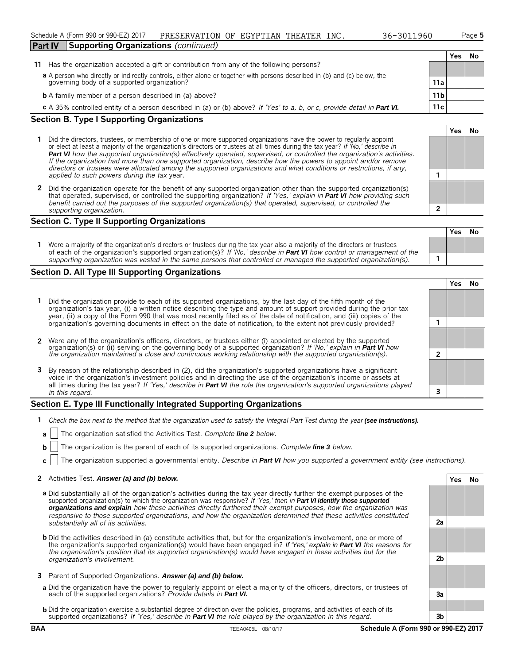**Yes No**

**Yes No**

|                                                                                                                           |                 | Yes | Nο |
|---------------------------------------------------------------------------------------------------------------------------|-----------------|-----|----|
| 11 Has the organization accepted a gift or contribution from any of the following persons?                                |                 |     |    |
| a A person who directly or indirectly controls, either alone or together with persons described in (b) and (c) below, the |                 |     |    |
| governing body of a supported organization?                                                                               | 11a             |     |    |
| <b>b</b> A family member of a person described in (a) above?                                                              | 11 <sub>b</sub> |     |    |
| c A 35% controlled entity of a person described in (a) or (b) above? If 'Yes' to a, b, or c, provide detail in Part VI.   | 11c             |     |    |
| $\ddot{\phantom{1}}$                                                                                                      |                 |     |    |

### **Section B. Type I Supporting Organizations**

- **1** Did the directors, trustees, or membership of one or more supported organizations have the power to regularly appoint or elect at least a majority of the organization's directors or trustees at all times during the tax year? *If 'No,' describe in Part VI how the supported organization(s) effectively operated, supervised, or controlled the organization's activities. If the organization had more than one supported organization, describe how the powers to appoint and/or remove directors or trustees were allocated among the supported organizations and what conditions or restrictions, if any, applied to such powers during the tax* year. **1**
- **2** Did the organization operate for the benefit of any supported organization other than the supported organization(s) that operated, supervised, or controlled the supporting organization? *If 'Yes,' explain in Part VI how providing such benefit carried out the purposes of the supported organization(s) that operated, supervised, or controlled the supporting organization.* **2**

#### **Section C. Type II Supporting Organizations**

| Were a majority of the organization's directors or trustees during the tax year also a majority of the directors or trustees<br>of each of the organization's supported organization(s)? If 'No,' describe in <b>Part VI</b> how control or management of the | .<br>. |
|---------------------------------------------------------------------------------------------------------------------------------------------------------------------------------------------------------------------------------------------------------------|--------|
|                                                                                                                                                                                                                                                               |        |
| supporting organization was vested in the same persons that controlled or managed the supported organization(s).                                                                                                                                              |        |

### **Section D. All Type III Supporting Organizations**

|                                                                                                                                                                                                                                                                                                                                                                      |  | res |  |  |  |  |
|----------------------------------------------------------------------------------------------------------------------------------------------------------------------------------------------------------------------------------------------------------------------------------------------------------------------------------------------------------------------|--|-----|--|--|--|--|
| 1 Did the organization provide to each of its supported organizations, by the last day of the fifth month of the<br>organization's tax year, (i) a written notice describing the type and amount of support provided during the prior tax<br>year, (ii) a copy of the Form 990 that was most recently filed as of the date of notification, and (iii) copies of the  |  |     |  |  |  |  |
| organization's governing documents in effect on the date of notification, to the extent not previously provided?                                                                                                                                                                                                                                                     |  |     |  |  |  |  |
| 2 Were any of the organization's officers, directors, or trustees either (i) appointed or elected by the supported organization(s) or (ii) serving on the governing body of a supported organization? If 'No,' explain in Part                                                                                                                                       |  |     |  |  |  |  |
|                                                                                                                                                                                                                                                                                                                                                                      |  |     |  |  |  |  |
| 3 By reason of the relationship described in (2), did the organization's supported organizations have a significant<br>voice in the organization's investment policies and in directing the use of the organization's income or assets at<br>all times during the tax year? If 'Yes,' describe in Part VI the role the organization's supported organizations played |  |     |  |  |  |  |
| ∍<br>in this regard.                                                                                                                                                                                                                                                                                                                                                 |  |     |  |  |  |  |

### **Section E. Type III Functionally Integrated Supporting Organizations**

- **1** *Check the box next to the method that the organization used to satisfy the Integral Part Test during the year (see instructions).* 
	- **a** The organization satisfied the Activities Test. *Complete line 2 below.*
	- **b** The organization is the parent of each of its supported organizations. *Complete line 3 below.*
	- **c** The organization supported a governmental entity. *Describe in Part VI how you supported a government entity (see instructions).*

#### **2** Activities Test. *Answer (a) and (b) below.* **Yes No**

- **a** Did substantially all of the organization's activities during the tax year directly further the exempt purposes of the supported organization(s) to which the organization was responsive? *If 'Yes,' then in Part VI identify those supported organizations and explain how these activities directly furthered their exempt purposes, how the organization was responsive to those supported organizations, and how the organization determined that these activities constituted substantially all of its activities.* **2a**
- **b** Did the activities described in (a) constitute activities that, but for the organization's involvement, one or more of the organization's supported organization(s) would have been engaged in? *If 'Yes,' explain in Part VI the reasons for the organization's position that its supported organization(s) would have engaged in these activities but for the organization's involvement.* **2b**
- **3** Parent of Supported Organizations. *Answer (a) and (b) below.*
- **a** Did the organization have the power to regularly appoint or elect a majority of the officers, directors, or trustees of each of the supported organizations? *Provide details in Part VI.* **3a**
- **b** Did the organization exercise a substantial degree of direction over the policies, programs, and activities of each of its supported organizations? *If 'Yes,' describe in Part VI the role played by the organization in this regard.* **3b**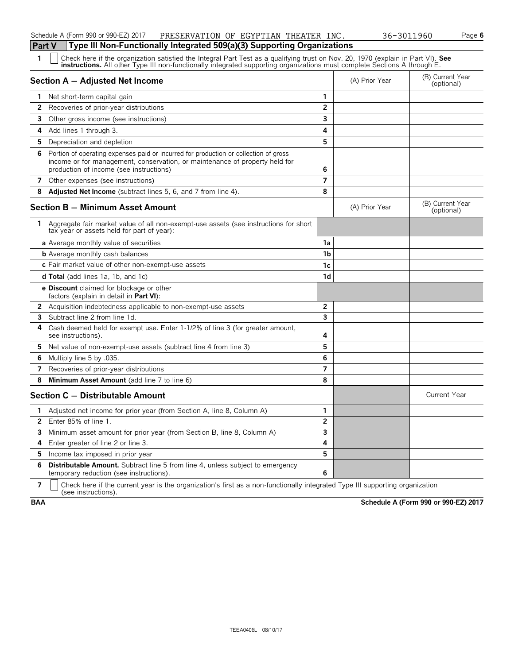### Schedule A (Form 990 or 990-EZ) 2017 PRESERVATION OF EGYPTIAN THEATER INC. 36-3011960 Page 6

|              | Type III Non-Functionally Integrated 509(a)(3) Supporting Organizations<br><b>Part V</b>                                                                                                                                       |                |                |                                |  |  |  |  |
|--------------|--------------------------------------------------------------------------------------------------------------------------------------------------------------------------------------------------------------------------------|----------------|----------------|--------------------------------|--|--|--|--|
| 1            | Check here if the organization satisfied the Integral Part Test as a qualifying trust on Nov. 20, 1970 (explain in Part VI). See instructions. All other Type III non-functionally integrated supporting organizations must co |                |                |                                |  |  |  |  |
|              | Section A - Adjusted Net Income                                                                                                                                                                                                |                | (A) Prior Year | (B) Current Year<br>(optional) |  |  |  |  |
| $\mathbf{1}$ | Net short-term capital gain                                                                                                                                                                                                    | $\mathbf{1}$   |                |                                |  |  |  |  |
| $\mathbf{2}$ | Recoveries of prior-year distributions                                                                                                                                                                                         | $\overline{2}$ |                |                                |  |  |  |  |
| 3            | Other gross income (see instructions)                                                                                                                                                                                          | 3              |                |                                |  |  |  |  |
| 4            | Add lines 1 through 3.                                                                                                                                                                                                         | 4              |                |                                |  |  |  |  |
| 5            | Depreciation and depletion                                                                                                                                                                                                     | 5              |                |                                |  |  |  |  |
| 6            | Portion of operating expenses paid or incurred for production or collection of gross<br>income or for management, conservation, or maintenance of property held for<br>production of income (see instructions)                 | 6              |                |                                |  |  |  |  |
| 7            | Other expenses (see instructions)                                                                                                                                                                                              | $\overline{7}$ |                |                                |  |  |  |  |
| 8            | Adjusted Net Income (subtract lines 5, 6, and 7 from line 4).                                                                                                                                                                  | 8              |                |                                |  |  |  |  |
|              | <b>Section B - Minimum Asset Amount</b>                                                                                                                                                                                        |                | (A) Prior Year | (B) Current Year<br>(optional) |  |  |  |  |
| 1            | Aggregate fair market value of all non-exempt-use assets (see instructions for short<br>tax year or assets held for part of year):                                                                                             |                |                |                                |  |  |  |  |
|              | a Average monthly value of securities                                                                                                                                                                                          | 1a             |                |                                |  |  |  |  |
|              | <b>b</b> Average monthly cash balances                                                                                                                                                                                         | 1 <sub>b</sub> |                |                                |  |  |  |  |
|              | c Fair market value of other non-exempt-use assets                                                                                                                                                                             | 1c             |                |                                |  |  |  |  |
|              | <b>d Total</b> (add lines 1a, 1b, and 1c)                                                                                                                                                                                      | 1 <sub>d</sub> |                |                                |  |  |  |  |
|              | e Discount claimed for blockage or other<br>factors (explain in detail in <b>Part VI</b> ):                                                                                                                                    |                |                |                                |  |  |  |  |
|              | <b>2</b> Acquisition indebtedness applicable to non-exempt-use assets                                                                                                                                                          | $\overline{2}$ |                |                                |  |  |  |  |
| 3            | Subtract line 2 from line 1d.                                                                                                                                                                                                  | 3              |                |                                |  |  |  |  |
| 4            | Cash deemed held for exempt use. Enter 1-1/2% of line 3 (for greater amount,<br>see instructions).                                                                                                                             | 4              |                |                                |  |  |  |  |
| 5.           | Net value of non-exempt-use assets (subtract line 4 from line 3)                                                                                                                                                               | 5              |                |                                |  |  |  |  |
| 6            | Multiply line 5 by .035.                                                                                                                                                                                                       | 6              |                |                                |  |  |  |  |
| 7            | Recoveries of prior-year distributions                                                                                                                                                                                         | $\overline{7}$ |                |                                |  |  |  |  |
| 8            | Minimum Asset Amount (add line 7 to line 6)                                                                                                                                                                                    | 8              |                |                                |  |  |  |  |
|              | Section C - Distributable Amount                                                                                                                                                                                               |                |                | <b>Current Year</b>            |  |  |  |  |
| $\mathbf{1}$ | Adjusted net income for prior year (from Section A, line 8, Column A)                                                                                                                                                          | $\mathbf{1}$   |                |                                |  |  |  |  |
| 2            | Enter 85% of line 1.                                                                                                                                                                                                           | $\mathbf{2}$   |                |                                |  |  |  |  |
|              | 3 Minimum asset amount for prior year (from Section B, line 8, Column A)                                                                                                                                                       | 3              |                |                                |  |  |  |  |
| 4            | Enter greater of line 2 or line 3.                                                                                                                                                                                             | 4              |                |                                |  |  |  |  |
| 5.           | Income tax imposed in prior year                                                                                                                                                                                               | 5              |                |                                |  |  |  |  |
| 6            | <b>Distributable Amount.</b> Subtract line 5 from line 4, unless subject to emergency<br>temporary reduction (see instructions).                                                                                               | 6              |                |                                |  |  |  |  |

**7**  $\mid$  Check here if the current year is the organization's first as a non-functionally integrated Type III supporting organization (see instructions).

**BAA Schedule A (Form 990 or 990-EZ) 2017**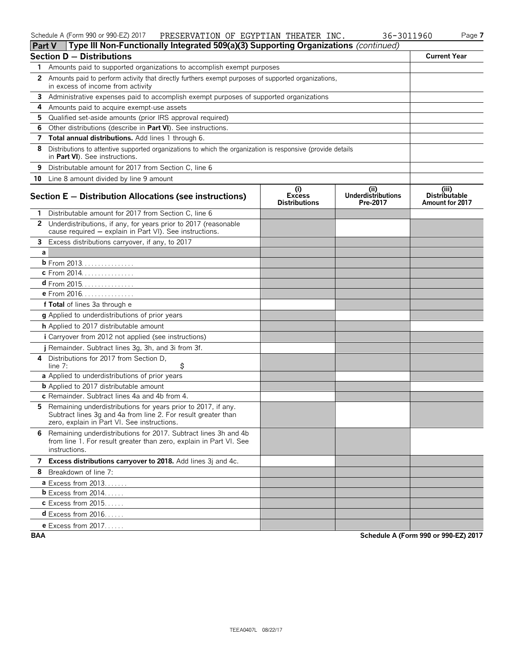### Schedule A (Form 990 or 990-EZ) 2017 PRESERVATION OF EGYPTIAN THEATER INC. 36-3011960 Page **7**

| 3011960 |  |  |
|---------|--|--|
|---------|--|--|

| Type III Non-Functionally Integrated 509(a)(3) Supporting Organizations (continued)<br>Part V                                                                                       |                                              |                                              |                                                         |
|-------------------------------------------------------------------------------------------------------------------------------------------------------------------------------------|----------------------------------------------|----------------------------------------------|---------------------------------------------------------|
| <b>Section D - Distributions</b>                                                                                                                                                    |                                              |                                              | <b>Current Year</b>                                     |
| 1 Amounts paid to supported organizations to accomplish exempt purposes                                                                                                             |                                              |                                              |                                                         |
| Amounts paid to perform activity that directly furthers exempt purposes of supported organizations,<br>2<br>in excess of income from activity                                       |                                              |                                              |                                                         |
| 3<br>Administrative expenses paid to accomplish exempt purposes of supported organizations                                                                                          |                                              |                                              |                                                         |
| Amounts paid to acquire exempt-use assets<br>4                                                                                                                                      |                                              |                                              |                                                         |
| Qualified set-aside amounts (prior IRS approval required)<br>5                                                                                                                      |                                              |                                              |                                                         |
| Other distributions (describe in Part VI). See instructions.<br>6                                                                                                                   |                                              |                                              |                                                         |
| Total annual distributions. Add lines 1 through 6.<br>7                                                                                                                             |                                              |                                              |                                                         |
| Distributions to attentive supported organizations to which the organization is responsive (provide details<br>8<br>in Part VI). See instructions.                                  |                                              |                                              |                                                         |
| Distributable amount for 2017 from Section C, line 6<br>9                                                                                                                           |                                              |                                              |                                                         |
| Line 8 amount divided by line 9 amount<br>10                                                                                                                                        |                                              |                                              |                                                         |
| Section $E -$ Distribution Allocations (see instructions)                                                                                                                           | (i)<br><b>Excess</b><br><b>Distributions</b> | (i)<br><b>Underdistributions</b><br>Pre-2017 | (iii)<br><b>Distributable</b><br><b>Amount for 2017</b> |
| Distributable amount for 2017 from Section C, line 6<br>1.                                                                                                                          |                                              |                                              |                                                         |
| 2 Underdistributions, if any, for years prior to 2017 (reasonable<br>cause required - explain in Part VI). See instructions.                                                        |                                              |                                              |                                                         |
| 3 Excess distributions carryover, if any, to 2017                                                                                                                                   |                                              |                                              |                                                         |
| а                                                                                                                                                                                   |                                              |                                              |                                                         |
| <b>b</b> From 2013.                                                                                                                                                                 |                                              |                                              |                                                         |
| c From 2014.                                                                                                                                                                        |                                              |                                              |                                                         |
| <b>d</b> From 2015.                                                                                                                                                                 |                                              |                                              |                                                         |
| e From 2016.                                                                                                                                                                        |                                              |                                              |                                                         |
| f Total of lines 3a through e                                                                                                                                                       |                                              |                                              |                                                         |
| g Applied to underdistributions of prior years                                                                                                                                      |                                              |                                              |                                                         |
| h Applied to 2017 distributable amount                                                                                                                                              |                                              |                                              |                                                         |
| <i>i</i> Carryover from 2012 not applied (see instructions)                                                                                                                         |                                              |                                              |                                                         |
| j Remainder. Subtract lines 3g, 3h, and 3i from 3f.                                                                                                                                 |                                              |                                              |                                                         |
| Distributions for 2017 from Section D,<br>4<br>\$<br>line 7:                                                                                                                        |                                              |                                              |                                                         |
| a Applied to underdistributions of prior years                                                                                                                                      |                                              |                                              |                                                         |
| <b>b</b> Applied to 2017 distributable amount                                                                                                                                       |                                              |                                              |                                                         |
| c Remainder. Subtract lines 4a and 4b from 4.                                                                                                                                       |                                              |                                              |                                                         |
| Remaining underdistributions for years prior to 2017, if any.<br>5.<br>Subtract lines 3g and 4a from line 2. For result greater than<br>zero, explain in Part VI. See instructions. |                                              |                                              |                                                         |
| 6 Remaining underdistributions for 2017. Subtract lines 3h and 4b<br>from line 1. For result greater than zero, explain in Part VI. See<br>instructions.                            |                                              |                                              |                                                         |
| 7 Excess distributions carryover to 2018. Add lines 3j and 4c.                                                                                                                      |                                              |                                              |                                                         |
| Breakdown of line 7:<br>8                                                                                                                                                           |                                              |                                              |                                                         |
| <b>a</b> Excess from $2013$                                                                                                                                                         |                                              |                                              |                                                         |
| <b>b</b> Excess from $2014$                                                                                                                                                         |                                              |                                              |                                                         |
| $c$ Excess from 2015                                                                                                                                                                |                                              |                                              |                                                         |
| $d$ Excess from 2016                                                                                                                                                                |                                              |                                              |                                                         |
| <b>e</b> Excess from $2017$                                                                                                                                                         |                                              |                                              |                                                         |
| <b>BAA</b>                                                                                                                                                                          |                                              |                                              | Schedule A (Form 990 or 990-EZ) 2017                    |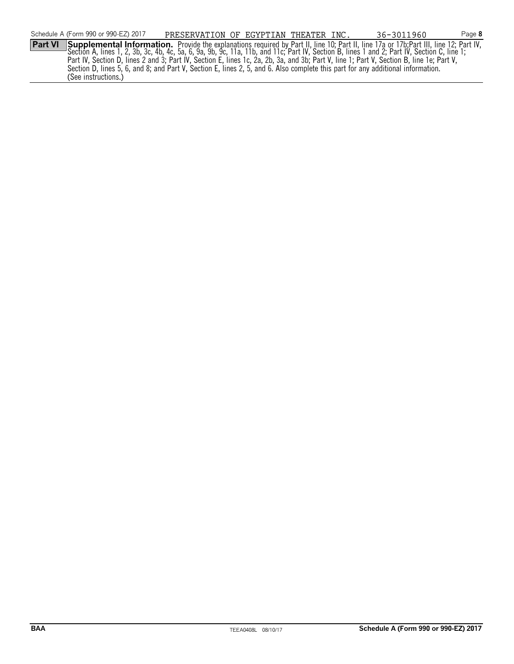Section A, lines 1, 2, 3b, 3c, 4b, 4c, 5a, 6, 9a, 9b, 9c, 11a, 11b, and 11c; Part IV, Section B, lines 1 and 2; Part IV, Section C, line 1; Part IV, Section D, lines 2 and 3; Part IV, Section E, lines 1c, 2a, 2b, 3a, and 3b; Part V, line 1; Part V, Section B, line 1e; Part V, Section D, lines 5, 6, and 8; and Part V, Section E, lines 2, 5, and 6. Also complete this part for any additional information. (See instructions.)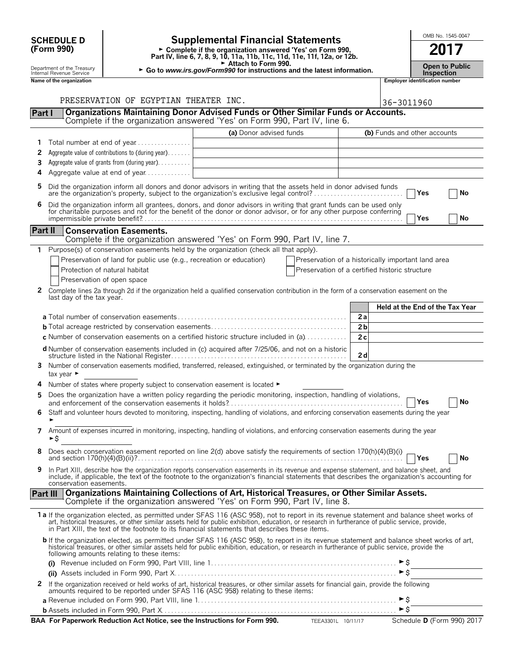|                | <b>SCHEDULE D</b>                                      |                                                                                                   | <b>Supplemental Financial Statements</b>                                                                                                                                                                                                                                                                                                                                                       |                                                    |                     |                                       | OMB No. 1545-0047     |  |  |
|----------------|--------------------------------------------------------|---------------------------------------------------------------------------------------------------|------------------------------------------------------------------------------------------------------------------------------------------------------------------------------------------------------------------------------------------------------------------------------------------------------------------------------------------------------------------------------------------------|----------------------------------------------------|---------------------|---------------------------------------|-----------------------|--|--|
|                | (Form 990)                                             |                                                                                                   | ► Complete if the organization answered 'Yes' on Form 990,<br>Part IV, line 6, 7, 8, 9, 10, 11a, 11b, 11c, 11d, 11e, 11f, 12a, or 12b.                                                                                                                                                                                                                                                         |                                                    |                     | 2017                                  |                       |  |  |
|                | Department of the Treasury<br>Internal Revenue Service |                                                                                                   | ► Attach to Form 990.<br>► Go to www.irs.gov/Form990 for instructions and the latest information.                                                                                                                                                                                                                                                                                              |                                                    |                     | <b>Inspection</b>                     | <b>Open to Public</b> |  |  |
|                | Name of the organization                               |                                                                                                   |                                                                                                                                                                                                                                                                                                                                                                                                |                                                    |                     | <b>Employer identification number</b> |                       |  |  |
|                |                                                        |                                                                                                   |                                                                                                                                                                                                                                                                                                                                                                                                |                                                    |                     |                                       |                       |  |  |
|                |                                                        | PRESERVATION OF EGYPTIAN THEATER INC.                                                             |                                                                                                                                                                                                                                                                                                                                                                                                |                                                    | 36-3011960          |                                       |                       |  |  |
| Part I         |                                                        |                                                                                                   | Organizations Maintaining Donor Advised Funds or Other Similar Funds or Accounts.<br>Complete if the organization answered 'Yes' on Form 990, Part IV, line 6.                                                                                                                                                                                                                                 |                                                    |                     |                                       |                       |  |  |
|                |                                                        |                                                                                                   | (a) Donor advised funds                                                                                                                                                                                                                                                                                                                                                                        |                                                    |                     | (b) Funds and other accounts          |                       |  |  |
|                |                                                        | Total number at end of year                                                                       |                                                                                                                                                                                                                                                                                                                                                                                                |                                                    |                     |                                       |                       |  |  |
| 2              |                                                        | Aggregate value of contributions to (during year)                                                 |                                                                                                                                                                                                                                                                                                                                                                                                |                                                    |                     |                                       |                       |  |  |
| 3              |                                                        | Aggregate value of grants from (during year)                                                      |                                                                                                                                                                                                                                                                                                                                                                                                |                                                    |                     |                                       |                       |  |  |
| 4              |                                                        | Aggregate value at end of year                                                                    |                                                                                                                                                                                                                                                                                                                                                                                                |                                                    |                     |                                       |                       |  |  |
| 5              |                                                        |                                                                                                   | Did the organization inform all donors and donor advisors in writing that the assets held in donor advised funds                                                                                                                                                                                                                                                                               |                                                    |                     | Yes                                   | No                    |  |  |
| 6              |                                                        |                                                                                                   | Did the organization inform all grantees, donors, and donor advisors in writing that grant funds can be used only                                                                                                                                                                                                                                                                              |                                                    |                     |                                       |                       |  |  |
|                |                                                        |                                                                                                   | for charitable purposes and not for the benefit of the donor or donor advisor, or for any other purpose conferring                                                                                                                                                                                                                                                                             |                                                    |                     | Yes                                   | No                    |  |  |
| <b>Part II</b> |                                                        | <b>Conservation Easements.</b>                                                                    |                                                                                                                                                                                                                                                                                                                                                                                                |                                                    |                     |                                       |                       |  |  |
|                |                                                        |                                                                                                   | Complete if the organization answered 'Yes' on Form 990, Part IV, line 7.                                                                                                                                                                                                                                                                                                                      |                                                    |                     |                                       |                       |  |  |
| $\mathbf{1}$   |                                                        |                                                                                                   | Purpose(s) of conservation easements held by the organization (check all that apply).                                                                                                                                                                                                                                                                                                          |                                                    |                     |                                       |                       |  |  |
|                |                                                        | Preservation of land for public use (e.g., recreation or education)                               |                                                                                                                                                                                                                                                                                                                                                                                                | Preservation of a historically important land area |                     |                                       |                       |  |  |
|                |                                                        | Protection of natural habitat                                                                     |                                                                                                                                                                                                                                                                                                                                                                                                | Preservation of a certified historic structure     |                     |                                       |                       |  |  |
| 2              |                                                        | Preservation of open space                                                                        | Complete lines 2a through 2d if the organization held a qualified conservation contribution in the form of a conservation easement on the                                                                                                                                                                                                                                                      |                                                    |                     |                                       |                       |  |  |
|                | last day of the tax year.                              |                                                                                                   |                                                                                                                                                                                                                                                                                                                                                                                                |                                                    |                     |                                       |                       |  |  |
|                |                                                        |                                                                                                   |                                                                                                                                                                                                                                                                                                                                                                                                |                                                    |                     | Held at the End of the Tax Year       |                       |  |  |
|                |                                                        |                                                                                                   |                                                                                                                                                                                                                                                                                                                                                                                                | 2a                                                 |                     |                                       |                       |  |  |
|                |                                                        |                                                                                                   | <b>c</b> Number of conservation easements on a certified historic structure included in (a) $\dots$                                                                                                                                                                                                                                                                                            | 2 <sub>b</sub><br>2c                               |                     |                                       |                       |  |  |
|                |                                                        |                                                                                                   |                                                                                                                                                                                                                                                                                                                                                                                                |                                                    |                     |                                       |                       |  |  |
|                |                                                        |                                                                                                   | d Number of conservation easements included in (c) acquired after 7/25/06, and not on a historic                                                                                                                                                                                                                                                                                               | 2d                                                 |                     |                                       |                       |  |  |
| 3              | tax year $\blacktriangleright$                         |                                                                                                   | Number of conservation easements modified, transferred, released, extinguished, or terminated by the organization during the                                                                                                                                                                                                                                                                   |                                                    |                     |                                       |                       |  |  |
| 4              |                                                        | Number of states where property subject to conservation easement is located $\blacktriangleright$ |                                                                                                                                                                                                                                                                                                                                                                                                |                                                    |                     |                                       |                       |  |  |
|                |                                                        |                                                                                                   | Does the organization have a written policy regarding the periodic monitoring, inspection, handling of violations,                                                                                                                                                                                                                                                                             |                                                    |                     |                                       |                       |  |  |
|                |                                                        |                                                                                                   | Staff and volunteer hours devoted to monitoring, inspecting, handling of violations, and enforcing conservation easements during the year                                                                                                                                                                                                                                                      |                                                    |                     | Yes                                   | No                    |  |  |
| 6              |                                                        |                                                                                                   |                                                                                                                                                                                                                                                                                                                                                                                                |                                                    |                     |                                       |                       |  |  |
| 7              | ►\$                                                    |                                                                                                   | Amount of expenses incurred in monitoring, inspecting, handling of violations, and enforcing conservation easements during the year                                                                                                                                                                                                                                                            |                                                    |                     |                                       |                       |  |  |
| 8              |                                                        |                                                                                                   | Does each conservation easement reported on line 2(d) above satisfy the requirements of section 170(h)(4)(B)(i)                                                                                                                                                                                                                                                                                |                                                    |                     | Yes                                   | No                    |  |  |
| 9              |                                                        |                                                                                                   | In Part XIII, describe how the organization reports conservation easements in its revenue and expense statement, and balance sheet, and<br>include, if applicable, the text of the footnote to the organization's financial statements that describes the organization's accounting for                                                                                                        |                                                    |                     |                                       |                       |  |  |
|                | conservation easements.                                |                                                                                                   |                                                                                                                                                                                                                                                                                                                                                                                                |                                                    |                     |                                       |                       |  |  |
|                | <b>Part III</b>                                        |                                                                                                   | Organizations Maintaining Collections of Art, Historical Treasures, or Other Similar Assets.<br>Complete if the organization answered 'Yes' on Form 990, Part IV, line 8.                                                                                                                                                                                                                      |                                                    |                     |                                       |                       |  |  |
|                |                                                        |                                                                                                   | 1a If the organization elected, as permitted under SFAS 116 (ASC 958), not to report in its revenue statement and balance sheet works of<br>art, historical treasures, or other similar assets held for public exhibition, education, or research in furtherance of public service, provide,<br>in Part XIII, the text of the footnote to its financial statements that describes these items. |                                                    |                     |                                       |                       |  |  |
|                |                                                        | following amounts relating to these items:                                                        | b If the organization elected, as permitted under SFAS 116 (ASC 958), to report in its revenue statement and balance sheet works of art,<br>historical treasures, or other similar assets held for public exhibition, education, or research in furtherance of public service, provide the                                                                                                     |                                                    |                     |                                       |                       |  |  |
|                |                                                        |                                                                                                   |                                                                                                                                                                                                                                                                                                                                                                                                |                                                    | $\triangleright$ \$ |                                       |                       |  |  |
| 2              |                                                        |                                                                                                   | If the organization received or held works of art, historical treasures, or other similar assets for financial gain, provide the following<br>amounts required to be reported under SFAS 116 (ASC 958) relating to these items:                                                                                                                                                                |                                                    |                     |                                       |                       |  |  |
|                |                                                        |                                                                                                   |                                                                                                                                                                                                                                                                                                                                                                                                |                                                    |                     |                                       |                       |  |  |
|                |                                                        |                                                                                                   |                                                                                                                                                                                                                                                                                                                                                                                                |                                                    |                     |                                       |                       |  |  |

**BAA For Paperwork Reduction Act Notice, see the Instructions for Form 990.** TEEA3301L 10/11/17 Schedule D (Form 990) 2017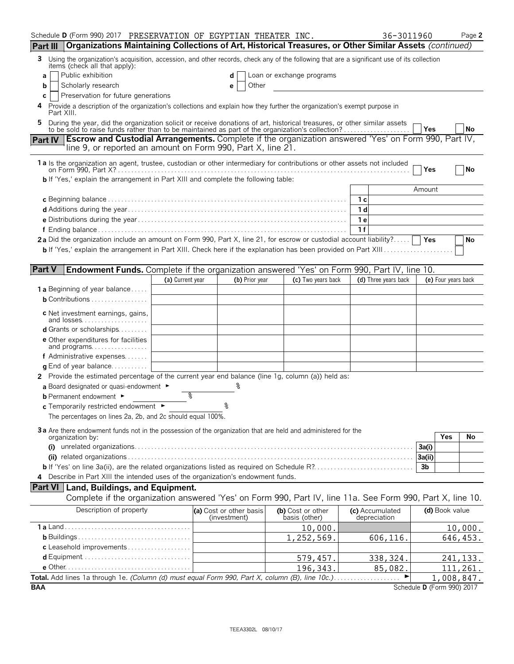| Schedule D (Form 990) 2017 PRESERVATION OF EGYPTIAN THEATER INC.                                                                                                                                                          |                  |                                         |                                    | 36-3011960                      |                            | Page 2    |
|---------------------------------------------------------------------------------------------------------------------------------------------------------------------------------------------------------------------------|------------------|-----------------------------------------|------------------------------------|---------------------------------|----------------------------|-----------|
| Organizations Maintaining Collections of Art, Historical Treasures, or Other Similar Assets (continued)<br>Part III                                                                                                       |                  |                                         |                                    |                                 |                            |           |
| Using the organization's acquisition, accession, and other records, check any of the following that are a significant use of its collection<br>3<br>items (check all that apply):                                         |                  |                                         |                                    |                                 |                            |           |
| Public exhibition<br>a                                                                                                                                                                                                    |                  | d                                       | Loan or exchange programs          |                                 |                            |           |
| Scholarly research<br>b                                                                                                                                                                                                   |                  | Other<br>е                              |                                    |                                 |                            |           |
| Preservation for future generations<br>C                                                                                                                                                                                  |                  |                                         |                                    |                                 |                            |           |
| Provide a description of the organization's collections and explain how they further the organization's exempt purpose in<br>4<br>Part XIII.                                                                              |                  |                                         |                                    |                                 |                            |           |
| During the year, did the organization solicit or receive donations of art, historical treasures, or other similar assets to be sold to raise funds rather than to be maintained as part of the organization's collection? |                  |                                         |                                    |                                 | Yes                        | <b>No</b> |
| <b>Escrow and Custodial Arrangements.</b> Complete if the organization answered 'Yes' on Form 990, Part IV,<br><b>Part IV</b>                                                                                             |                  |                                         |                                    |                                 |                            |           |
| line 9, or reported an amount on Form 990, Part X, line 21.                                                                                                                                                               |                  |                                         |                                    |                                 |                            |           |
|                                                                                                                                                                                                                           |                  |                                         |                                    |                                 |                            |           |
| 1a Is the organization an agent, trustee, custodian or other intermediary for contributions or other assets not included                                                                                                  |                  |                                         |                                    |                                 | Yes                        | No        |
| <b>b</b> If 'Yes,' explain the arrangement in Part XIII and complete the following table:                                                                                                                                 |                  |                                         |                                    |                                 |                            |           |
|                                                                                                                                                                                                                           |                  |                                         |                                    |                                 | Amount                     |           |
|                                                                                                                                                                                                                           |                  |                                         |                                    | 1 с                             |                            |           |
|                                                                                                                                                                                                                           |                  |                                         |                                    | 1 d                             |                            |           |
|                                                                                                                                                                                                                           |                  |                                         |                                    | 1е                              |                            |           |
|                                                                                                                                                                                                                           |                  |                                         |                                    | 1f                              |                            |           |
| 2a Did the organization include an amount on Form 990, Part X, line 21, for escrow or custodial account liability?                                                                                                        |                  |                                         |                                    |                                 | Yes                        | No        |
|                                                                                                                                                                                                                           |                  |                                         |                                    |                                 |                            |           |
|                                                                                                                                                                                                                           |                  |                                         |                                    |                                 |                            |           |
| <b>Part V</b><br><b>Endowment Funds.</b> Complete if the organization answered 'Yes' on Form 990, Part IV, line 10.                                                                                                       |                  |                                         |                                    |                                 |                            |           |
|                                                                                                                                                                                                                           | (a) Current year | (b) Prior year                          | (c) Two years back                 | (d) Three years back            | (e) Four years back        |           |
| <b>1 a</b> Beginning of year balance                                                                                                                                                                                      |                  |                                         |                                    |                                 |                            |           |
| <b>b</b> Contributions $\ldots \ldots \ldots \ldots \ldots$                                                                                                                                                               |                  |                                         |                                    |                                 |                            |           |
| c Net investment earnings, gains,<br>and losses                                                                                                                                                                           |                  |                                         |                                    |                                 |                            |           |
| <b>d</b> Grants or scholarships                                                                                                                                                                                           |                  |                                         |                                    |                                 |                            |           |
| <b>e</b> Other expenditures for facilities                                                                                                                                                                                |                  |                                         |                                    |                                 |                            |           |
| and programs                                                                                                                                                                                                              |                  |                                         |                                    |                                 |                            |           |
| f Administrative expenses                                                                                                                                                                                                 |                  |                                         |                                    |                                 |                            |           |
| <b>g</b> End of year balance                                                                                                                                                                                              |                  |                                         |                                    |                                 |                            |           |
| 2 Provide the estimated percentage of the current year end balance (line 1g, column (a)) held as:                                                                                                                         |                  |                                         |                                    |                                 |                            |           |
| a Board designated or quasi-endowment $\blacktriangleright$                                                                                                                                                               |                  |                                         |                                    |                                 |                            |           |
| <b>b</b> Permanent endowment ►                                                                                                                                                                                            | နွ               |                                         |                                    |                                 |                            |           |
| c Temporarily restricted endowment ►                                                                                                                                                                                      |                  | ٥                                       |                                    |                                 |                            |           |
| The percentages on lines 2a, 2b, and 2c should equal 100%.                                                                                                                                                                |                  |                                         |                                    |                                 |                            |           |
| 3a Are there endowment funds not in the possession of the organization that are held and administered for the                                                                                                             |                  |                                         |                                    |                                 |                            |           |
| organization by:                                                                                                                                                                                                          |                  |                                         |                                    |                                 | Yes                        | No        |
|                                                                                                                                                                                                                           |                  |                                         |                                    |                                 | 3a(i)                      |           |
|                                                                                                                                                                                                                           |                  |                                         |                                    |                                 | 3a(ii)                     |           |
|                                                                                                                                                                                                                           |                  |                                         |                                    |                                 | 3 <sub>b</sub>             |           |
| 4 Describe in Part XIII the intended uses of the organization's endowment funds.                                                                                                                                          |                  |                                         |                                    |                                 |                            |           |
| <b>Part VI</b> Land, Buildings, and Equipment.                                                                                                                                                                            |                  |                                         |                                    |                                 |                            |           |
| Complete if the organization answered 'Yes' on Form 990, Part IV, line 11a. See Form 990, Part X, line 10.                                                                                                                |                  |                                         |                                    |                                 |                            |           |
| Description of property                                                                                                                                                                                                   |                  | (a) Cost or other basis<br>(investment) | (b) Cost or other<br>basis (other) | (c) Accumulated<br>depreciation | (d) Book value             |           |
|                                                                                                                                                                                                                           |                  |                                         | 10,000.                            |                                 |                            | 10,000.   |
|                                                                                                                                                                                                                           |                  |                                         | 1,252,569.                         | 606,116.                        |                            | 646, 453. |
| c Leasehold improvements                                                                                                                                                                                                  |                  |                                         |                                    |                                 |                            |           |
|                                                                                                                                                                                                                           |                  |                                         | 579,457.                           | 338, 324.                       |                            | 241, 133. |
|                                                                                                                                                                                                                           |                  |                                         | 196, 343.                          | 85,082.                         |                            | 111,261.  |
| Total. Add lines 1a through 1e. (Column (d) must equal Form 990, Part X, column (B), line 10c.)                                                                                                                           |                  |                                         |                                    |                                 | 1,008,847.                 |           |
| <b>BAA</b>                                                                                                                                                                                                                |                  |                                         |                                    |                                 | Schedule D (Form 990) 2017 |           |

TEEA3302L 08/10/17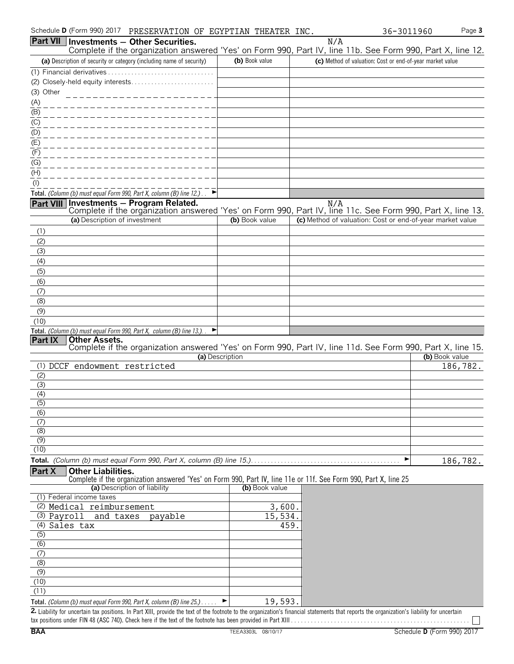| Schedule <b>D</b> (Form 990) 2017 | PRESERVATION<br>OF | EGYPTIAN | THEATER | INC. | 1960<br>$\lceil 3011 \rceil$<br>36– | ലം -<br>aue <b>o</b> |
|-----------------------------------|--------------------|----------|---------|------|-------------------------------------|----------------------|
|-----------------------------------|--------------------|----------|---------|------|-------------------------------------|----------------------|

|                         | Part VII   Investments - Other Securities.                                                                                                                                         |                 | N/A                                                       |                |
|-------------------------|------------------------------------------------------------------------------------------------------------------------------------------------------------------------------------|-----------------|-----------------------------------------------------------|----------------|
|                         | Complete if the organization answered 'Yes' on Form 990, Part IV, line 11b. See Form 990, Part X, line 12.<br>(a) Description of security or category (including name of security) | (b) Book value  | (c) Method of valuation: Cost or end-of-year market value |                |
|                         |                                                                                                                                                                                    |                 |                                                           |                |
|                         | (2) Closely-held equity interests                                                                                                                                                  |                 |                                                           |                |
| (3) Other               |                                                                                                                                                                                    |                 |                                                           |                |
| (A)                     |                                                                                                                                                                                    |                 |                                                           |                |
| (B)                     |                                                                                                                                                                                    |                 |                                                           |                |
| (C)                     |                                                                                                                                                                                    |                 |                                                           |                |
| (D)                     |                                                                                                                                                                                    |                 |                                                           |                |
| (E)                     |                                                                                                                                                                                    |                 |                                                           |                |
| (F)                     |                                                                                                                                                                                    |                 |                                                           |                |
| (G)                     |                                                                                                                                                                                    |                 |                                                           |                |
| (H)                     |                                                                                                                                                                                    |                 |                                                           |                |
| $($ l $)$               |                                                                                                                                                                                    |                 |                                                           |                |
|                         | Total. (Column (b) must equal Form 990, Part X, column (B) line 12.)                                                                                                               |                 |                                                           |                |
|                         | Part VIII Investments - Program Related.<br>Complete if the organization answered 'Yes' on Form 990, Part IV, line 11c. See Form 990, Part X, line 13.                             |                 | N/A                                                       |                |
|                         | (a) Description of investment                                                                                                                                                      | (b) Book value  | (c) Method of valuation: Cost or end-of-year market value |                |
| (1)                     |                                                                                                                                                                                    |                 |                                                           |                |
| (2)                     |                                                                                                                                                                                    |                 |                                                           |                |
| (3)                     |                                                                                                                                                                                    |                 |                                                           |                |
| (4)                     |                                                                                                                                                                                    |                 |                                                           |                |
| (5)                     |                                                                                                                                                                                    |                 |                                                           |                |
| (6)                     |                                                                                                                                                                                    |                 |                                                           |                |
| (7)                     |                                                                                                                                                                                    |                 |                                                           |                |
| (8)                     |                                                                                                                                                                                    |                 |                                                           |                |
| (9)                     |                                                                                                                                                                                    |                 |                                                           |                |
| (10)                    |                                                                                                                                                                                    |                 |                                                           |                |
|                         | Total. (Column (b) must equal Form 990, Part X, column (B) line 13.).                                                                                                              |                 |                                                           |                |
| Part IX                 | <b>Other Assets.</b><br>Complete if the organization answered 'Yes' on Form 990, Part IV, line 11d. See Form 990, Part X, line 15.                                                 |                 |                                                           |                |
|                         |                                                                                                                                                                                    | (a) Description |                                                           | (b) Book value |
|                         | (1) DCCF endowment restricted                                                                                                                                                      |                 |                                                           | 186,782.       |
| (2)                     |                                                                                                                                                                                    |                 |                                                           |                |
| (3)                     |                                                                                                                                                                                    |                 |                                                           |                |
| (4)                     |                                                                                                                                                                                    |                 |                                                           |                |
| $\overline{(5)}$<br>(6) |                                                                                                                                                                                    |                 |                                                           |                |
| (7)                     |                                                                                                                                                                                    |                 |                                                           |                |
| (8)                     |                                                                                                                                                                                    |                 |                                                           |                |
| (9)                     |                                                                                                                                                                                    |                 |                                                           |                |
| (10)                    |                                                                                                                                                                                    |                 |                                                           |                |
|                         | Total. (Column (b) must equal Form 990, Part X, column (B) line 15.)                                                                                                               |                 | ▶                                                         | 186,782.       |
| Part X                  | <b>Other Liabilities.</b>                                                                                                                                                          |                 |                                                           |                |
|                         | Complete if the organization answered 'Yes' on Form 990, Part IV, line 11e or 11f. See Form 990, Part X, line 25<br>(a) Description of liability                                   | (b) Book value  |                                                           |                |
|                         | (1) Federal income taxes                                                                                                                                                           |                 |                                                           |                |
|                         | (2) Medical reimbursement                                                                                                                                                          | 3,600.          |                                                           |                |
| (3) Payroll             | and taxes<br>payable                                                                                                                                                               | 15,534.         |                                                           |                |
|                         | (4) Sales tax                                                                                                                                                                      | 459             |                                                           |                |
| (5)                     |                                                                                                                                                                                    |                 |                                                           |                |
| $\overline{(6)}$        |                                                                                                                                                                                    |                 |                                                           |                |
| (7)                     |                                                                                                                                                                                    |                 |                                                           |                |
| (8)                     |                                                                                                                                                                                    |                 |                                                           |                |
| (9)                     |                                                                                                                                                                                    |                 |                                                           |                |
| (10)<br>(11)            |                                                                                                                                                                                    |                 |                                                           |                |
|                         |                                                                                                                                                                                    |                 |                                                           |                |
|                         | Total. (Column (b) must equal Form 990, Part X, column (B) line 25.).                                                                                                              | 19,593.         |                                                           |                |

2. Liability for uncertain tax positions. In Part XIII, provide the text of the footnote to the organization's financial statements that reports the organization's liability for uncertain tax positions under FIN 48 (ASC 740). Check here if the text of the footnote has been provided in Part XIII . . . . . . . . . . . . . . . . . . . . . . . . . . . . . . . . . . . . . . . . . . . . . . . . . . . . . .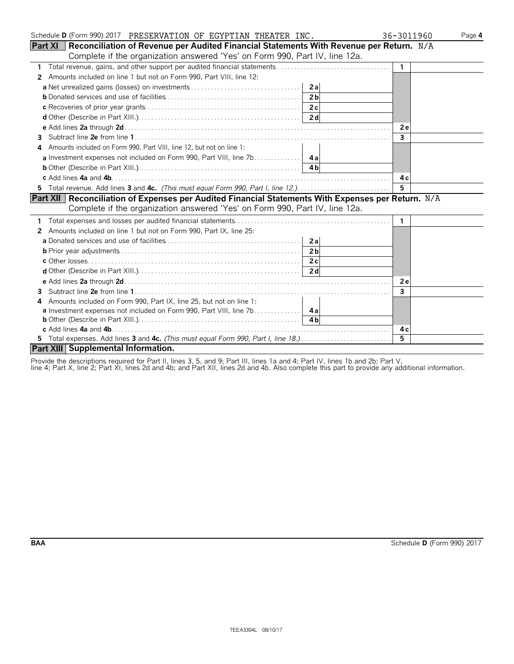| Schedule D (Form 990) 2017 PRESERVATION OF EGYPTIAN THEATER INC.                                         | 36-3011960     | Page 4 |
|----------------------------------------------------------------------------------------------------------|----------------|--------|
| <b>Part XI</b> Reconciliation of Revenue per Audited Financial Statements With Revenue per Return. $N/A$ |                |        |
| Complete if the organization answered 'Yes' on Form 990, Part IV, line 12a.                              |                |        |
| 1.                                                                                                       | $\overline{1}$ |        |
| Amounts included on line 1 but not on Form 990, Part VIII, line 12:<br>2                                 |                |        |
|                                                                                                          |                |        |
|                                                                                                          |                |        |
|                                                                                                          |                |        |
|                                                                                                          |                |        |
|                                                                                                          | 2e             |        |
| З.                                                                                                       | $\mathbf{3}$   |        |
| Amounts included on Form 990, Part VIII, line 12, but not on line 1:<br>4                                |                |        |
|                                                                                                          |                |        |
|                                                                                                          |                |        |
|                                                                                                          | 4 c            |        |
| 5 Total revenue. Add lines 3 and 4c. (This must equal Form 990, Part I, line 12.)                        | 5              |        |
| Part XII   Reconciliation of Expenses per Audited Financial Statements With Expenses per Return. N/A     |                |        |
| Complete if the organization answered 'Yes' on Form 990, Part IV, line 12a.                              |                |        |
|                                                                                                          | $\mathbf{1}$   |        |
| 2 Amounts included on line 1 but not on Form 990, Part IX, line 25:                                      |                |        |
|                                                                                                          |                |        |
|                                                                                                          |                |        |
|                                                                                                          |                |        |
|                                                                                                          |                |        |
|                                                                                                          | <b>2e</b>      |        |
| 3                                                                                                        | 3              |        |
| Amounts included on Form 990, Part IX, line 25, but not on line 1:<br>4                                  |                |        |
|                                                                                                          |                |        |
|                                                                                                          |                |        |
|                                                                                                          | 4 c            |        |
| 5 Total expenses. Add lines 3 and 4c. (This must equal Form 990, Part I, line 18.)                       | 5              |        |
| Part XIII Supplemental Information.                                                                      |                |        |

Provide the descriptions required for Part II, lines 3, 5, and 9; Part III, lines 1a and 4; Part IV, lines 1b and 2b; Part V,

line 4; Part X, line 2; Part XI, lines 2d and 4b; and Part XII, lines 2d and 4b. Also complete this part to provide any additional information.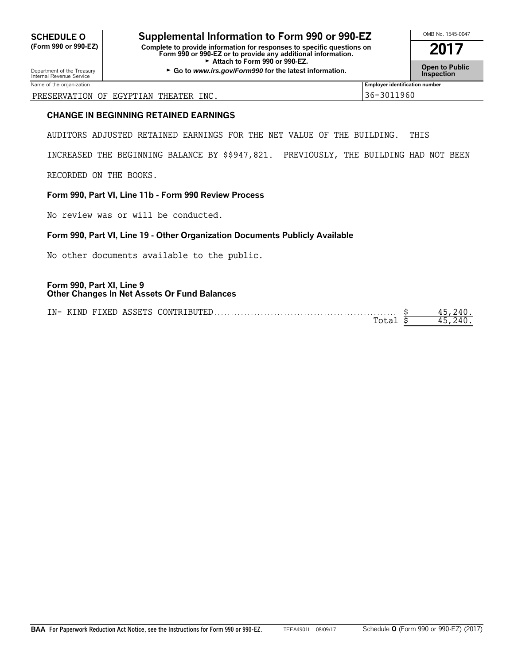# **SCHEDULE O Supplemental Information to Form 990 or 990-EZ**  $\frac{\text{OMB No. 1545-0047}}{\text{Com B90 or 990-EZ}}$

**(Form 990 or 990-EZ) Complete to provide information for responses to specific questions on Form 990 or 990-EZ or to provide any additional information. 2017** Attach to Form 990 or 990-EZ.

Department of the Treasury **Constant Comment of the Collam Constant Constant Constant Comment of the Inspection<br>Internal Revenue Service <b>Inspection** 

Name of the organization **Employer identification number Employer identification number Employer identification number** 

#### PRESERVATION OF EGYPTIAN THEATER INC. 36-3011960

#### **CHANGE IN BEGINNING RETAINED EARNINGS**

AUDITORS ADJUSTED RETAINED EARNINGS FOR THE NET VALUE OF THE BUILDING. THIS

INCREASED THE BEGINNING BALANCE BY \$\$947,821. PREVIOUSLY, THE BUILDING HAD NOT BEEN

RECORDED ON THE BOOKS.

#### **Form 990, Part VI, Line 11b - Form 990 Review Process**

No review was or will be conducted.

#### **Form 990, Part VI, Line 19 - Other Organization Documents Publicly Available**

No other documents available to the public.

#### **Form 990, Part XI, Line 9 Other Changes In Net Assets Or Fund Balances**

| $IN-$ | KTND |  | J FIXED ASSETS CONTRIBUTED |  |
|-------|------|--|----------------------------|--|
|       |      |  |                            |  |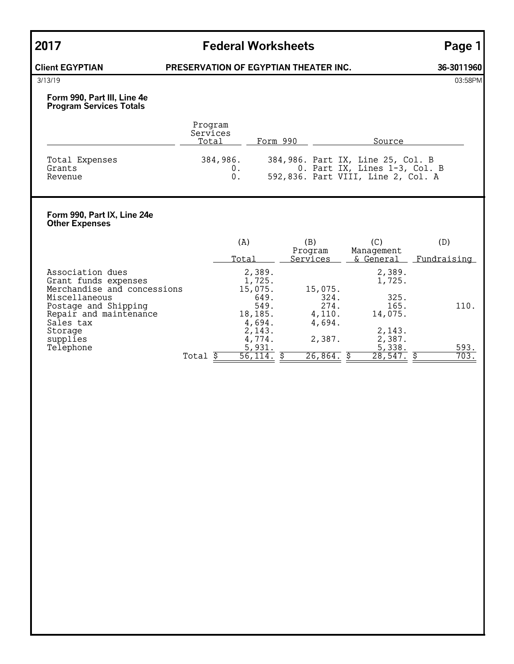## **2017 Federal Worksheets Page 1**

### **Client EGYPTIAN PRESERVATION OF EGYPTIAN THEATER INC. 36-3011960**

3/13/19 03:58PM

#### **Form 990, Part III, Line 4e Program Services Totals**

|                                     | Program<br>Services<br>Total | Form 990 | Source                                                                                                   |
|-------------------------------------|------------------------------|----------|----------------------------------------------------------------------------------------------------------|
| Total Expenses<br>Grants<br>Revenue | 384,986.                     |          | 384,986. Part IX, Line 25, Col. B<br>0. Part IX, Lines 1-3, Col. B<br>592,836. Part VIII, Line 2, Col. A |

#### **Form 990, Part IX, Line 24e Other Expenses**

|                                                |       | (A)              | (B)                 | (C)                             | (D)          |
|------------------------------------------------|-------|------------------|---------------------|---------------------------------|--------------|
|                                                |       | Total            | Program<br>Services | Management<br>& General         | Fundraising  |
| Association dues<br>Grant funds expenses       |       | 2,389.<br>1,725. |                     | 2,389.<br>1,725.                |              |
| Merchandise and concessions<br>Miscellaneous   |       | 15,075.<br>649.  | 15,075.<br>324.     | 325.                            |              |
| Postage and Shipping<br>Repair and maintenance |       | 549.<br>18,185.  | 274.<br>4,110.      | 165.<br>14,075.                 | 110.         |
| Sales tax<br>Storage                           |       | 4,694.<br>2,143. | 4,694.              | 2,143.                          |              |
| supplies                                       |       | 4,774.           | 2,387.              | 2,387.                          |              |
| Telephone                                      | Total | 5,931.<br>56,114 | 26,864.             | 5,338.<br>$\overline{28,547}$ . | 593.<br>703. |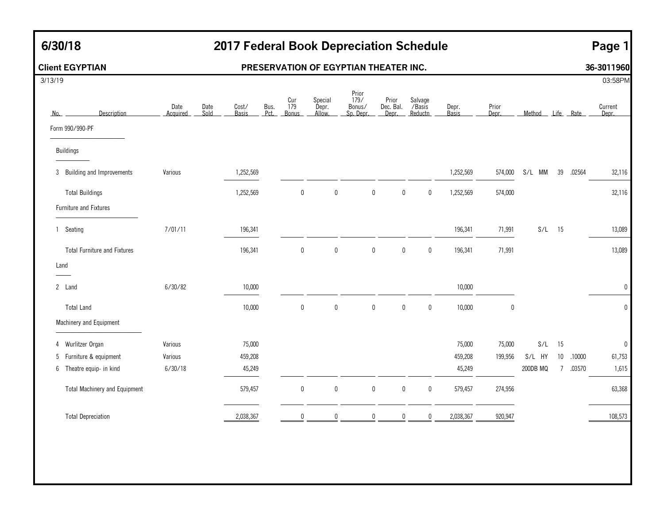## **6/30/18 2017 Federal Book Depreciation Schedule Page 1**

### **Client EGYPTIAN PRESERVATION OF EGYPTIAN THEATER INC. 36-3011960**

| 3/13/19                   |                                      |                  |              |                       |              |                     |                            |                                      |                             |                              |                       |                |                  |                |        | 03:58PM          |
|---------------------------|--------------------------------------|------------------|--------------|-----------------------|--------------|---------------------|----------------------------|--------------------------------------|-----------------------------|------------------------------|-----------------------|----------------|------------------|----------------|--------|------------------|
| No.                       | Description                          | Date<br>Acquired | Date<br>Sold | Cost/<br><b>Basis</b> | Bus.<br>Pct. | Cur<br>179<br>Bonus | Special<br>Depr.<br>Allow. | Prior<br>179/<br>Bonus/<br>Sp. Depr. | Prior<br>Dec. Bal.<br>Depr. | Salvage<br>/Basis<br>Reductn | Depr.<br><b>Basis</b> | Prior<br>Depr. | Method Life Rate |                |        | Current<br>Depr. |
| Form 990/990-PF           |                                      |                  |              |                       |              |                     |                            |                                      |                             |                              |                       |                |                  |                |        |                  |
| <b>Buildings</b>          |                                      |                  |              |                       |              |                     |                            |                                      |                             |                              |                       |                |                  |                |        |                  |
|                           | 3 Building and Improvements          | Various          |              | 1,252,569             |              |                     |                            |                                      |                             |                              | 1,252,569             | 574,000        | S/L MM           | 39             | .02564 | 32,116           |
| <b>Total Buildings</b>    |                                      |                  |              | 1,252,569             |              | $\boldsymbol{0}$    | $\pmb{0}$                  | $\mathbf 0$                          | $\boldsymbol{0}$            | $\bm{0}$                     | 1,252,569             | 574,000        |                  |                |        | 32,116           |
| Furniture and Fixtures    |                                      |                  |              |                       |              |                     |                            |                                      |                             |                              |                       |                |                  |                |        |                  |
| Seating<br>$\mathbf{1}$   |                                      | 7/01/11          |              | 196,341               |              |                     |                            |                                      |                             |                              | 196,341               | 71,991         | S/L              | 15             |        | 13,089           |
|                           | <b>Total Furniture and Fixtures</b>  |                  |              | 196,341               |              | $\boldsymbol{0}$    | $\pmb{0}$                  | $\mathbf 0$                          | $\mathbf 0$                 | $\bm{0}$                     | 196,341               | 71,991         |                  |                |        | 13,089           |
| Land                      |                                      |                  |              |                       |              |                     |                            |                                      |                             |                              |                       |                |                  |                |        |                  |
| 2 Land                    |                                      | 6/30/82          |              | 10,000                |              |                     |                            |                                      |                             |                              | 10,000                |                |                  |                |        | $\mathbf 0$      |
| <b>Total Land</b>         |                                      |                  |              | 10,000                |              | $\pmb{0}$           | $\mathbf 0$                | $\boldsymbol{0}$                     | $\pmb{0}$                   | $\mathbf 0$                  | 10,000                | 0              |                  |                |        | $\pmb{0}$        |
| Machinery and Equipment   |                                      |                  |              |                       |              |                     |                            |                                      |                             |                              |                       |                |                  |                |        |                  |
| Wurlitzer Organ<br>4      |                                      | Various          |              | 75,000                |              |                     |                            |                                      |                             |                              | 75,000                | 75,000         | S/L              | 15             |        | $\pmb{0}$        |
| 5 Furniture & equipment   |                                      | Various          |              | 459,208               |              |                     |                            |                                      |                             |                              | 459,208               | 199,956        | S/L HY           | $10\,$         | .10000 | 61,753           |
| 6 Theatre equip- in kind  |                                      | 6/30/18          |              | 45,249                |              |                     |                            |                                      |                             |                              | 45,249                |                | 200DB MQ         | $\overline{7}$ | .03570 | 1,615            |
|                           | <b>Total Machinery and Equipment</b> |                  |              | 579,457               |              | $\pmb{0}$           | $\pmb{0}$                  | $\mathbf 0$                          | $\boldsymbol{0}$            | $\pmb{0}$                    | 579,457               | 274,956        |                  |                |        | 63,368           |
| <b>Total Depreciation</b> |                                      |                  |              | 2,038,367             |              | $\Omega$            | $\Omega$                   | 0                                    | $\mathbf 0$                 | $\mathbf{0}$                 | 2,038,367             | 920,947        |                  |                |        | 108,573          |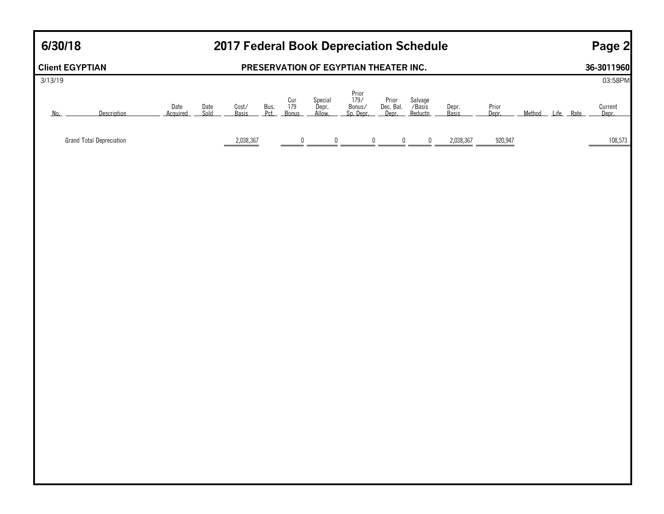## **6/30/18 2017 Federal Book Depreciation Schedule**

## **Page 2**

|         | <b>Client EGYPTIAN</b>          |                  |              |                |              |                     |                            | PRESERVATION OF EGYPTIAN THEATER INC. |                |                                                     |                |                |                  | 36-3011960       |
|---------|---------------------------------|------------------|--------------|----------------|--------------|---------------------|----------------------------|---------------------------------------|----------------|-----------------------------------------------------|----------------|----------------|------------------|------------------|
| 3/13/19 |                                 |                  |              |                |              |                     |                            |                                       |                |                                                     |                |                |                  | 03:58PM          |
| No.     | Description                     | Date<br>Acquired | Date<br>Sold | Cost/<br>Basis | Bus.<br>Pct. | Cur<br>179<br>Bonus | Special<br>Depr.<br>Allow. | Prior<br>179/<br>Bonus/<br>Sp. Depr.  |                | Prior Salvage<br>Dec. Bal. / Basis<br>Depr. Reductn | Depr.<br>Basis | Prior<br>Depr. | Method Life Rate | Current<br>Depr. |
|         |                                 |                  |              |                |              |                     |                            |                                       |                |                                                     |                |                |                  |                  |
|         | <b>Grand Total Depreciation</b> |                  |              | 2,038,367      |              | $\frac{0}{1}$       | $\frac{0}{2}$              |                                       | $\overline{0}$ | $\frac{0}{1}$<br>$\overline{0}$                     | 2,038,367      | 920,947        |                  | 108,573          |
|         |                                 |                  |              |                |              |                     |                            |                                       |                |                                                     |                |                |                  |                  |
|         |                                 |                  |              |                |              |                     |                            |                                       |                |                                                     |                |                |                  |                  |
|         |                                 |                  |              |                |              |                     |                            |                                       |                |                                                     |                |                |                  |                  |
|         |                                 |                  |              |                |              |                     |                            |                                       |                |                                                     |                |                |                  |                  |
|         |                                 |                  |              |                |              |                     |                            |                                       |                |                                                     |                |                |                  |                  |
|         |                                 |                  |              |                |              |                     |                            |                                       |                |                                                     |                |                |                  |                  |
|         |                                 |                  |              |                |              |                     |                            |                                       |                |                                                     |                |                |                  |                  |
|         |                                 |                  |              |                |              |                     |                            |                                       |                |                                                     |                |                |                  |                  |
|         |                                 |                  |              |                |              |                     |                            |                                       |                |                                                     |                |                |                  |                  |
|         |                                 |                  |              |                |              |                     |                            |                                       |                |                                                     |                |                |                  |                  |
|         |                                 |                  |              |                |              |                     |                            |                                       |                |                                                     |                |                |                  |                  |
|         |                                 |                  |              |                |              |                     |                            |                                       |                |                                                     |                |                |                  |                  |
|         |                                 |                  |              |                |              |                     |                            |                                       |                |                                                     |                |                |                  |                  |
|         |                                 |                  |              |                |              |                     |                            |                                       |                |                                                     |                |                |                  |                  |
|         |                                 |                  |              |                |              |                     |                            |                                       |                |                                                     |                |                |                  |                  |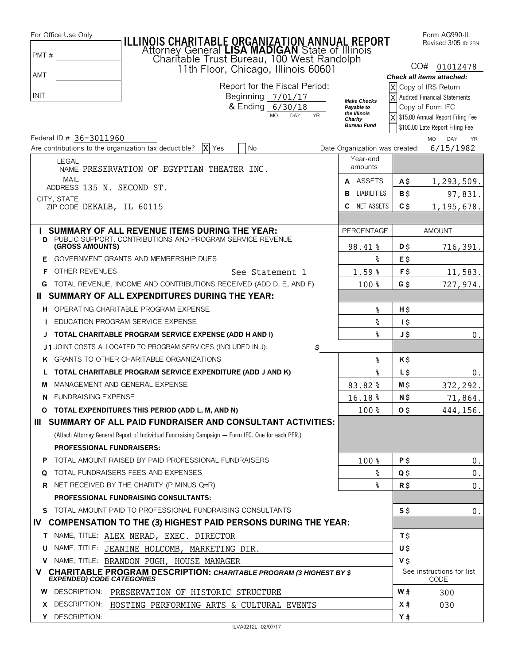| For Office Use Only                                   | ILLINOIS CHARITABLE ORGANIZATION ANNUAL REPORT<br>Attorney General LISA MADIGAN State of Illinois<br>Charitable Trust Bureau, 100 West Randolph |                                                  |                 | Form AG990-IL<br>Revised 3/05 ID: 2BN                      |
|-------------------------------------------------------|-------------------------------------------------------------------------------------------------------------------------------------------------|--------------------------------------------------|-----------------|------------------------------------------------------------|
| PMT#                                                  |                                                                                                                                                 |                                                  |                 |                                                            |
| AMT                                                   | 11th Floor, Chicago, Illinois 60601                                                                                                             |                                                  |                 | CO# 01012478                                               |
|                                                       | Report for the Fiscal Period:                                                                                                                   | X                                                |                 | Check all items attached:<br>Copy of IRS Return            |
| INIT                                                  | Beginning 7/01/17                                                                                                                               | X                                                |                 | <b>Audited Financial Statements</b>                        |
|                                                       | & Ending 6/30/18                                                                                                                                | <b>Make Checks</b><br>Payable to<br>the Illinois |                 | Copy of Form IFC                                           |
|                                                       | <b>MO</b><br><b>DAY</b><br><b>YR</b>                                                                                                            | Charity<br><b>Bureau Fund</b>                    |                 | X \$15.00 Annual Report Filing Fee                         |
| Federal ID # 36-3011960                               |                                                                                                                                                 |                                                  |                 | \$100.00 Late Report Filing Fee<br>DAY<br>MO.<br><b>YR</b> |
| Are contributions to the organization tax deductible? | X Yes<br>No                                                                                                                                     | Date Organization was created:                   |                 | 6/15/1982                                                  |
| <b>LEGAL</b>                                          | NAME PRESERVATION OF EGYPTIAN THEATER INC.                                                                                                      | Year-end<br>amounts                              |                 |                                                            |
| <b>MAIL</b>                                           |                                                                                                                                                 | A ASSETS                                         | Α\$             | 1,293,509.                                                 |
| ADDRESS 135 N. SECOND ST.<br>CITY, STATE              |                                                                                                                                                 | <b>B</b> LIABILITIES                             | $B$ \$          | 97,831.                                                    |
| ZIP CODE DEKALB, IL 60115                             |                                                                                                                                                 | C NET ASSETS                                     | $C$ \$          | 1,195,678.                                                 |
|                                                       |                                                                                                                                                 |                                                  |                 |                                                            |
|                                                       | I SUMMARY OF ALL REVENUE ITEMS DURING THE YEAR:                                                                                                 | <b>PERCENTAGE</b>                                |                 | <b>AMOUNT</b>                                              |
| (GROSS AMOUNTS)                                       | <b>D</b> PUBLIC SUPPORT, CONTRIBUTIONS AND PROGRAM SERVICE REVENUE                                                                              | 98.41%                                           | D\$             | 716,391.                                                   |
| Е.                                                    | GOVERNMENT GRANTS AND MEMBERSHIP DUES                                                                                                           | နွ                                               | E\$             |                                                            |
| OTHER REVENUES<br>F.                                  | See Statement 1                                                                                                                                 | 1.59%                                            | F\$             | 11,583.                                                    |
| G                                                     | TOTAL REVENUE, INCOME AND CONTRIBUTIONS RECEIVED (ADD D, E, AND F)                                                                              | 100 %                                            | G\$             | 727,974.                                                   |
| Ш.                                                    | SUMMARY OF ALL EXPENDITURES DURING THE YEAR:                                                                                                    |                                                  |                 |                                                            |
|                                                       | H OPERATING CHARITABLE PROGRAM EXPENSE                                                                                                          | နွ                                               | H\$             |                                                            |
|                                                       | <b>I</b> EDUCATION PROGRAM SERVICE EXPENSE                                                                                                      | శి                                               | $1\overline{5}$ |                                                            |
|                                                       | J TOTAL CHARITABLE PROGRAM SERVICE EXPENSE (ADD H AND I)                                                                                        | နွ                                               | J\$             | 0.                                                         |
|                                                       | J1 JOINT COSTS ALLOCATED TO PROGRAM SERVICES (INCLUDED IN J):<br>\$                                                                             |                                                  |                 |                                                            |
|                                                       | K GRANTS TO OTHER CHARITABLE ORGANIZATIONS                                                                                                      | နွ                                               | Κ\$             |                                                            |
|                                                       | TOTAL CHARITABLE PROGRAM SERVICE EXPENDITURE (ADD J AND K)                                                                                      | နွ                                               | L\$             | 0.                                                         |
| M                                                     | MANAGEMENT AND GENERAL EXPENSE                                                                                                                  | 83.82%                                           | $M$ \$          | 372,292.                                                   |
| <b>N</b> FUNDRAISING EXPENSE                          |                                                                                                                                                 | 16.18%                                           | N\$             | 71,864.                                                    |
| O                                                     | TOTAL EXPENDITURES THIS PERIOD (ADD L, M, AND N)                                                                                                | 100%                                             | O <sub>5</sub>  | 444, 156.                                                  |
|                                                       | III SUMMARY OF ALL PAID FUNDRAISER AND CONSULTANT ACTIVITIES:                                                                                   |                                                  |                 |                                                            |
|                                                       | (Attach Attorney General Report of Individual Fundraising Campaign - Form IFC. One for each PFR.)                                               |                                                  |                 |                                                            |
| <b>PROFESSIONAL FUNDRAISERS:</b>                      |                                                                                                                                                 |                                                  |                 |                                                            |
| P                                                     | TOTAL AMOUNT RAISED BY PAID PROFESSIONAL FUNDRAISERS                                                                                            | 100%                                             | P\$             | 0.                                                         |
| Q                                                     | TOTAL FUNDRAISERS FEES AND EXPENSES                                                                                                             | န္                                               | Q\$             | $0$ .                                                      |
|                                                       | <b>R</b> NET RECEIVED BY THE CHARITY (P MINUS Q=R)                                                                                              | ৡ                                                | $R$ \$          | 0.                                                         |
|                                                       | <b>PROFESSIONAL FUNDRAISING CONSULTANTS:</b>                                                                                                    |                                                  |                 |                                                            |
|                                                       | S TOTAL AMOUNT PAID TO PROFESSIONAL FUNDRAISING CONSULTANTS                                                                                     |                                                  | $S$ \$          | 0.                                                         |
|                                                       | IV COMPENSATION TO THE (3) HIGHEST PAID PERSONS DURING THE YEAR:                                                                                |                                                  |                 |                                                            |
|                                                       | T NAME, TITLE: ALEX NERAD, EXEC. DIRECTOR                                                                                                       |                                                  | Τ\$             |                                                            |
| U                                                     | NAME, TITLE: JEANINE HOLCOMB, MARKETING DIR.                                                                                                    |                                                  | U\$             |                                                            |
|                                                       | V NAME, TITLE: BRANDON PUGH, HOUSE MANAGER                                                                                                      |                                                  | V\$             |                                                            |
| <b>EXPENDED) CODE CATEGORIES</b>                      | V CHARITABLE PROGRAM DESCRIPTION: CHARITABLE PROGRAM (3 HIGHEST BY \$                                                                           |                                                  |                 | See instructions for list<br>CODE                          |
|                                                       | W DESCRIPTION: PRESERVATION OF HISTORIC STRUCTURE                                                                                               |                                                  | W#              | 300                                                        |
| X DESCRIPTION:                                        | HOSTING PERFORMING ARTS & CULTURAL EVENTS                                                                                                       |                                                  | X#              | 030                                                        |
| Y DESCRIPTION:                                        |                                                                                                                                                 |                                                  | Y#              |                                                            |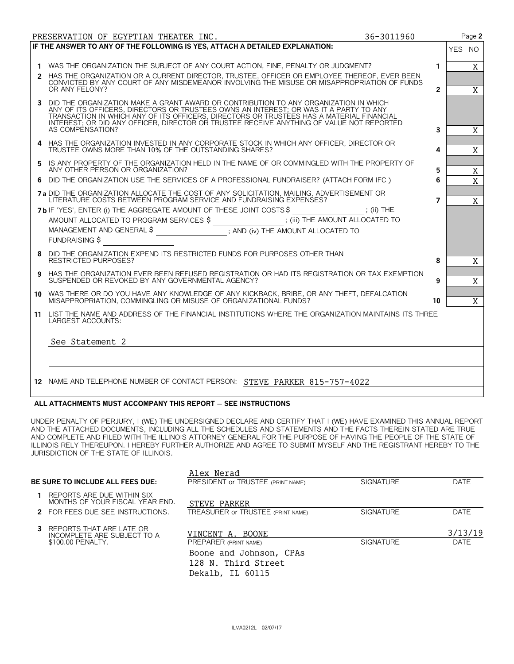|   | PRESERVATION OF EGYPTIAN THEATER INC.                                                                                                                                                                                                                                                                                                                                                       | 36-3011960     | Page 2                  |
|---|---------------------------------------------------------------------------------------------------------------------------------------------------------------------------------------------------------------------------------------------------------------------------------------------------------------------------------------------------------------------------------------------|----------------|-------------------------|
|   | IF THE ANSWER TO ANY OF THE FOLLOWING IS YES, ATTACH A DETAILED EXPLANATION:                                                                                                                                                                                                                                                                                                                |                | <b>YES</b><br><b>NO</b> |
|   |                                                                                                                                                                                                                                                                                                                                                                                             |                |                         |
|   | 1 WAS THE ORGANIZATION THE SUBJECT OF ANY COURT ACTION, FINE, PENALTY OR JUDGMENT?                                                                                                                                                                                                                                                                                                          | $\mathbf{1}$   | X                       |
|   | 2 HAS THE ORGANIZATION OR A CURRENT DIRECTOR, TRUSTEE, OFFICER OR EMPLOYEE THEREOF, EVER BEEN<br>CONVICTED BY ANY COURT OF ANY MISDEMEANOR INVOLVING THE MISUSE OR MISAPPROPRIATION OF FUNDS                                                                                                                                                                                                |                |                         |
|   | OR ANY FELONY?                                                                                                                                                                                                                                                                                                                                                                              | $\overline{2}$ | X                       |
|   | 3 DID THE ORGANIZATION MAKE A GRANT AWARD OR CONTRIBUTION TO ANY ORGANIZATION IN WHICH<br>ANY OF ITS OFFICERS, DIRECTORS OR TRUSTEES OWNS AN INTEREST; OR WAS IT A PARTY TO ANY<br>TRANSACTION IN WHICH ANY OF ITS OFFICERS, DIRECTORS OR TRUSTEES HAS A MATERIAL FINANCIAL<br>INTEREST: OR DID ANY OFFICER, DIRECTOR OR TRUSTEE RECEIVE ANYTHING OF VALUE NOT REPORTED<br>AS COMPENSATION? | 3              | X                       |
|   | 4 HAS THE ORGANIZATION INVESTED IN ANY CORPORATE STOCK IN WHICH ANY OFFICER, DIRECTOR OR<br>TRUSTEE OWNS MORE THAN 10% OF THE OUTSTANDING SHARES?                                                                                                                                                                                                                                           | 4              | X                       |
|   | 5 IS ANY PROPERTY OF THE ORGANIZATION HELD IN THE NAME OF OR COMMINGLED WITH THE PROPERTY OF<br>ANY OTHER PERSON OR ORGANIZATION?                                                                                                                                                                                                                                                           | 5              | $\mathbf X$             |
|   | 6 DID THE ORGANIZATION USE THE SERVICES OF A PROFESSIONAL FUNDRAISER? (ATTACH FORM IFC )                                                                                                                                                                                                                                                                                                    | 6              | $\overline{X}$          |
|   | <b>7a DID THE ORGANIZATION ALLOCATE THE COST OF ANY SOLICITATION, MAILING, ADVERTISEMENT OR</b><br>LITERATURE COSTS BETWEEN PROGRAM SERVICE AND FUNDRAISING EXPENSES?                                                                                                                                                                                                                       | $\overline{7}$ | X                       |
|   | 7b IF 'YES', ENTER (i) THE AGGREGATE AMOUNT OF THESE JOINT COSTS \$ ; (ii) THE                                                                                                                                                                                                                                                                                                              |                |                         |
|   |                                                                                                                                                                                                                                                                                                                                                                                             |                |                         |
|   | MANAGEMENT AND GENERAL \$ ______________________; AND (iv) THE AMOUNT ALLOCATED TO                                                                                                                                                                                                                                                                                                          |                |                         |
|   | <b>FUNDRAISING \$</b>                                                                                                                                                                                                                                                                                                                                                                       |                |                         |
| 8 | DID THE ORGANIZATION EXPEND ITS RESTRICTED FUNDS FOR PURPOSES OTHER THAN<br><b>RESTRICTED PURPOSES?</b>                                                                                                                                                                                                                                                                                     | 8              | X                       |
| 9 | HAS THE ORGANIZATION EVER BEEN REFUSED REGISTRATION OR HAD ITS REGISTRATION OR TAX EXEMPTION<br>SUSPENDED OR REVOKED BY ANY GOVERNMENTAL AGENCY?                                                                                                                                                                                                                                            | 9              | X                       |
|   |                                                                                                                                                                                                                                                                                                                                                                                             |                |                         |
|   | 10 WAS THERE OR DO YOU HAVE ANY KNOWLEDGE OF ANY KICKBACK, BRIBE, OR ANY THEFT, DEFALCATION<br>MISAPPROPRIATION, COMMINGLING OR MISUSE OF ORGANIZATIONAL FUNDS?                                                                                                                                                                                                                             | 10             | X                       |
|   | 11 LIST THE NAME AND ADDRESS OF THE FINANCIAL INSTITUTIONS WHERE THE ORGANIZATION MAINTAINS ITS THREE<br>LARGEST ACCOUNTS:                                                                                                                                                                                                                                                                  |                |                         |
|   | See Statement 2                                                                                                                                                                                                                                                                                                                                                                             |                |                         |
|   |                                                                                                                                                                                                                                                                                                                                                                                             |                |                         |
|   |                                                                                                                                                                                                                                                                                                                                                                                             |                |                         |
|   | 12 NAME AND TELEPHONE NUMBER OF CONTACT PERSON: STEVE PARKER 815-757-4022                                                                                                                                                                                                                                                                                                                   |                |                         |

#### ALL ATTACHMENTS MUST ACCOMPANY THIS REPORT - SEE INSTRUCTIONS

UNDER PENALTY OF PERJURY, I (WE) THE UNDERSIGNED DECLARE AND CERTIFY THAT I (WE) HAVE EXAMINED THIS ANNUAL REPORT AND THE ATTACHED DOCUMENTS, INCLUDING ALL THE SCHEDULES AND STATEMENTS AND THE FACTS THEREIN STATED ARE TRUE AND COMPLETE AND FILED WITH THE ILLINOIS ATTORNEY GENERAL FOR THE PURPOSE OF HAVING THE PEOPLE OF THE STATE OF ILLINOIS RELY THEREUPON. I HEREBY FURTHER AUTHORIZE AND AGREE TO SUBMIT MYSELF AND THE REGISTRANT HEREBY TO THE JURISDICTION OF THE STATE OF ILLINOIS.

|                                                                                       | Alex Nerad                                                         |                  |                        |
|---------------------------------------------------------------------------------------|--------------------------------------------------------------------|------------------|------------------------|
| BE SURE TO INCLUDE ALL FEES DUE: I                                                    | PRESIDENT OF TRUSTEE (PRINT NAME)                                  | <b>SIGNATURE</b> | <b>DATE</b>            |
| REPORTS ARE DUE WITHIN SIX<br>MONTHS OF YOUR FISCAL YEAR END.                         | STEVE PARKER                                                       |                  |                        |
| 2 FOR FEES DUE SEE INSTRUCTIONS.                                                      | TREASURER or TRUSTEE (PRINT NAME)                                  | <b>SIGNATURE</b> | <b>DATE</b>            |
| <b>3</b> REPORTS THAT ARE LATE OR<br>INCOMPLETE ARE SUBJECT TO A<br>\$100.00 PENALTY. | VINCENT A. BOONE<br>PREPARER (PRINT NAME)                          | <b>SIGNATURE</b> | 3/13/19<br><b>DATF</b> |
|                                                                                       | Boone and Johnson, CPAs<br>128 N. Third Street<br>Dekalb, IL 60115 |                  |                        |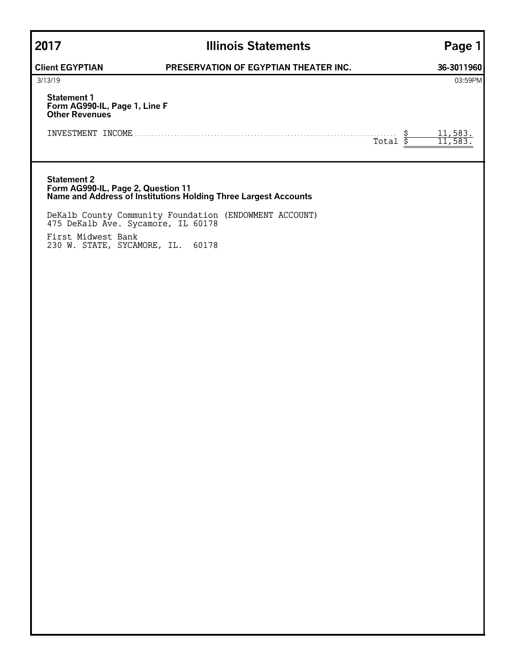## **2017 Illinois Statements Page 1**

### **Client EGYPTIAN PRESERVATION OF EGYPTIAN THEATER INC. 36-3011960**

| 3/13/19                     | 03:59PM |
|-----------------------------|---------|
| $\sim$ $\sim$ $\sim$ $\sim$ |         |

### **Statement 1 Form AG990-IL, Page 1, Line F Other Revenues**

| INVESTMENT | <b>INCOME</b><br>. |     |
|------------|--------------------|-----|
|            |                    | - - |

#### **Statement 2 Form AG990-IL, Page 2, Question 11 Name and Address of Institutions Holding Three Largest Accounts**

DeKalb County Community Foundation (ENDOWMENT ACCOUNT) 475 DeKalb Ave. Sycamore, IL 60178 First Midwest Bank 230 W. STATE, SYCAMORE, IL. 60178